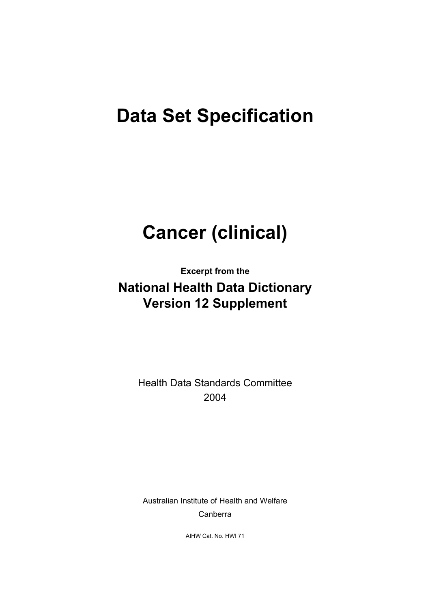# **Data Set Specification**

# **Cancer (clinical)**

**Excerpt from the** 

# **National Health Data Dictionary Version 12 Supplement**

Health Data Standards Committee 2004

Australian Institute of Health and Welfare Canberra

AIHW Cat. No. HWI 71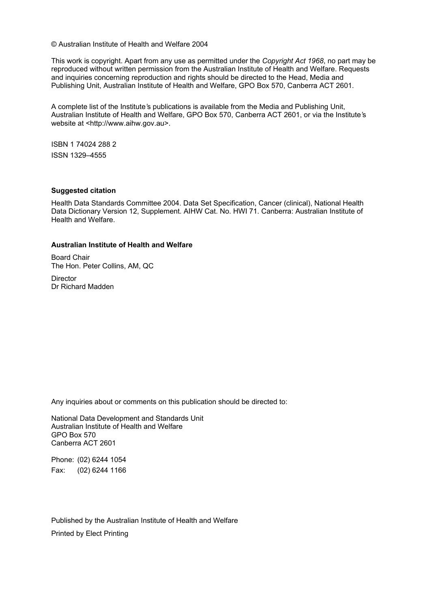© Australian Institute of Health and Welfare 2004

This work is copyright. Apart from any use as permitted under the *Copyright Act 1968*, no part may be reproduced without written permission from the Australian Institute of Health and Welfare. Requests and inquiries concerning reproduction and rights should be directed to the Head, Media and Publishing Unit, Australian Institute of Health and Welfare, GPO Box 570, Canberra ACT 2601.

A complete list of the Institute*'*s publications is available from the Media and Publishing Unit, Australian Institute of Health and Welfare, GPO Box 570, Canberra ACT 2601, or via the Institute*'*s website at <http://www.aihw.gov.au>.

ISBN 1 74024 288 2 ISSN 1329–4555

#### **Suggested citation**

Health Data Standards Committee 2004. Data Set Specification, Cancer (clinical), National Health Data Dictionary Version 12, Supplement. AIHW Cat. No. HWI 71. Canberra: Australian Institute of Health and Welfare.

#### **Australian Institute of Health and Welfare**

Board Chair The Hon. Peter Collins, AM, QC

**Director** Dr Richard Madden

Any inquiries about or comments on this publication should be directed to:

National Data Development and Standards Unit Australian Institute of Health and Welfare GPO Box 570 Canberra ACT 2601

Phone: (02) 6244 1054 Fax: (02) 6244 1166

Published by the Australian Institute of Health and Welfare Printed by Elect Printing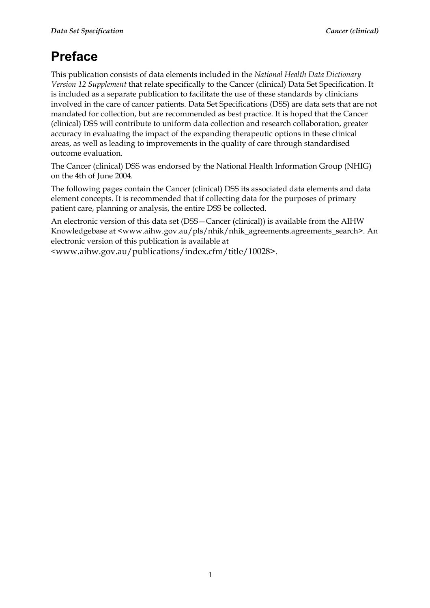# **Preface**

This publication consists of data elements included in the *National Health Data Dictionary Version 12 Supplement* that relate specifically to the Cancer (clinical) Data Set Specification. It is included as a separate publication to facilitate the use of these standards by clinicians involved in the care of cancer patients. Data Set Specifications (DSS) are data sets that are not mandated for collection, but are recommended as best practice. It is hoped that the Cancer (clinical) DSS will contribute to uniform data collection and research collaboration, greater accuracy in evaluating the impact of the expanding therapeutic options in these clinical areas, as well as leading to improvements in the quality of care through standardised outcome evaluation.

The Cancer (clinical) DSS was endorsed by the National Health Information Group (NHIG) on the 4th of June 2004.

The following pages contain the Cancer (clinical) DSS its associated data elements and data element concepts. It is recommended that if collecting data for the purposes of primary patient care, planning or analysis, the entire DSS be collected.

An electronic version of this data set (DSS—Cancer (clinical)) is available from the AIHW Knowledgebase at <www.aihw.gov.au/pls/nhik/nhik\_agreements.agreements\_search>. An electronic version of this publication is available at

<www.aihw.gov.au/publications/index.cfm/title/10028>.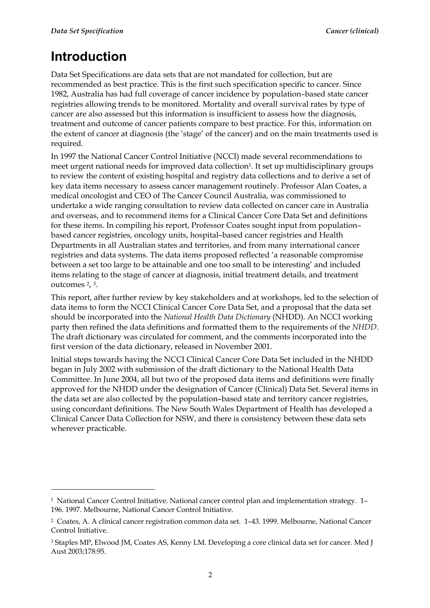# **Introduction**

 $\ddot{\phantom{a}}$ 

Data Set Specifications are data sets that are not mandated for collection, but are recommended as best practice. This is the first such specification specific to cancer. Since 1982, Australia has had full coverage of cancer incidence by population–based state cancer registries allowing trends to be monitored. Mortality and overall survival rates by type of cancer are also assessed but this information is insufficient to assess how the diagnosis, treatment and outcome of cancer patients compare to best practice. For this, information on the extent of cancer at diagnosis (the 'stage' of the cancer) and on the main treatments used is required.

In 1997 the National Cancer Control Initiative (NCCI) made several recommendations to meet urgent national needs for improved data collection<sup>1</sup>. It set up multidisciplinary groups to review the content of existing hospital and registry data collections and to derive a set of key data items necessary to assess cancer management routinely. Professor Alan Coates, a medical oncologist and CEO of The Cancer Council Australia, was commissioned to undertake a wide ranging consultation to review data collected on cancer care in Australia and overseas, and to recommend items for a Clinical Cancer Core Data Set and definitions for these items. In compiling his report, Professor Coates sought input from population– based cancer registries, oncology units, hospital–based cancer registries and Health Departments in all Australian states and territories, and from many international cancer registries and data systems. The data items proposed reflected 'a reasonable compromise between a set too large to be attainable and one too small to be interesting' and included items relating to the stage of cancer at diagnosis, initial treatment details, and treatment outcomes 2, 3.

This report, after further review by key stakeholders and at workshops, led to the selection of data items to form the NCCI Clinical Cancer Core Data Set, and a proposal that the data set should be incorporated into the *National Health Data Dictionary* (NHDD). An NCCI working party then refined the data definitions and formatted them to the requirements of the *NHDD*. The draft dictionary was circulated for comment, and the comments incorporated into the first version of the data dictionary, released in November 2001.

Initial steps towards having the NCCI Clinical Cancer Core Data Set included in the NHDD began in July 2002 with submission of the draft dictionary to the National Health Data Committee. In June 2004, all but two of the proposed data items and definitions were finally approved for the NHDD under the designation of Cancer (Clinical) Data Set. Several items in the data set are also collected by the population–based state and territory cancer registries, using concordant definitions. The New South Wales Department of Health has developed a Clinical Cancer Data Collection for NSW, and there is consistency between these data sets wherever practicable.

<sup>1</sup> National Cancer Control Initiative. National cancer control plan and implementation strategy. 1– 196. 1997. Melbourne, National Cancer Control Initiative.

<sup>2</sup> Coates, A. A clinical cancer registration common data set. 1–43. 1999. Melbourne, National Cancer Control Initiative.

<sup>3</sup> Staples MP, Elwood JM, Coates AS, Kenny LM. Developing a core clinical data set for cancer. Med J Aust 2003;178:95.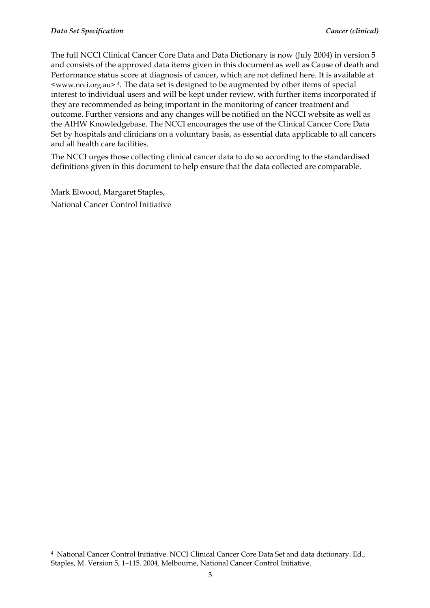The full NCCI Clinical Cancer Core Data and Data Dictionary is now (July 2004) in version 5 and consists of the approved data items given in this document as well as Cause of death and Performance status score at diagnosis of cancer, which are not defined here. It is available at  $\leq$ www.ncci.org.au> 4. The data set is designed to be augmented by other items of special interest to individual users and will be kept under review, with further items incorporated if they are recommended as being important in the monitoring of cancer treatment and outcome. Further versions and any changes will be notified on the NCCI website as well as the AIHW Knowledgebase. The NCCI encourages the use of the Clinical Cancer Core Data Set by hospitals and clinicians on a voluntary basis, as essential data applicable to all cancers and all health care facilities.

The NCCI urges those collecting clinical cancer data to do so according to the standardised definitions given in this document to help ensure that the data collected are comparable.

Mark Elwood, Margaret Staples, National Cancer Control Initiative

 $\overline{a}$ 

<sup>4</sup> National Cancer Control Initiative. NCCI Clinical Cancer Core Data Set and data dictionary. Ed., Staples, M. Version 5, 1–115. 2004. Melbourne, National Cancer Control Initiative.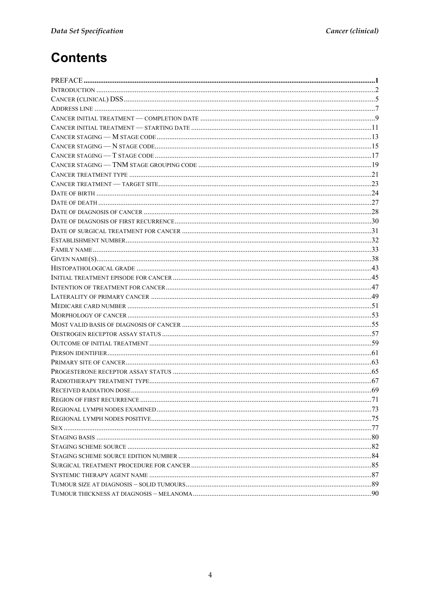# **Contents**

| REGION OF FIRST RECURRENCE | 71 |
|----------------------------|----|
|                            |    |
|                            |    |
|                            |    |
|                            |    |
|                            |    |
|                            |    |
|                            |    |
|                            |    |
|                            |    |
|                            |    |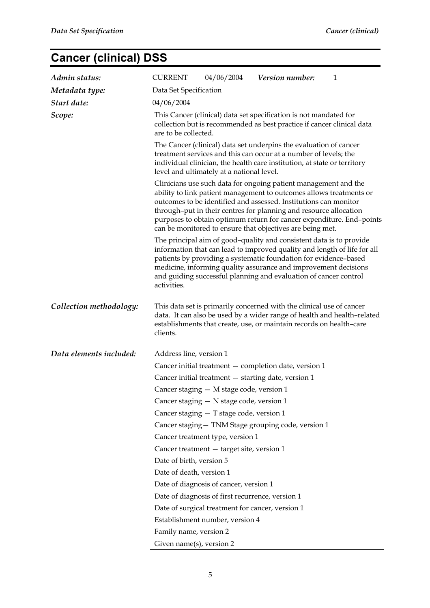# **Cancer (clinical) DSS**

| Admin status:           | <b>CURRENT</b>                                                                                                                                                                                                                                                 | 04/06/2004                                                                                                                                                                                                                                                                                                                                                                                                           | Version number:                                                                                                                                                                                                                                                                                                                                            | 1 |  |  |
|-------------------------|----------------------------------------------------------------------------------------------------------------------------------------------------------------------------------------------------------------------------------------------------------------|----------------------------------------------------------------------------------------------------------------------------------------------------------------------------------------------------------------------------------------------------------------------------------------------------------------------------------------------------------------------------------------------------------------------|------------------------------------------------------------------------------------------------------------------------------------------------------------------------------------------------------------------------------------------------------------------------------------------------------------------------------------------------------------|---|--|--|
| Metadata type:          | Data Set Specification                                                                                                                                                                                                                                         |                                                                                                                                                                                                                                                                                                                                                                                                                      |                                                                                                                                                                                                                                                                                                                                                            |   |  |  |
| Start date:             | 04/06/2004                                                                                                                                                                                                                                                     |                                                                                                                                                                                                                                                                                                                                                                                                                      |                                                                                                                                                                                                                                                                                                                                                            |   |  |  |
| Scope:                  |                                                                                                                                                                                                                                                                | This Cancer (clinical) data set specification is not mandated for<br>collection but is recommended as best practice if cancer clinical data<br>are to be collected.                                                                                                                                                                                                                                                  |                                                                                                                                                                                                                                                                                                                                                            |   |  |  |
|                         | The Cancer (clinical) data set underpins the evaluation of cancer<br>treatment services and this can occur at a number of levels; the<br>individual clinician, the health care institution, at state or territory<br>level and ultimately at a national level. |                                                                                                                                                                                                                                                                                                                                                                                                                      |                                                                                                                                                                                                                                                                                                                                                            |   |  |  |
|                         |                                                                                                                                                                                                                                                                | Clinicians use such data for ongoing patient management and the<br>ability to link patient management to outcomes allows treatments or<br>outcomes to be identified and assessed. Institutions can monitor<br>through-put in their centres for planning and resource allocation<br>purposes to obtain optimum return for cancer expenditure. End-points<br>can be monitored to ensure that objectives are being met. |                                                                                                                                                                                                                                                                                                                                                            |   |  |  |
|                         | activities.                                                                                                                                                                                                                                                    |                                                                                                                                                                                                                                                                                                                                                                                                                      | The principal aim of good-quality and consistent data is to provide<br>information that can lead to improved quality and length of life for all<br>patients by providing a systematic foundation for evidence-based<br>medicine, informing quality assurance and improvement decisions<br>and guiding successful planning and evaluation of cancer control |   |  |  |
| Collection methodology: | clients.                                                                                                                                                                                                                                                       |                                                                                                                                                                                                                                                                                                                                                                                                                      | This data set is primarily concerned with the clinical use of cancer<br>data. It can also be used by a wider range of health and health-related<br>establishments that create, use, or maintain records on health-care                                                                                                                                     |   |  |  |
| Data elements included: | Address line, version 1                                                                                                                                                                                                                                        |                                                                                                                                                                                                                                                                                                                                                                                                                      |                                                                                                                                                                                                                                                                                                                                                            |   |  |  |
|                         |                                                                                                                                                                                                                                                                |                                                                                                                                                                                                                                                                                                                                                                                                                      | Cancer initial treatment – completion date, version 1                                                                                                                                                                                                                                                                                                      |   |  |  |
|                         |                                                                                                                                                                                                                                                                |                                                                                                                                                                                                                                                                                                                                                                                                                      | Cancer initial treatment - starting date, version 1                                                                                                                                                                                                                                                                                                        |   |  |  |
|                         |                                                                                                                                                                                                                                                                | Cancer staging - M stage code, version 1                                                                                                                                                                                                                                                                                                                                                                             |                                                                                                                                                                                                                                                                                                                                                            |   |  |  |
|                         |                                                                                                                                                                                                                                                                | Cancer staging - N stage code, version 1                                                                                                                                                                                                                                                                                                                                                                             |                                                                                                                                                                                                                                                                                                                                                            |   |  |  |
|                         |                                                                                                                                                                                                                                                                | Cancer staging - T stage code, version 1                                                                                                                                                                                                                                                                                                                                                                             |                                                                                                                                                                                                                                                                                                                                                            |   |  |  |
|                         |                                                                                                                                                                                                                                                                |                                                                                                                                                                                                                                                                                                                                                                                                                      | Cancer staging - TNM Stage grouping code, version 1                                                                                                                                                                                                                                                                                                        |   |  |  |
|                         |                                                                                                                                                                                                                                                                | Cancer treatment type, version 1                                                                                                                                                                                                                                                                                                                                                                                     |                                                                                                                                                                                                                                                                                                                                                            |   |  |  |
|                         |                                                                                                                                                                                                                                                                | Cancer treatment - target site, version 1                                                                                                                                                                                                                                                                                                                                                                            |                                                                                                                                                                                                                                                                                                                                                            |   |  |  |
|                         | Date of birth, version 5                                                                                                                                                                                                                                       |                                                                                                                                                                                                                                                                                                                                                                                                                      |                                                                                                                                                                                                                                                                                                                                                            |   |  |  |
|                         | Date of death, version 1                                                                                                                                                                                                                                       |                                                                                                                                                                                                                                                                                                                                                                                                                      |                                                                                                                                                                                                                                                                                                                                                            |   |  |  |
|                         |                                                                                                                                                                                                                                                                | Date of diagnosis of cancer, version 1                                                                                                                                                                                                                                                                                                                                                                               |                                                                                                                                                                                                                                                                                                                                                            |   |  |  |
|                         |                                                                                                                                                                                                                                                                | Date of diagnosis of first recurrence, version 1                                                                                                                                                                                                                                                                                                                                                                     |                                                                                                                                                                                                                                                                                                                                                            |   |  |  |
|                         |                                                                                                                                                                                                                                                                | Date of surgical treatment for cancer, version 1                                                                                                                                                                                                                                                                                                                                                                     |                                                                                                                                                                                                                                                                                                                                                            |   |  |  |
|                         |                                                                                                                                                                                                                                                                | Establishment number, version 4                                                                                                                                                                                                                                                                                                                                                                                      |                                                                                                                                                                                                                                                                                                                                                            |   |  |  |
|                         | Family name, version 2                                                                                                                                                                                                                                         |                                                                                                                                                                                                                                                                                                                                                                                                                      |                                                                                                                                                                                                                                                                                                                                                            |   |  |  |
|                         | Given name(s), version 2                                                                                                                                                                                                                                       |                                                                                                                                                                                                                                                                                                                                                                                                                      |                                                                                                                                                                                                                                                                                                                                                            |   |  |  |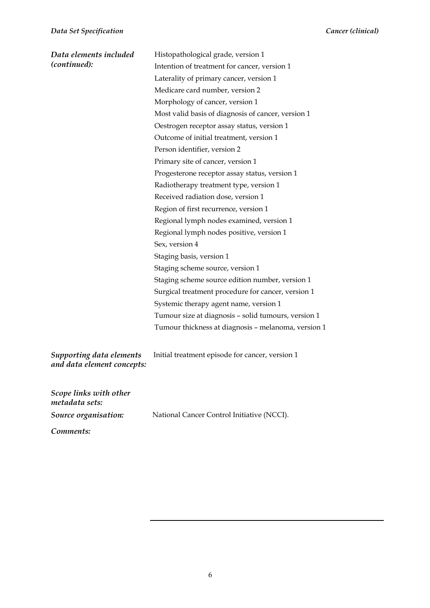| Data elements included<br>(continued):                 | Histopathological grade, version 1<br>Intention of treatment for cancer, version 1<br>Laterality of primary cancer, version 1<br>Medicare card number, version 2<br>Morphology of cancer, version 1<br>Most valid basis of diagnosis of cancer, version 1<br>Oestrogen receptor assay status, version 1<br>Outcome of initial treatment, version 1<br>Person identifier, version 2<br>Primary site of cancer, version 1<br>Progesterone receptor assay status, version 1<br>Radiotherapy treatment type, version 1<br>Received radiation dose, version 1<br>Region of first recurrence, version 1<br>Regional lymph nodes examined, version 1<br>Regional lymph nodes positive, version 1<br>Sex, version 4<br>Staging basis, version 1<br>Staging scheme source, version 1 |
|--------------------------------------------------------|-----------------------------------------------------------------------------------------------------------------------------------------------------------------------------------------------------------------------------------------------------------------------------------------------------------------------------------------------------------------------------------------------------------------------------------------------------------------------------------------------------------------------------------------------------------------------------------------------------------------------------------------------------------------------------------------------------------------------------------------------------------------------------|
|                                                        | Staging scheme source edition number, version 1                                                                                                                                                                                                                                                                                                                                                                                                                                                                                                                                                                                                                                                                                                                             |
|                                                        | Surgical treatment procedure for cancer, version 1                                                                                                                                                                                                                                                                                                                                                                                                                                                                                                                                                                                                                                                                                                                          |
|                                                        | Systemic therapy agent name, version 1                                                                                                                                                                                                                                                                                                                                                                                                                                                                                                                                                                                                                                                                                                                                      |
|                                                        | Tumour size at diagnosis - solid tumours, version 1                                                                                                                                                                                                                                                                                                                                                                                                                                                                                                                                                                                                                                                                                                                         |
|                                                        | Tumour thickness at diagnosis - melanoma, version 1                                                                                                                                                                                                                                                                                                                                                                                                                                                                                                                                                                                                                                                                                                                         |
| Supporting data elements<br>and data element concepts: | Initial treatment episode for cancer, version 1                                                                                                                                                                                                                                                                                                                                                                                                                                                                                                                                                                                                                                                                                                                             |
| Scope links with other<br>metadata sets:               |                                                                                                                                                                                                                                                                                                                                                                                                                                                                                                                                                                                                                                                                                                                                                                             |
| Source organisation:                                   | National Cancer Control Initiative (NCCI).                                                                                                                                                                                                                                                                                                                                                                                                                                                                                                                                                                                                                                                                                                                                  |

*Comments:*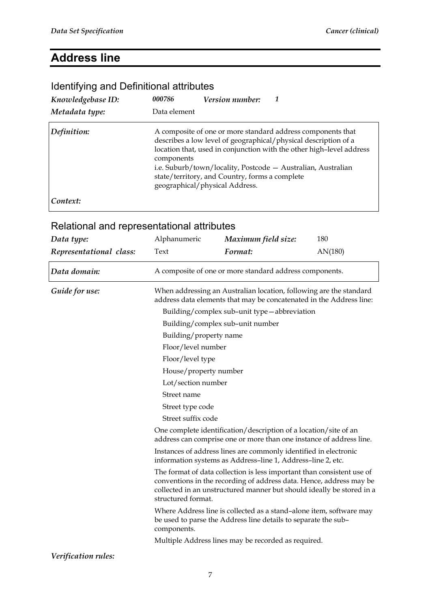### **Address line**

#### *Knowledgebase ID: 000786 Version number: 1 Metadata type:* Data element **Definition:** A composite of one or more standard address components that describes a low level of geographical/physical description of a location that, used in conjunction with the other high–level address components i.e. Suburb/town/locality, Postcode — Australian, Australian state/territory, and Country, forms a complete geographical/physical Address. *Context:*

#### Identifying and Definitional attributes

| Data type:              | Alphanumeric                                                                                                                                                                                                                                 | Maximum field size:                                                                                                                       | 180     |  |  |  |
|-------------------------|----------------------------------------------------------------------------------------------------------------------------------------------------------------------------------------------------------------------------------------------|-------------------------------------------------------------------------------------------------------------------------------------------|---------|--|--|--|
| Representational class: | Text                                                                                                                                                                                                                                         | Format:                                                                                                                                   | AN(180) |  |  |  |
| Data domain:            | A composite of one or more standard address components.                                                                                                                                                                                      |                                                                                                                                           |         |  |  |  |
| Guide for use:          |                                                                                                                                                                                                                                              | When addressing an Australian location, following are the standard<br>address data elements that may be concatenated in the Address line: |         |  |  |  |
|                         |                                                                                                                                                                                                                                              | Building/complex sub-unit type-abbreviation                                                                                               |         |  |  |  |
|                         |                                                                                                                                                                                                                                              | Building/complex sub-unit number                                                                                                          |         |  |  |  |
|                         |                                                                                                                                                                                                                                              | Building/property name                                                                                                                    |         |  |  |  |
|                         | Floor/level number                                                                                                                                                                                                                           |                                                                                                                                           |         |  |  |  |
|                         |                                                                                                                                                                                                                                              | Floor/level type                                                                                                                          |         |  |  |  |
|                         |                                                                                                                                                                                                                                              | House/property number                                                                                                                     |         |  |  |  |
|                         | Lot/section number                                                                                                                                                                                                                           |                                                                                                                                           |         |  |  |  |
|                         | Street name                                                                                                                                                                                                                                  |                                                                                                                                           |         |  |  |  |
|                         | Street type code                                                                                                                                                                                                                             |                                                                                                                                           |         |  |  |  |
|                         | Street suffix code                                                                                                                                                                                                                           |                                                                                                                                           |         |  |  |  |
|                         |                                                                                                                                                                                                                                              | One complete identification/description of a location/site of an<br>address can comprise one or more than one instance of address line.   |         |  |  |  |
|                         | Instances of address lines are commonly identified in electronic<br>information systems as Address-line 1, Address-line 2, etc.                                                                                                              |                                                                                                                                           |         |  |  |  |
|                         | The format of data collection is less important than consistent use of<br>conventions in the recording of address data. Hence, address may be<br>collected in an unstructured manner but should ideally be stored in a<br>structured format. |                                                                                                                                           |         |  |  |  |
|                         | components.                                                                                                                                                                                                                                  | Where Address line is collected as a stand-alone item, software may<br>be used to parse the Address line details to separate the sub-     |         |  |  |  |
|                         |                                                                                                                                                                                                                                              | Multiple Address lines may be recorded as required.                                                                                       |         |  |  |  |
| Verification rules:     |                                                                                                                                                                                                                                              |                                                                                                                                           |         |  |  |  |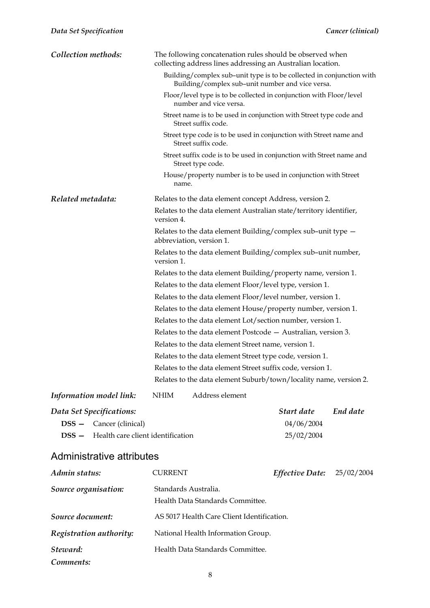| Collection methods:            | The following concatenation rules should be observed when<br>collecting address lines addressing an Australian location.  |  |  |  |  |
|--------------------------------|---------------------------------------------------------------------------------------------------------------------------|--|--|--|--|
|                                | Building/complex sub-unit type is to be collected in conjunction with<br>Building/complex sub-unit number and vice versa. |  |  |  |  |
|                                | Floor/level type is to be collected in conjunction with Floor/level<br>number and vice versa.                             |  |  |  |  |
|                                | Street name is to be used in conjunction with Street type code and<br>Street suffix code.                                 |  |  |  |  |
|                                | Street type code is to be used in conjunction with Street name and<br>Street suffix code.                                 |  |  |  |  |
|                                | Street suffix code is to be used in conjunction with Street name and<br>Street type code.                                 |  |  |  |  |
|                                | House/property number is to be used in conjunction with Street<br>name.                                                   |  |  |  |  |
| Related metadata:              | Relates to the data element concept Address, version 2.                                                                   |  |  |  |  |
|                                | Relates to the data element Australian state/territory identifier,<br>version 4.                                          |  |  |  |  |
|                                | Relates to the data element Building/complex sub-unit type -<br>abbreviation, version 1.                                  |  |  |  |  |
|                                | Relates to the data element Building/complex sub-unit number,<br>version 1.                                               |  |  |  |  |
|                                | Relates to the data element Building/property name, version 1.                                                            |  |  |  |  |
|                                | Relates to the data element Floor/level type, version 1.                                                                  |  |  |  |  |
|                                | Relates to the data element Floor/level number, version 1.                                                                |  |  |  |  |
|                                | Relates to the data element House/property number, version 1.                                                             |  |  |  |  |
|                                | Relates to the data element Lot/section number, version 1.                                                                |  |  |  |  |
|                                | Relates to the data element Postcode - Australian, version 3.                                                             |  |  |  |  |
|                                | Relates to the data element Street name, version 1.                                                                       |  |  |  |  |
|                                | Relates to the data element Street type code, version 1.                                                                  |  |  |  |  |
|                                | Relates to the data element Street suffix code, version 1.                                                                |  |  |  |  |
|                                | Relates to the data element Suburb/town/locality name, version 2.                                                         |  |  |  |  |
| Information model link:        | Address element<br><b>NHIM</b>                                                                                            |  |  |  |  |
| Data Set Specifications:       | Start date<br>End date                                                                                                    |  |  |  |  |
| <b>DSS</b> - Cancer (clinical) | 04/06/2004                                                                                                                |  |  |  |  |

#### Administrative attributes

| Admin status:           | <b>CURRENT</b>                                           | Effective Date: | 25/02/2004 |
|-------------------------|----------------------------------------------------------|-----------------|------------|
| Source organisation:    | Standards Australia.<br>Health Data Standards Committee. |                 |            |
| Source document:        | AS 5017 Health Care Client Identification.               |                 |            |
| Registration authority: | National Health Information Group.                       |                 |            |
| Steward:                | Health Data Standards Committee.                         |                 |            |
| Comments:               |                                                          |                 |            |

**DSS —** Health care client identification 25/02/2004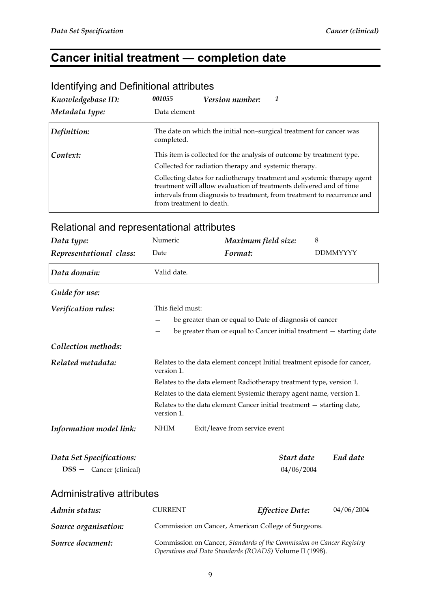### **Cancer initial treatment — completion date**

| Knowledgebase ID: | 001055<br>Version number:                                                                                                                                                                                                                            |
|-------------------|------------------------------------------------------------------------------------------------------------------------------------------------------------------------------------------------------------------------------------------------------|
| Metadata type:    | Data element                                                                                                                                                                                                                                         |
| Definition:       | The date on which the initial non-surgical treatment for cancer was<br>completed.                                                                                                                                                                    |
| Context:          | This item is collected for the analysis of outcome by treatment type.                                                                                                                                                                                |
|                   | Collected for radiation therapy and systemic therapy.                                                                                                                                                                                                |
|                   | Collecting dates for radiotherapy treatment and systemic therapy agent<br>treatment will allow evaluation of treatments delivered and of time<br>intervals from diagnosis to treatment, from treatment to recurrence and<br>from treatment to death. |

### Identifying and Definitional attributes

| Data type:                       | Numeric                                                                                                                         | Maximum field size:                                                   | 8               |  |
|----------------------------------|---------------------------------------------------------------------------------------------------------------------------------|-----------------------------------------------------------------------|-----------------|--|
| Representational class:          | Date                                                                                                                            | Format:                                                               | <b>DDMMYYYY</b> |  |
| Data domain:                     | Valid date.                                                                                                                     |                                                                       |                 |  |
| Guide for use:                   |                                                                                                                                 |                                                                       |                 |  |
| Verification rules:              | This field must:                                                                                                                |                                                                       |                 |  |
|                                  |                                                                                                                                 | be greater than or equal to Date of diagnosis of cancer               |                 |  |
|                                  |                                                                                                                                 | be greater than or equal to Cancer initial treatment - starting date  |                 |  |
| Collection methods:              |                                                                                                                                 |                                                                       |                 |  |
| Related metadata:                | Relates to the data element concept Initial treatment episode for cancer,<br>version 1.                                         |                                                                       |                 |  |
|                                  | Relates to the data element Radiotherapy treatment type, version 1.                                                             |                                                                       |                 |  |
|                                  | Relates to the data element Systemic therapy agent name, version 1.                                                             |                                                                       |                 |  |
|                                  | version 1.                                                                                                                      | Relates to the data element Cancer initial treatment - starting date, |                 |  |
| Information model link:          | $\mathbf{N}\mathbf{H}\mathbf{I}\mathbf{M}$                                                                                      | Exit/leave from service event                                         |                 |  |
| Data Set Specifications:         |                                                                                                                                 | Start date                                                            | End date        |  |
| <b>DSS</b> - Cancer (clinical)   |                                                                                                                                 | 04/06/2004                                                            |                 |  |
| <b>Administrative attributes</b> |                                                                                                                                 |                                                                       |                 |  |
| Admin status:                    | <b>CURRENT</b>                                                                                                                  | <b>Effective Date:</b>                                                | 04/06/2004      |  |
| Source organisation:             |                                                                                                                                 | Commission on Cancer, American College of Surgeons.                   |                 |  |
| Source document:                 | Commission on Cancer, Standards of the Commission on Cancer Registry<br>Operations and Data Standards (ROADS) Volume II (1998). |                                                                       |                 |  |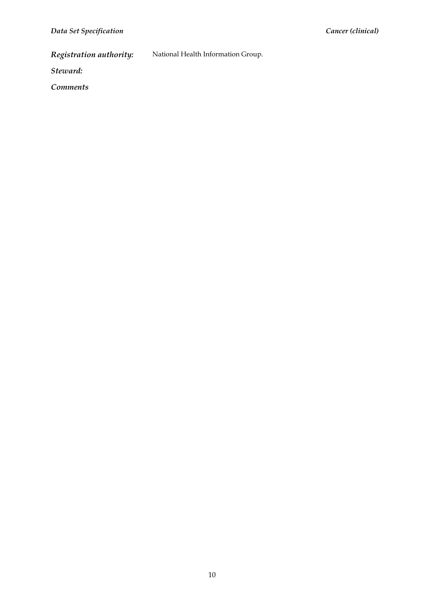*Registration authority:* National Health Information Group.

*Steward:* 

*Comments*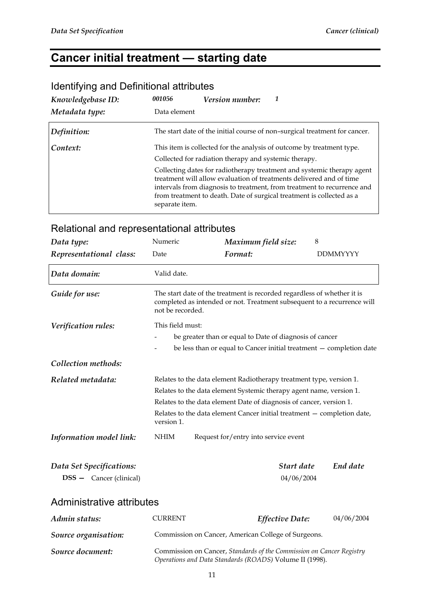# **Cancer initial treatment — starting date**

| Knowledgebase ID: | 001056<br><i>Version number:</i>                                                                                                                                                                                                                                                                                    |
|-------------------|---------------------------------------------------------------------------------------------------------------------------------------------------------------------------------------------------------------------------------------------------------------------------------------------------------------------|
| Metadata type:    | Data element                                                                                                                                                                                                                                                                                                        |
| Definition:       | The start date of the initial course of non-surgical treatment for cancer.                                                                                                                                                                                                                                          |
| Context:          | This item is collected for the analysis of outcome by treatment type.                                                                                                                                                                                                                                               |
|                   | Collected for radiation therapy and systemic therapy.                                                                                                                                                                                                                                                               |
|                   | Collecting dates for radiotherapy treatment and systemic therapy agent<br>treatment will allow evaluation of treatments delivered and of time<br>intervals from diagnosis to treatment, from treatment to recurrence and<br>from treatment to death. Date of surgical treatment is collected as a<br>separate item. |

### Identifying and Definitional attributes

| Data type:                                                 | Numeric                                                              | Maximum field size:                                                                                                                                                                                                                                                                          | 8               |
|------------------------------------------------------------|----------------------------------------------------------------------|----------------------------------------------------------------------------------------------------------------------------------------------------------------------------------------------------------------------------------------------------------------------------------------------|-----------------|
| Representational class:                                    | Date                                                                 | Format:                                                                                                                                                                                                                                                                                      | <b>DDMMYYYY</b> |
| Data domain:                                               | Valid date.                                                          |                                                                                                                                                                                                                                                                                              |                 |
| Guide for use:                                             | not be recorded.                                                     | The start date of the treatment is recorded regardless of whether it is<br>completed as intended or not. Treatment subsequent to a recurrence will                                                                                                                                           |                 |
| Verification rules:                                        | This field must:                                                     | be greater than or equal to Date of diagnosis of cancer                                                                                                                                                                                                                                      |                 |
| Collection methods:                                        |                                                                      | be less than or equal to Cancer initial treatment - completion date                                                                                                                                                                                                                          |                 |
| Related metadata:                                          | version 1.                                                           | Relates to the data element Radiotherapy treatment type, version 1.<br>Relates to the data element Systemic therapy agent name, version 1.<br>Relates to the data element Date of diagnosis of cancer, version 1.<br>Relates to the data element Cancer initial treatment - completion date, |                 |
| Information model link:                                    | <b>NHIM</b>                                                          | Request for/entry into service event                                                                                                                                                                                                                                                         |                 |
| Data Set Specifications:<br><b>DSS</b> - Cancer (clinical) |                                                                      | Start date<br>04/06/2004                                                                                                                                                                                                                                                                     | End date        |
| Administrative attributes                                  |                                                                      |                                                                                                                                                                                                                                                                                              |                 |
| Admin status:                                              | <b>CURRENT</b>                                                       | Effective Date:                                                                                                                                                                                                                                                                              | 04/06/2004      |
| Source organisation:                                       | Commission on Cancer, American College of Surgeons.                  |                                                                                                                                                                                                                                                                                              |                 |
| Source document:                                           | Commission on Cancer, Standards of the Commission on Cancer Registry |                                                                                                                                                                                                                                                                                              |                 |

#### Relational and representational attributes

*Source document:* Commission on Cancer, *Standards of the Commission on Cancer Registry Operations and Data Standards (ROADS)* Volume II (1998).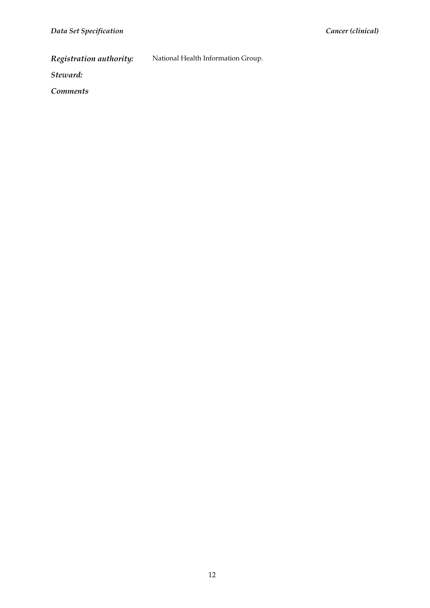*Registration authority:* National Health Information Group.

*Steward:* 

*Comments*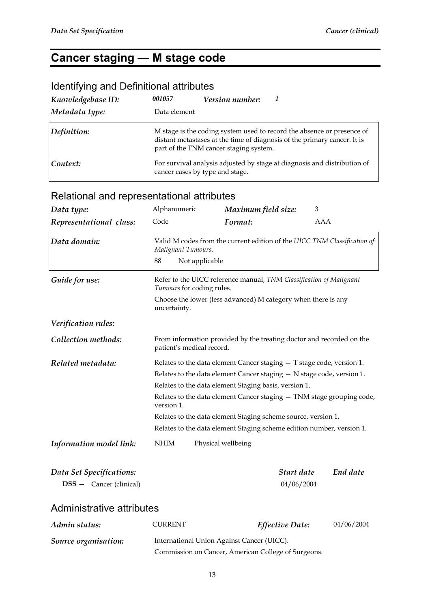#### **Cancer staging — M stage code**

#### Identifying and Definitional attributes *Knowledgebase ID: 001057 Version number: 1 Metadata type:* Data element **Definition:** M stage is the coding system used to record the absence or presence of distant metastases at the time of diagnosis of the primary cancer. It is part of the TNM cancer staging system. **Context:** For survival analysis adjusted by stage at diagnosis and distribution of cancer cases by type and stage.

| Data type:                                          | Alphanumeric                                                                                      | Maximum field size:                                                      | 3                      |            |
|-----------------------------------------------------|---------------------------------------------------------------------------------------------------|--------------------------------------------------------------------------|------------------------|------------|
| Representational class:                             | Code                                                                                              | Format:                                                                  | AAA                    |            |
| Data domain:                                        | Malignant Tumours.                                                                                | Valid M codes from the current edition of the UICC TNM Classification of |                        |            |
|                                                     | 88<br>Not applicable                                                                              |                                                                          |                        |            |
| Guide for use:                                      | Tumours for coding rules.                                                                         | Refer to the UICC reference manual, TNM Classification of Malignant      |                        |            |
|                                                     | uncertainty.                                                                                      | Choose the lower (less advanced) M category when there is any            |                        |            |
| Verification rules:                                 |                                                                                                   |                                                                          |                        |            |
| Collection methods:                                 | From information provided by the treating doctor and recorded on the<br>patient's medical record. |                                                                          |                        |            |
| Related metadata:                                   | Relates to the data element Cancer staging $-$ T stage code, version 1.                           |                                                                          |                        |            |
|                                                     | Relates to the data element Cancer staging $-$ N stage code, version 1.                           |                                                                          |                        |            |
|                                                     | Relates to the data element Staging basis, version 1.                                             |                                                                          |                        |            |
|                                                     | Relates to the data element Cancer staging - TNM stage grouping code,<br>version 1.               |                                                                          |                        |            |
|                                                     | Relates to the data element Staging scheme source, version 1.                                     |                                                                          |                        |            |
|                                                     | Relates to the data element Staging scheme edition number, version 1.                             |                                                                          |                        |            |
| <b>Information model link:</b>                      | <b>NHIM</b>                                                                                       | Physical wellbeing                                                       |                        |            |
| Data Set Specifications:                            |                                                                                                   |                                                                          | Start date             | End date   |
| <b>DSS</b> - Cancer (clinical)                      |                                                                                                   |                                                                          | 04/06/2004             |            |
| Administrative attributes                           |                                                                                                   |                                                                          |                        |            |
| Admin status:                                       | <b>CURRENT</b>                                                                                    |                                                                          | <b>Effective Date:</b> | 04/06/2004 |
| Source organisation:                                | International Union Against Cancer (UICC).                                                        |                                                                          |                        |            |
| Commission on Cancer, American College of Surgeons. |                                                                                                   |                                                                          |                        |            |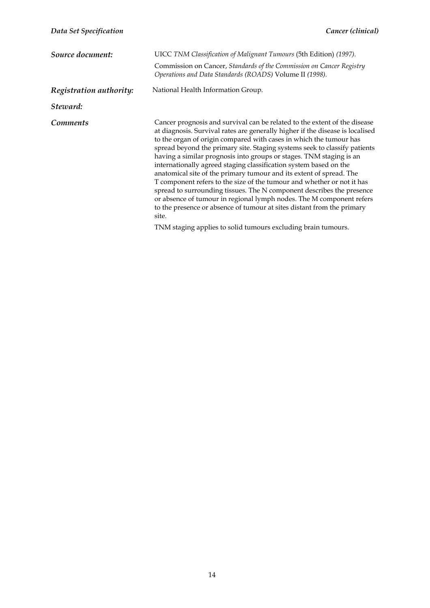| Source document:        | UICC TNM Classification of Malignant Tumours (5th Edition) (1997).<br>Commission on Cancer, Standards of the Commission on Cancer Registry<br>Operations and Data Standards (ROADS) Volume II (1998).                                                                                                                                                                                                                                                                                                                                                                                                                                                                                                                                                                                                                                                                                                           |
|-------------------------|-----------------------------------------------------------------------------------------------------------------------------------------------------------------------------------------------------------------------------------------------------------------------------------------------------------------------------------------------------------------------------------------------------------------------------------------------------------------------------------------------------------------------------------------------------------------------------------------------------------------------------------------------------------------------------------------------------------------------------------------------------------------------------------------------------------------------------------------------------------------------------------------------------------------|
| Registration authority: | National Health Information Group.                                                                                                                                                                                                                                                                                                                                                                                                                                                                                                                                                                                                                                                                                                                                                                                                                                                                              |
| Steward:                |                                                                                                                                                                                                                                                                                                                                                                                                                                                                                                                                                                                                                                                                                                                                                                                                                                                                                                                 |
| Comments                | Cancer prognosis and survival can be related to the extent of the disease<br>at diagnosis. Survival rates are generally higher if the disease is localised<br>to the organ of origin compared with cases in which the tumour has<br>spread beyond the primary site. Staging systems seek to classify patients<br>having a similar prognosis into groups or stages. TNM staging is an<br>internationally agreed staging classification system based on the<br>anatomical site of the primary tumour and its extent of spread. The<br>T component refers to the size of the tumour and whether or not it has<br>spread to surrounding tissues. The N component describes the presence<br>or absence of tumour in regional lymph nodes. The M component refers<br>to the presence or absence of tumour at sites distant from the primary<br>site.<br>TNM staging applies to solid tumours excluding brain tumours. |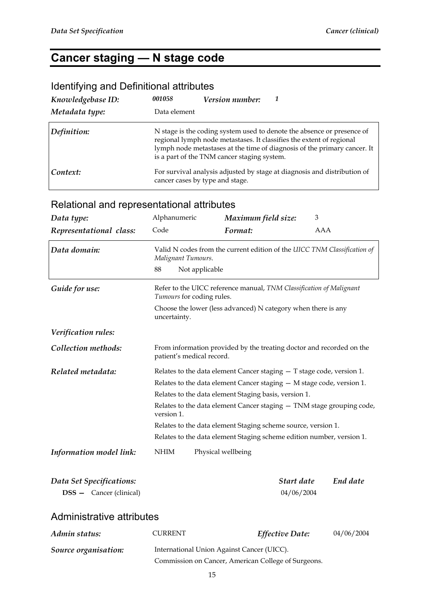### **Cancer staging — N stage code**

#### Identifying and Definitional attributes

| Knowledgebase ID: | 001058       | <i>Version number:</i>                      |                                                                                                                                                                                                                            |
|-------------------|--------------|---------------------------------------------|----------------------------------------------------------------------------------------------------------------------------------------------------------------------------------------------------------------------------|
| Metadata type:    | Data element |                                             |                                                                                                                                                                                                                            |
| Definition:       |              | is a part of the TNM cancer staging system. | N stage is the coding system used to denote the absence or presence of<br>regional lymph node metastases. It classifies the extent of regional<br>lymph node metastases at the time of diagnosis of the primary cancer. It |
| Context:          |              | cancer cases by type and stage.             | For survival analysis adjusted by stage at diagnosis and distribution of                                                                                                                                                   |

### Relational and representational attributes

| Data type:                     | Alphanumeric                                                                        | Maximum field size:                                                                               | 3   |            |
|--------------------------------|-------------------------------------------------------------------------------------|---------------------------------------------------------------------------------------------------|-----|------------|
| Representational class:        | Code                                                                                | Format:                                                                                           | AAA |            |
| Data domain:                   | Malignant Tumours.                                                                  | Valid N codes from the current edition of the UICC TNM Classification of                          |     |            |
|                                | 88                                                                                  | Not applicable                                                                                    |     |            |
| Guide for use:                 |                                                                                     | Refer to the UICC reference manual, TNM Classification of Malignant<br>Tumours for coding rules.  |     |            |
|                                | uncertainty.                                                                        | Choose the lower (less advanced) N category when there is any                                     |     |            |
| Verification rules:            |                                                                                     |                                                                                                   |     |            |
| Collection methods:            |                                                                                     | From information provided by the treating doctor and recorded on the<br>patient's medical record. |     |            |
| Related metadata:              | Relates to the data element Cancer staging $-$ T stage code, version 1.             |                                                                                                   |     |            |
|                                | Relates to the data element Cancer staging $-$ M stage code, version 1.             |                                                                                                   |     |            |
|                                | Relates to the data element Staging basis, version 1.                               |                                                                                                   |     |            |
|                                | Relates to the data element Cancer staging - TNM stage grouping code,<br>version 1. |                                                                                                   |     |            |
|                                | Relates to the data element Staging scheme source, version 1.                       |                                                                                                   |     |            |
|                                | Relates to the data element Staging scheme edition number, version 1.               |                                                                                                   |     |            |
| Information model link:        | <b>NHIM</b>                                                                         | Physical wellbeing                                                                                |     |            |
| Data Set Specifications:       |                                                                                     | Start date                                                                                        |     | End date   |
| <b>DSS</b> - Cancer (clinical) | 04/06/2004                                                                          |                                                                                                   |     |            |
| Administrative attributes      |                                                                                     |                                                                                                   |     |            |
| Admin status:                  | <b>CURRENT</b>                                                                      | Effective Date:                                                                                   |     | 04/06/2004 |
| Source organisation:           | International Union Against Cancer (UICC).                                          |                                                                                                   |     |            |

Commission on Cancer, American College of Surgeons.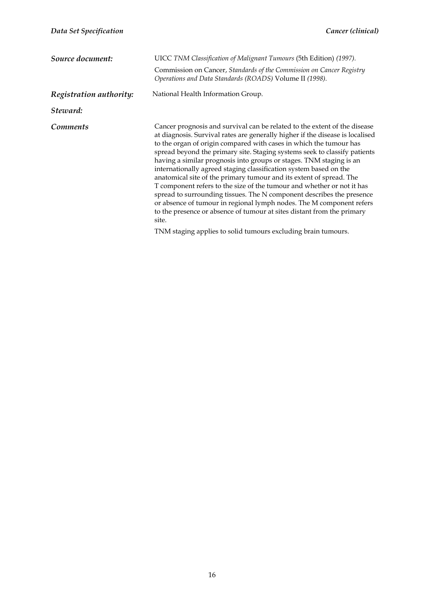| Source document:        | UICC TNM Classification of Malignant Tumours (5th Edition) (1997).<br>Commission on Cancer, Standards of the Commission on Cancer Registry<br>Operations and Data Standards (ROADS) Volume II (1998).<br>National Health Information Group.                                                                                                                                                                                                                                                                                                                                                                                                                                                                                                                                                                                                                                                                     |
|-------------------------|-----------------------------------------------------------------------------------------------------------------------------------------------------------------------------------------------------------------------------------------------------------------------------------------------------------------------------------------------------------------------------------------------------------------------------------------------------------------------------------------------------------------------------------------------------------------------------------------------------------------------------------------------------------------------------------------------------------------------------------------------------------------------------------------------------------------------------------------------------------------------------------------------------------------|
| Registration authority: |                                                                                                                                                                                                                                                                                                                                                                                                                                                                                                                                                                                                                                                                                                                                                                                                                                                                                                                 |
| Steward:                |                                                                                                                                                                                                                                                                                                                                                                                                                                                                                                                                                                                                                                                                                                                                                                                                                                                                                                                 |
| <i>Comments</i>         | Cancer prognosis and survival can be related to the extent of the disease<br>at diagnosis. Survival rates are generally higher if the disease is localised<br>to the organ of origin compared with cases in which the tumour has<br>spread beyond the primary site. Staging systems seek to classify patients<br>having a similar prognosis into groups or stages. TNM staging is an<br>internationally agreed staging classification system based on the<br>anatomical site of the primary tumour and its extent of spread. The<br>T component refers to the size of the tumour and whether or not it has<br>spread to surrounding tissues. The N component describes the presence<br>or absence of tumour in regional lymph nodes. The M component refers<br>to the presence or absence of tumour at sites distant from the primary<br>site.<br>TNM staging applies to solid tumours excluding brain tumours. |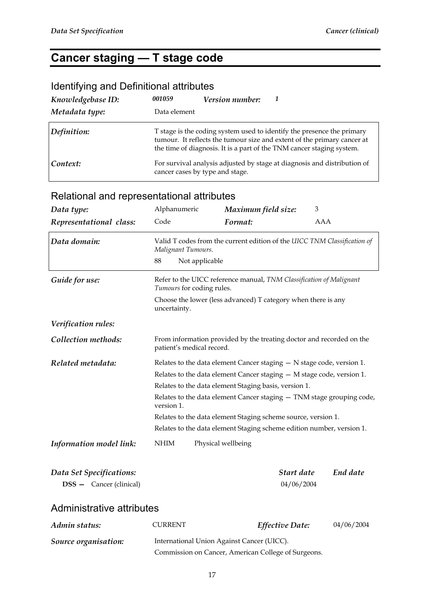#### **Cancer staging — T stage code**

#### Identifying and Definitional attributes

| Knowledgebase ID: | 001059<br>Version number:                                                                                                                                                                                                  |  |
|-------------------|----------------------------------------------------------------------------------------------------------------------------------------------------------------------------------------------------------------------------|--|
| Metadata type:    | Data element                                                                                                                                                                                                               |  |
| Definition:       | T stage is the coding system used to identify the presence the primary<br>tumour. It reflects the tumour size and extent of the primary cancer at<br>the time of diagnosis. It is a part of the TNM cancer staging system. |  |
| Context:          | For survival analysis adjusted by stage at diagnosis and distribution of<br>cancer cases by type and stage.                                                                                                                |  |

### *Data type:* **Alphanumeric** *Maximum field size:* <sup>3</sup> *Representational class:* Code *Format:* AAA *Data domain:* Valid T codes from the current edition of the *UICC TNM Classification of Malignant Tumours*. 88 Not applicable *Guide for use:* **Refer to the UICC reference manual,** *TNM Classification of Malignant Tumours* for coding rules. Choose the lower (less advanced) T category when there is any uncertainty. *Verification rules:*  **Collection methods:** From information provided by the treating doctor and recorded on the patient's medical record. *Related metadata:* **Relates to the data element Cancer staging – N stage code, version 1.** Relates to the data element Cancer staging — M stage code, version 1. Relates to the data element Staging basis, version 1. Relates to the data element Cancer staging — TNM stage grouping code, version 1. Relates to the data element Staging scheme source, version 1. Relates to the data element Staging scheme edition number, version 1. *Information model link:* NHIM Physical wellbeing *Data Set Specifications: Start date End date*  **DSS —** Cancer (clinical) 04/06/2004 Administrative attributes *Admin status:* CURRENT *Effective Date:* 04/06/2004

| Source organisation: | International Union Against Cancer (UICC).          |
|----------------------|-----------------------------------------------------|
|                      | Commission on Cancer, American College of Surgeons. |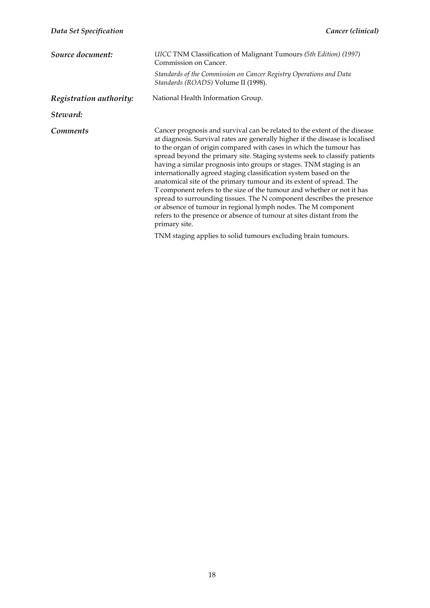| Source document:        | UICC TNM Classification of Malignant Tumours (5th Edition) (1997)<br>Commission on Cancer.<br>Standards of the Commission on Cancer Registry Operations and Data<br>Standards (ROADS) Volume II (1998).                                                                                                                                                                                                                                                                                                                                                                                                                                                                                                                                                                                                                                        |  |  |
|-------------------------|------------------------------------------------------------------------------------------------------------------------------------------------------------------------------------------------------------------------------------------------------------------------------------------------------------------------------------------------------------------------------------------------------------------------------------------------------------------------------------------------------------------------------------------------------------------------------------------------------------------------------------------------------------------------------------------------------------------------------------------------------------------------------------------------------------------------------------------------|--|--|
| Registration authority: | National Health Information Group.                                                                                                                                                                                                                                                                                                                                                                                                                                                                                                                                                                                                                                                                                                                                                                                                             |  |  |
| Steward:                |                                                                                                                                                                                                                                                                                                                                                                                                                                                                                                                                                                                                                                                                                                                                                                                                                                                |  |  |
| <i>Comments</i>         | Cancer prognosis and survival can be related to the extent of the disease<br>at diagnosis. Survival rates are generally higher if the disease is localised<br>to the organ of origin compared with cases in which the tumour has<br>spread beyond the primary site. Staging systems seek to classify patients<br>having a similar prognosis into groups or stages. TNM staging is an<br>internationally agreed staging classification system based on the<br>anatomical site of the primary tumour and its extent of spread. The<br>T component refers to the size of the tumour and whether or not it has<br>spread to surrounding tissues. The N component describes the presence<br>or absence of tumour in regional lymph nodes. The M component<br>refers to the presence or absence of tumour at sites distant from the<br>primary site. |  |  |
|                         | TNM staging applies to solid tumours excluding brain tumours.                                                                                                                                                                                                                                                                                                                                                                                                                                                                                                                                                                                                                                                                                                                                                                                  |  |  |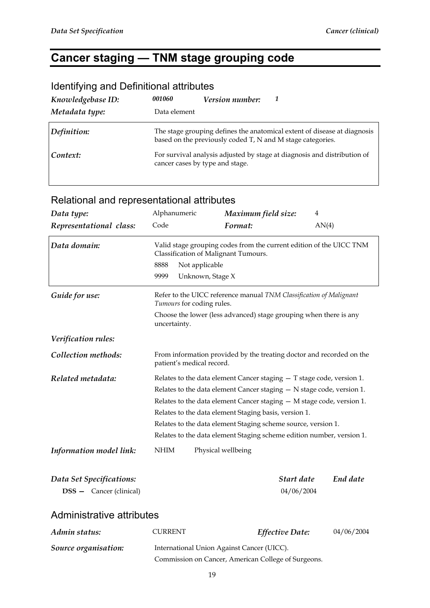### **Cancer staging — TNM stage grouping code**

| Knowledgebase ID:<br>Metadata type: | 001060<br>Data element          | <b>Version number:</b>                                     |                                                                          |
|-------------------------------------|---------------------------------|------------------------------------------------------------|--------------------------------------------------------------------------|
| Definition:                         |                                 | based on the previously coded T, N and M stage categories. | The stage grouping defines the anatomical extent of disease at diagnosis |
| Context:                            | cancer cases by type and stage. |                                                            | For survival analysis adjusted by stage at diagnosis and distribution of |

#### Identifying and Definitional attributes

| Data type:                                                 | Alphanumeric                                                                                                                                                                                                                                                                                                                                                                                                                     | Maximum field size:                                                                                         |                          | $\overline{4}$ |
|------------------------------------------------------------|----------------------------------------------------------------------------------------------------------------------------------------------------------------------------------------------------------------------------------------------------------------------------------------------------------------------------------------------------------------------------------------------------------------------------------|-------------------------------------------------------------------------------------------------------------|--------------------------|----------------|
| Representational class:                                    | Code                                                                                                                                                                                                                                                                                                                                                                                                                             | Format:                                                                                                     |                          | AN(4)          |
| Data domain:                                               |                                                                                                                                                                                                                                                                                                                                                                                                                                  | Valid stage grouping codes from the current edition of the UICC TNM<br>Classification of Malignant Tumours. |                          |                |
|                                                            | 8888                                                                                                                                                                                                                                                                                                                                                                                                                             | Not applicable                                                                                              |                          |                |
|                                                            | 9999                                                                                                                                                                                                                                                                                                                                                                                                                             | Unknown, Stage X                                                                                            |                          |                |
| Guide for use:                                             |                                                                                                                                                                                                                                                                                                                                                                                                                                  | Refer to the UICC reference manual TNM Classification of Malignant<br>Tumours for coding rules.             |                          |                |
|                                                            | uncertainty.                                                                                                                                                                                                                                                                                                                                                                                                                     | Choose the lower (less advanced) stage grouping when there is any                                           |                          |                |
| Verification rules:                                        |                                                                                                                                                                                                                                                                                                                                                                                                                                  |                                                                                                             |                          |                |
| Collection methods:                                        | From information provided by the treating doctor and recorded on the<br>patient's medical record.                                                                                                                                                                                                                                                                                                                                |                                                                                                             |                          |                |
| Related metadata:                                          | Relates to the data element Cancer staging $-$ T stage code, version 1.<br>Relates to the data element Cancer staging $-$ N stage code, version 1.<br>Relates to the data element Cancer staging $-$ M stage code, version 1.<br>Relates to the data element Staging basis, version 1.<br>Relates to the data element Staging scheme source, version 1.<br>Relates to the data element Staging scheme edition number, version 1. |                                                                                                             |                          |                |
| Information model link:                                    | <b>NHIM</b><br>Physical wellbeing                                                                                                                                                                                                                                                                                                                                                                                                |                                                                                                             |                          |                |
| Data Set Specifications:<br><b>DSS</b> - Cancer (clinical) |                                                                                                                                                                                                                                                                                                                                                                                                                                  |                                                                                                             | Start date<br>04/06/2004 | End date       |
| <b>Administrative attributes</b>                           |                                                                                                                                                                                                                                                                                                                                                                                                                                  |                                                                                                             |                          |                |
| Admin status:                                              | <b>CURRENT</b>                                                                                                                                                                                                                                                                                                                                                                                                                   |                                                                                                             | Effective Date:          | 04/06/2004     |
| Source organisation:                                       | International Union Against Cancer (UICC).                                                                                                                                                                                                                                                                                                                                                                                       |                                                                                                             |                          |                |

#### Relational and representational attributes

Commission on Cancer, American College of Surgeons.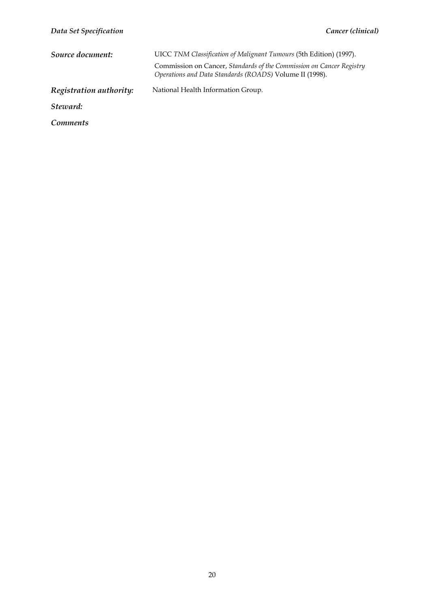| Data Set Specification  | Cancer (clinical)                                                                                                               |
|-------------------------|---------------------------------------------------------------------------------------------------------------------------------|
| Source document:        | UICC TNM Classification of Malignant Tumours (5th Edition) (1997).                                                              |
|                         | Commission on Cancer, Standards of the Commission on Cancer Registry<br>Operations and Data Standards (ROADS) Volume II (1998). |
| Registration authority: | National Health Information Group.                                                                                              |
| Steward:                |                                                                                                                                 |
| <i>Comments</i>         |                                                                                                                                 |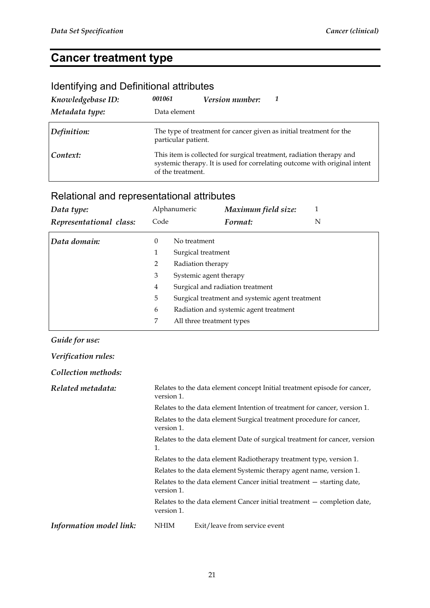### **Cancer treatment type**

### Identifying and Definitional attributes

| Knowledgebase ID:<br>Metadata type: | 001061<br>Data element | Version number: |                                                                                                                                                   |
|-------------------------------------|------------------------|-----------------|---------------------------------------------------------------------------------------------------------------------------------------------------|
| Definition:                         | particular patient.    |                 | The type of treatment for cancer given as initial treatment for the                                                                               |
| Context:                            | of the treatment.      |                 | This item is collected for surgical treatment, radiation therapy and<br>systemic therapy. It is used for correlating outcome with original intent |

### Relational and representational attributes

| Data type:              |                                                                                                            | Alphanumeric              | Maximum field size:                    |   |
|-------------------------|------------------------------------------------------------------------------------------------------------|---------------------------|----------------------------------------|---|
| Representational class: | Code                                                                                                       |                           | Format:                                | N |
| Data domain:            | $\theta$                                                                                                   | No treatment              |                                        |   |
|                         | 1                                                                                                          | Surgical treatment        |                                        |   |
|                         | 2                                                                                                          | Radiation therapy         |                                        |   |
|                         | 3                                                                                                          | Systemic agent therapy    |                                        |   |
|                         | Surgical and radiation treatment<br>$\overline{4}$<br>5<br>Surgical treatment and systemic agent treatment |                           |                                        |   |
|                         |                                                                                                            |                           |                                        |   |
|                         | 6                                                                                                          |                           | Radiation and systemic agent treatment |   |
|                         | 7                                                                                                          | All three treatment types |                                        |   |

#### *Guide for use:*

| Verification rules:     |                                                                                    |                                                                           |  |  |
|-------------------------|------------------------------------------------------------------------------------|---------------------------------------------------------------------------|--|--|
| Collection methods:     |                                                                                    |                                                                           |  |  |
| Related metadata:       | version 1.                                                                         | Relates to the data element concept Initial treatment episode for cancer, |  |  |
|                         |                                                                                    | Relates to the data element Intention of treatment for cancer, version 1. |  |  |
|                         | Relates to the data element Surgical treatment procedure for cancer,<br>version 1. |                                                                           |  |  |
|                         | Relates to the data element Date of surgical treatment for cancer, version<br>1.   |                                                                           |  |  |
|                         | Relates to the data element Radiotherapy treatment type, version 1.                |                                                                           |  |  |
|                         | Relates to the data element Systemic therapy agent name, version 1.                |                                                                           |  |  |
|                         | version 1.                                                                         | Relates to the data element Cancer initial treatment – starting date,     |  |  |
|                         | version 1.                                                                         | Relates to the data element Cancer initial treatment – completion date,   |  |  |
| Information model link: | NHIM                                                                               | Exit/leave from service event                                             |  |  |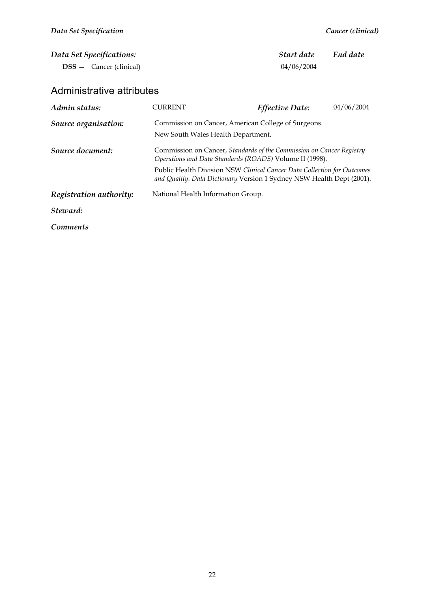| Data Set Specifications:<br><b>DSS</b> – Cancer (clinical) |                                                                                                                                                                                                                                                                                     | Start date<br>04/06/2004 | End date   |
|------------------------------------------------------------|-------------------------------------------------------------------------------------------------------------------------------------------------------------------------------------------------------------------------------------------------------------------------------------|--------------------------|------------|
| Administrative attributes                                  |                                                                                                                                                                                                                                                                                     |                          |            |
| Admin status:                                              | <b>CURRENT</b>                                                                                                                                                                                                                                                                      | <b>Effective Date:</b>   | 04/06/2004 |
| Source organisation:                                       | Commission on Cancer, American College of Surgeons.<br>New South Wales Health Department.                                                                                                                                                                                           |                          |            |
| Source document:                                           | Commission on Cancer, Standards of the Commission on Cancer Registry<br>Operations and Data Standards (ROADS) Volume II (1998).<br>Public Health Division NSW Clinical Cancer Data Collection for Outcomes<br>and Quality. Data Dictionary Version 1 Sydney NSW Health Dept (2001). |                          |            |
| Registration authority:                                    | National Health Information Group.                                                                                                                                                                                                                                                  |                          |            |
| Steward:                                                   |                                                                                                                                                                                                                                                                                     |                          |            |
| Comments                                                   |                                                                                                                                                                                                                                                                                     |                          |            |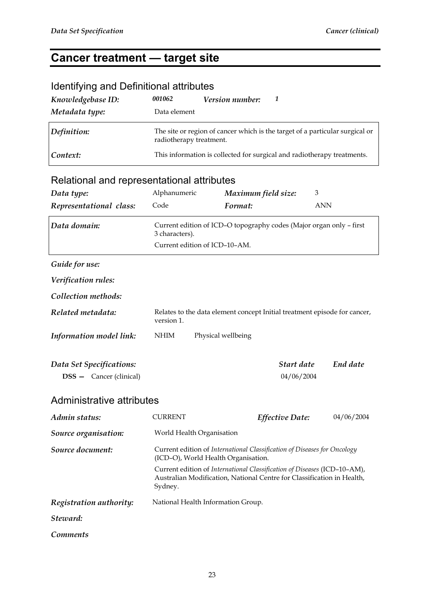# **Cancer treatment — target site**

| <b>Identifying and Definitional attributes</b>             |                           |                                                                                                                                                    |                          |                                                                              |
|------------------------------------------------------------|---------------------------|----------------------------------------------------------------------------------------------------------------------------------------------------|--------------------------|------------------------------------------------------------------------------|
| Knowledgebase ID:                                          | 001062                    | Version number:                                                                                                                                    | 1                        |                                                                              |
| Metadata type:                                             | Data element              |                                                                                                                                                    |                          |                                                                              |
| Definition:                                                | radiotherapy treatment.   |                                                                                                                                                    |                          | The site or region of cancer which is the target of a particular surgical or |
| Context:                                                   |                           | This information is collected for surgical and radiotherapy treatments.                                                                            |                          |                                                                              |
| Relational and representational attributes                 |                           |                                                                                                                                                    |                          |                                                                              |
| Data type:                                                 | Alphanumeric              |                                                                                                                                                    | Maximum field size:      | 3                                                                            |
| Representational class:                                    | Code                      | Format:                                                                                                                                            |                          | <b>ANN</b>                                                                   |
| Data domain:                                               | 3 characters).            | Current edition of ICD-O topography codes (Major organ only - first<br>Current edition of ICD-10-AM.                                               |                          |                                                                              |
| Guide for use:                                             |                           |                                                                                                                                                    |                          |                                                                              |
| Verification rules:                                        |                           |                                                                                                                                                    |                          |                                                                              |
| Collection methods:                                        |                           |                                                                                                                                                    |                          |                                                                              |
| Related metadata:                                          | version 1.                |                                                                                                                                                    |                          | Relates to the data element concept Initial treatment episode for cancer,    |
| Information model link:                                    | <b>NHIM</b>               | Physical wellbeing                                                                                                                                 |                          |                                                                              |
| Data Set Specifications:<br><b>DSS</b> - Cancer (clinical) |                           |                                                                                                                                                    | Start date<br>04/06/2004 | End date                                                                     |
| Administrative attributes                                  |                           |                                                                                                                                                    |                          |                                                                              |
| Admin status:                                              | <b>CURRENT</b>            |                                                                                                                                                    | Effective Date:          | 04/06/2004                                                                   |
| Source organisation:                                       | World Health Organisation |                                                                                                                                                    |                          |                                                                              |
| Source document:                                           |                           | Current edition of International Classification of Diseases for Oncology<br>(ICD-O), World Health Organisation.                                    |                          |                                                                              |
|                                                            | Sydney.                   | Current edition of International Classification of Diseases (ICD-10-AM),<br>Australian Modification, National Centre for Classification in Health, |                          |                                                                              |
| Registration authority:                                    |                           | National Health Information Group.                                                                                                                 |                          |                                                                              |
| Steward:                                                   |                           |                                                                                                                                                    |                          |                                                                              |
| <b>Comments</b>                                            |                           |                                                                                                                                                    |                          |                                                                              |

#### 23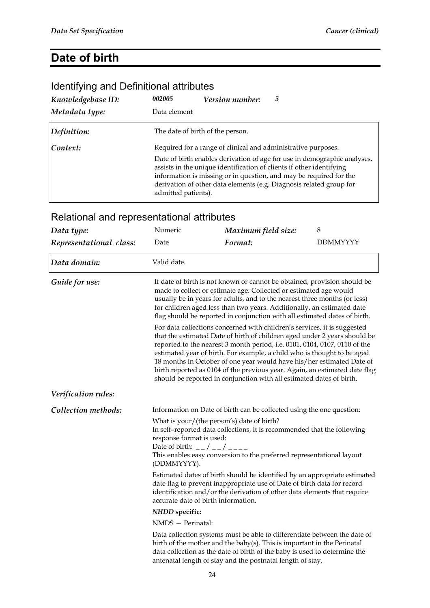#### **Date of birth**

#### *Knowledgebase ID: 002005 Version number: 5 Metadata type:* Data element *Definition:* The date of birth of the person. **Context:** Required for a range of clinical and administrative purposes. Date of birth enables derivation of age for use in demographic analyses, assists in the unique identification of clients if other identifying information is missing or in question, and may be required for the derivation of other data elements (e.g. Diagnosis related group for admitted patients).

| Data type:              | Numeric                                                                                                                                                                                                                                                                                                                                                                                                                                                                                                                                                                                                                                                                                                                                                                                                                                                                                                                            | Maximum field size:                                                                                                                                                                                                               | 8               |
|-------------------------|------------------------------------------------------------------------------------------------------------------------------------------------------------------------------------------------------------------------------------------------------------------------------------------------------------------------------------------------------------------------------------------------------------------------------------------------------------------------------------------------------------------------------------------------------------------------------------------------------------------------------------------------------------------------------------------------------------------------------------------------------------------------------------------------------------------------------------------------------------------------------------------------------------------------------------|-----------------------------------------------------------------------------------------------------------------------------------------------------------------------------------------------------------------------------------|-----------------|
| Representational class: | Date                                                                                                                                                                                                                                                                                                                                                                                                                                                                                                                                                                                                                                                                                                                                                                                                                                                                                                                               | Format:                                                                                                                                                                                                                           | <b>DDMMYYYY</b> |
| Data domain:            | Valid date.                                                                                                                                                                                                                                                                                                                                                                                                                                                                                                                                                                                                                                                                                                                                                                                                                                                                                                                        |                                                                                                                                                                                                                                   |                 |
| Guide for use:          | If date of birth is not known or cannot be obtained, provision should be<br>made to collect or estimate age. Collected or estimated age would<br>usually be in years for adults, and to the nearest three months (or less)<br>for children aged less than two years. Additionally, an estimated date<br>flag should be reported in conjunction with all estimated dates of birth.<br>For data collections concerned with children's services, it is suggested<br>that the estimated Date of birth of children aged under 2 years should be<br>reported to the nearest 3 month period, i.e. 0101, 0104, 0107, 0110 of the<br>estimated year of birth. For example, a child who is thought to be aged<br>18 months in October of one year would have his/her estimated Date of<br>birth reported as 0104 of the previous year. Again, an estimated date flag<br>should be reported in conjunction with all estimated dates of birth. |                                                                                                                                                                                                                                   |                 |
| Verification rules:     |                                                                                                                                                                                                                                                                                                                                                                                                                                                                                                                                                                                                                                                                                                                                                                                                                                                                                                                                    |                                                                                                                                                                                                                                   |                 |
| Collection methods:     |                                                                                                                                                                                                                                                                                                                                                                                                                                                                                                                                                                                                                                                                                                                                                                                                                                                                                                                                    | Information on Date of birth can be collected using the one question:                                                                                                                                                             |                 |
|                         | response format is used:<br>Date of birth: $-$ / $-$ / $-$ - - -<br>(DDMMYYYY).                                                                                                                                                                                                                                                                                                                                                                                                                                                                                                                                                                                                                                                                                                                                                                                                                                                    | What is your/(the person's) date of birth?<br>In self-reported data collections, it is recommended that the following<br>This enables easy conversion to the preferred representational layout                                    |                 |
|                         | accurate date of birth information.                                                                                                                                                                                                                                                                                                                                                                                                                                                                                                                                                                                                                                                                                                                                                                                                                                                                                                | Estimated dates of birth should be identified by an appropriate estimated<br>date flag to prevent inappropriate use of Date of birth data for record<br>identification and/or the derivation of other data elements that require  |                 |
|                         | <b>NHDD</b> specific:                                                                                                                                                                                                                                                                                                                                                                                                                                                                                                                                                                                                                                                                                                                                                                                                                                                                                                              |                                                                                                                                                                                                                                   |                 |
|                         | NMDS - Perinatal:                                                                                                                                                                                                                                                                                                                                                                                                                                                                                                                                                                                                                                                                                                                                                                                                                                                                                                                  |                                                                                                                                                                                                                                   |                 |
|                         |                                                                                                                                                                                                                                                                                                                                                                                                                                                                                                                                                                                                                                                                                                                                                                                                                                                                                                                                    | Data collection systems must be able to differentiate between the date of<br>birth of the mother and the baby(s). This is important in the Perinatal<br>data collection as the date of birth of the baby is used to determine the |                 |

#### Relational and representational attributes

Identifying and Definitional attributes

antenatal length of stay and the postnatal length of stay.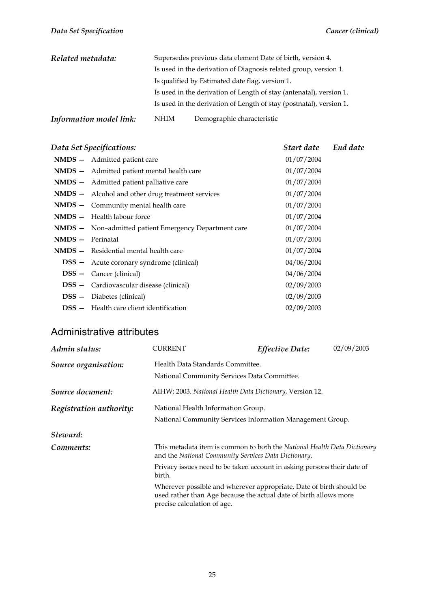| Related metadata:       | Supersedes previous data element Date of birth, version 4.          |  |  |
|-------------------------|---------------------------------------------------------------------|--|--|
|                         | Is used in the derivation of Diagnosis related group, version 1.    |  |  |
|                         | Is qualified by Estimated date flag, version 1.                     |  |  |
|                         | Is used in the derivation of Length of stay (antenatal), version 1. |  |  |
|                         | Is used in the derivation of Length of stay (postnatal), version 1. |  |  |
| Information model link: | Demographic characteristic<br><b>NHIM</b>                           |  |  |

#### *Data Set Specifications: Start date End date*

|                  | NMDS - Admitted patient care                                 | 01/07/2004 |
|------------------|--------------------------------------------------------------|------------|
|                  | NMDS - Admitted patient mental health care                   | 01/07/2004 |
|                  | NMDS - Admitted patient palliative care                      | 01/07/2004 |
|                  | NMDS - Alcohol and other drug treatment services             | 01/07/2004 |
|                  | NMDS - Community mental health care                          | 01/07/2004 |
|                  | <b>NMDS</b> - Health labour force                            | 01/07/2004 |
|                  | <b>NMDS</b> - Non-admitted patient Emergency Department care | 01/07/2004 |
| NMDS - Perinatal |                                                              | 01/07/2004 |
|                  | $NMDS - Residental mental health care$                       | 01/07/2004 |
|                  | <b>DSS</b> – Acute coronary syndrome (clinical)              | 04/06/2004 |
|                  | <b>DSS</b> - Cancer (clinical)                               | 04/06/2004 |
|                  | <b>DSS</b> - Cardiovascular disease (clinical)               | 02/09/2003 |
|                  | <b>DSS</b> - Diabetes (clinical)                             | 02/09/2003 |
|                  | <b>DSS</b> - Health care client identification               | 02/09/2003 |
|                  |                                                              |            |

#### Administrative attributes

| Admin status:           | <b>CURRENT</b>                                                                                                                                                          | <b>Effective Date:</b> | 02/09/2003 |
|-------------------------|-------------------------------------------------------------------------------------------------------------------------------------------------------------------------|------------------------|------------|
| Source organisation:    | Health Data Standards Committee.<br>National Community Services Data Committee.                                                                                         |                        |            |
| Source document:        | AIHW: 2003. National Health Data Dictionary, Version 12.                                                                                                                |                        |            |
| Registration authority: | National Health Information Group.<br>National Community Services Information Management Group.                                                                         |                        |            |
| Steward:                |                                                                                                                                                                         |                        |            |
| Comments:               | This metadata item is common to both the National Health Data Dictionary<br>and the National Community Services Data Dictionary.                                        |                        |            |
|                         | Privacy issues need to be taken account in asking persons their date of<br>birth.                                                                                       |                        |            |
|                         | Wherever possible and wherever appropriate, Date of birth should be<br>used rather than Age because the actual date of birth allows more<br>precise calculation of age. |                        |            |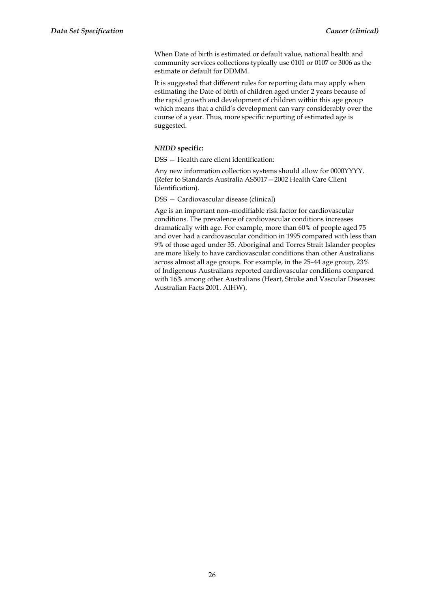When Date of birth is estimated or default value, national health and community services collections typically use 0101 or 0107 or 3006 as the estimate or default for DDMM.

It is suggested that different rules for reporting data may apply when estimating the Date of birth of children aged under 2 years because of the rapid growth and development of children within this age group which means that a child's development can vary considerably over the course of a year. Thus, more specific reporting of estimated age is suggested.

#### *NHDD* **specific:**

DSS — Health care client identification:

Any new information collection systems should allow for 0000YYYY. (Refer to Standards Australia AS5017—2002 Health Care Client Identification).

DSS — Cardiovascular disease (clinical)

Age is an important non–modifiable risk factor for cardiovascular conditions. The prevalence of cardiovascular conditions increases dramatically with age. For example, more than 60% of people aged 75 and over had a cardiovascular condition in 1995 compared with less than 9% of those aged under 35. Aboriginal and Torres Strait Islander peoples are more likely to have cardiovascular conditions than other Australians across almost all age groups. For example, in the 25–44 age group, 23% of Indigenous Australians reported cardiovascular conditions compared with 16% among other Australians (Heart, Stroke and Vascular Diseases: Australian Facts 2001. AIHW).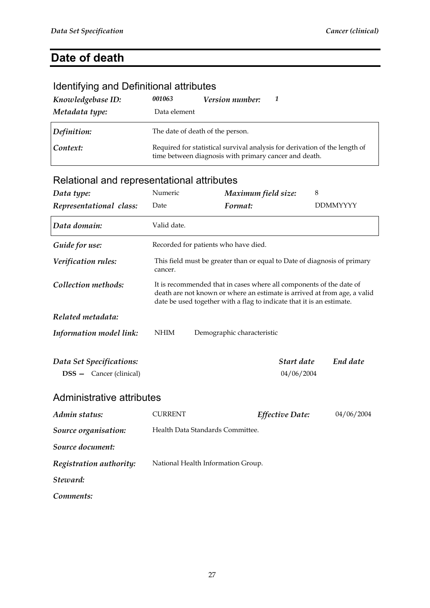## **Date of death**

### Identifying and Definitional attributes

| Knowledgebase ID: | 001063                           | Version number:                                       |                                                                            |
|-------------------|----------------------------------|-------------------------------------------------------|----------------------------------------------------------------------------|
| Metadata type:    | Data element                     |                                                       |                                                                            |
| Definition:       | The date of death of the person. |                                                       |                                                                            |
| Context:          |                                  | time between diagnosis with primary cancer and death. | Required for statistical survival analysis for derivation of the length of |

| Data type:                                                 | Numeric                              | Maximum field size:                                                                                                                                                                                                      | 8               |
|------------------------------------------------------------|--------------------------------------|--------------------------------------------------------------------------------------------------------------------------------------------------------------------------------------------------------------------------|-----------------|
| Representational class:                                    | Date                                 | Format:                                                                                                                                                                                                                  | <b>DDMMYYYY</b> |
| Data domain:                                               | Valid date.                          |                                                                                                                                                                                                                          |                 |
| Guide for use:                                             | Recorded for patients who have died. |                                                                                                                                                                                                                          |                 |
| Verification rules:                                        | cancer.                              | This field must be greater than or equal to Date of diagnosis of primary                                                                                                                                                 |                 |
| Collection methods:                                        |                                      | It is recommended that in cases where all components of the date of<br>death are not known or where an estimate is arrived at from age, a valid<br>date be used together with a flag to indicate that it is an estimate. |                 |
| Related metadata:                                          |                                      |                                                                                                                                                                                                                          |                 |
| Information model link:                                    | <b>NHIM</b>                          | Demographic characteristic                                                                                                                                                                                               |                 |
| Data Set Specifications:<br><b>DSS</b> - Cancer (clinical) |                                      | Start date<br>04/06/2004                                                                                                                                                                                                 | End date        |
| Administrative attributes                                  |                                      |                                                                                                                                                                                                                          |                 |
| Admin status:                                              | <b>CURRENT</b>                       | <b>Effective Date:</b>                                                                                                                                                                                                   | 04/06/2004      |
| Source organisation:                                       | Health Data Standards Committee.     |                                                                                                                                                                                                                          |                 |
| Source document:                                           |                                      |                                                                                                                                                                                                                          |                 |
| Registration authority:                                    | National Health Information Group.   |                                                                                                                                                                                                                          |                 |
| Steward:                                                   |                                      |                                                                                                                                                                                                                          |                 |
| Comments:                                                  |                                      |                                                                                                                                                                                                                          |                 |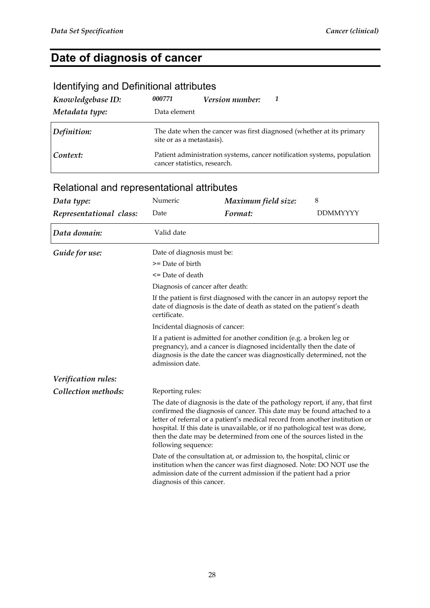### **Date of diagnosis of cancer**

### Identifying and Definitional attributes

| Knowledgebase ID: | 000771                       | <b>Version number:</b> |                                                                         |
|-------------------|------------------------------|------------------------|-------------------------------------------------------------------------|
| Metadata type:    | Data element                 |                        |                                                                         |
| Definition:       | site or as a metastasis).    |                        | The date when the cancer was first diagnosed (whether at its primary    |
| Context:          | cancer statistics, research. |                        | Patient administration systems, cancer notification systems, population |

| Data type:              | Numeric                                                                                                                                                                                                                                   | Maximum field size:                                                                                                                                                                                                                                                                                                                                                                              | 8               |  |
|-------------------------|-------------------------------------------------------------------------------------------------------------------------------------------------------------------------------------------------------------------------------------------|--------------------------------------------------------------------------------------------------------------------------------------------------------------------------------------------------------------------------------------------------------------------------------------------------------------------------------------------------------------------------------------------------|-----------------|--|
| Representational class: | Date                                                                                                                                                                                                                                      | Format:                                                                                                                                                                                                                                                                                                                                                                                          | <b>DDMMYYYY</b> |  |
| Data domain:            | Valid date                                                                                                                                                                                                                                |                                                                                                                                                                                                                                                                                                                                                                                                  |                 |  |
| Guide for use:          | Date of diagnosis must be:                                                                                                                                                                                                                |                                                                                                                                                                                                                                                                                                                                                                                                  |                 |  |
|                         | $>=$ Date of birth                                                                                                                                                                                                                        |                                                                                                                                                                                                                                                                                                                                                                                                  |                 |  |
|                         | <= Date of death                                                                                                                                                                                                                          |                                                                                                                                                                                                                                                                                                                                                                                                  |                 |  |
|                         | Diagnosis of cancer after death:<br>If the patient is first diagnosed with the cancer in an autopsy report the<br>date of diagnosis is the date of death as stated on the patient's death<br>certificate.                                 |                                                                                                                                                                                                                                                                                                                                                                                                  |                 |  |
|                         |                                                                                                                                                                                                                                           |                                                                                                                                                                                                                                                                                                                                                                                                  |                 |  |
|                         | Incidental diagnosis of cancer:                                                                                                                                                                                                           |                                                                                                                                                                                                                                                                                                                                                                                                  |                 |  |
|                         | If a patient is admitted for another condition (e.g. a broken leg or<br>pregnancy), and a cancer is diagnosed incidentally then the date of<br>diagnosis is the date the cancer was diagnostically determined, not the<br>admission date. |                                                                                                                                                                                                                                                                                                                                                                                                  |                 |  |
| Verification rules:     |                                                                                                                                                                                                                                           |                                                                                                                                                                                                                                                                                                                                                                                                  |                 |  |
| Collection methods:     | Reporting rules:                                                                                                                                                                                                                          |                                                                                                                                                                                                                                                                                                                                                                                                  |                 |  |
|                         | following sequence:                                                                                                                                                                                                                       | The date of diagnosis is the date of the pathology report, if any, that first<br>confirmed the diagnosis of cancer. This date may be found attached to a<br>letter of referral or a patient's medical record from another institution or<br>hospital. If this date is unavailable, or if no pathological test was done,<br>then the date may be determined from one of the sources listed in the |                 |  |
|                         | diagnosis of this cancer.                                                                                                                                                                                                                 | Date of the consultation at, or admission to, the hospital, clinic or<br>institution when the cancer was first diagnosed. Note: DO NOT use the<br>admission date of the current admission if the patient had a prior                                                                                                                                                                             |                 |  |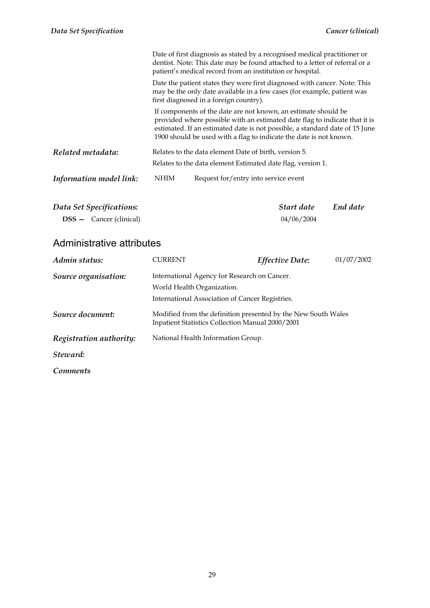| Data Set Specifications: |             | Start date                                                                                                                                                                                                                                                                                        | End date |
|--------------------------|-------------|---------------------------------------------------------------------------------------------------------------------------------------------------------------------------------------------------------------------------------------------------------------------------------------------------|----------|
| Information model link:  | <b>NHIM</b> | Request for/entry into service event                                                                                                                                                                                                                                                              |          |
| Related metadata:        |             | Relates to the data element Date of birth, version 5.<br>Relates to the data element Estimated date flag, version 1.                                                                                                                                                                              |          |
|                          |             | If components of the date are not known, an estimate should be<br>provided where possible with an estimated date flag to indicate that it is<br>estimated. If an estimated date is not possible, a standard date of 15 June<br>1900 should be used with a flag to indicate the date is not known. |          |
|                          |             | Date the patient states they were first diagnosed with cancer. Note: This<br>may be the only date available in a few cases (for example, patient was<br>first diagnosed in a foreign country).                                                                                                    |          |
|                          |             | Date of first diagnosis as stated by a recognised medical practitioner or<br>dentist. Note: This date may be found attached to a letter of referral or a<br>patient's medical record from an institution or hospital.                                                                             |          |

| Data Set Specifications:         | Start date | End date |
|----------------------------------|------------|----------|
| $DSS - \text{Cancer (clirical)}$ | 04/06/2004 |          |

### Administrative attributes

| Admin status:           | CURRENT                                          | Effective Date:                                               | 01/07/2002 |
|-------------------------|--------------------------------------------------|---------------------------------------------------------------|------------|
| Source organisation:    | International Agency for Research on Cancer.     |                                                               |            |
|                         | World Health Organization.                       |                                                               |            |
|                         | International Association of Cancer Registries.  |                                                               |            |
| Source document:        | Inpatient Statistics Collection Manual 2000/2001 | Modified from the definition presented by the New South Wales |            |
| Registration authority: | National Health Information Group.               |                                                               |            |
| Steward:                |                                                  |                                                               |            |
| Comments                |                                                  |                                                               |            |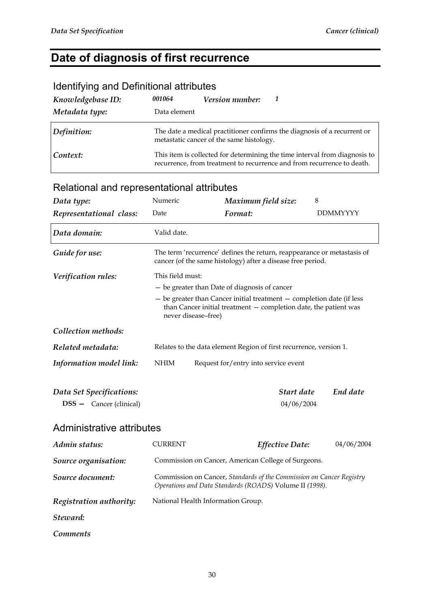# **Date of diagnosis of first recurrence**

| <b>NOTION THIS QUARE DOMINIONOI QUITOUCO</b> |              |                                          |                                                                                                                                                      |
|----------------------------------------------|--------------|------------------------------------------|------------------------------------------------------------------------------------------------------------------------------------------------------|
| Knowledgebase ID:                            | 001064       | <b>Version number:</b>                   | -1                                                                                                                                                   |
| Metadata type:                               | Data element |                                          |                                                                                                                                                      |
| Definition:                                  |              | metastatic cancer of the same histology. | The date a medical practitioner confirms the diagnosis of a recurrent or                                                                             |
| Context:                                     |              |                                          | This item is collected for determining the time interval from diagnosis to<br>recurrence, from treatment to recurrence and from recurrence to death. |

#### Identifying and Definitional attributes

### Relational and representational attributes

| Data type:                                                 | Numeric                                                                                                                                                                | Maximum field size:                                                                                                                    | 8               |
|------------------------------------------------------------|------------------------------------------------------------------------------------------------------------------------------------------------------------------------|----------------------------------------------------------------------------------------------------------------------------------------|-----------------|
| Representational class:                                    | Date                                                                                                                                                                   | Format:                                                                                                                                | <b>DDMMYYYY</b> |
| Data domain:                                               | Valid date.                                                                                                                                                            |                                                                                                                                        |                 |
| Guide for use:                                             |                                                                                                                                                                        | The term 'recurrence' defines the return, reappearance or metastasis of<br>cancer (of the same histology) after a disease free period. |                 |
| Verification rules:                                        | This field must:                                                                                                                                                       |                                                                                                                                        |                 |
|                                                            | - be greater than Date of diagnosis of cancer                                                                                                                          |                                                                                                                                        |                 |
|                                                            | $-$ be greater than Cancer initial treatment $-$ completion date (if less<br>than Cancer initial treatment $-$ completion date, the patient was<br>never disease-free) |                                                                                                                                        |                 |
| Collection methods:                                        |                                                                                                                                                                        |                                                                                                                                        |                 |
| Related metadata:                                          |                                                                                                                                                                        | Relates to the data element Region of first recurrence, version 1.                                                                     |                 |
| Information model link:                                    | <b>NHIM</b><br>Request for/entry into service event                                                                                                                    |                                                                                                                                        |                 |
| Data Set Specifications:<br><b>DSS</b> - Cancer (clinical) |                                                                                                                                                                        | Start date<br>04/06/2004                                                                                                               | End date        |
| Administrative attributes                                  |                                                                                                                                                                        |                                                                                                                                        |                 |
| Admin status:                                              | <b>CURRENT</b>                                                                                                                                                         | <b>Effective Date:</b>                                                                                                                 | 04/06/2004      |
| Source organisation:                                       | Commission on Cancer, American College of Surgeons.                                                                                                                    |                                                                                                                                        |                 |
| Source document:                                           | Commission on Cancer, Standards of the Commission on Cancer Registry<br>Operations and Data Standards (ROADS) Volume II (1998).                                        |                                                                                                                                        |                 |
| Registration authority:                                    |                                                                                                                                                                        | National Health Information Group.                                                                                                     |                 |

*Steward:* 

*Comments*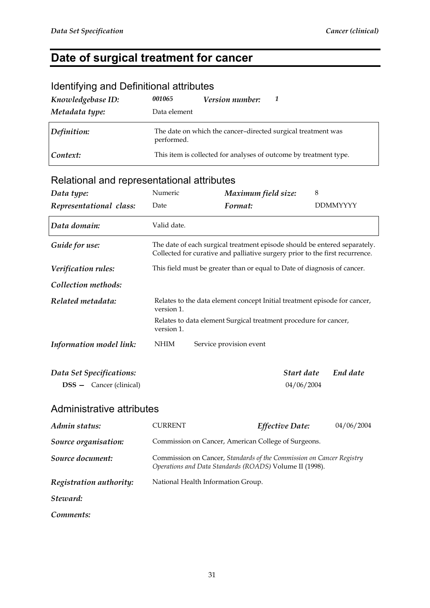### **Date of surgical treatment for cancer**

| $1.49$ . The state of $1.49$ and $1.49$ and $1.40$ and $1.40$ and $1.40$ and $1.40$ |                                                                            |                        |                                                                   |
|-------------------------------------------------------------------------------------|----------------------------------------------------------------------------|------------------------|-------------------------------------------------------------------|
| Knowledgebase ID:                                                                   | 001065                                                                     | <b>Version number:</b> | 1                                                                 |
| Metadata type:                                                                      | Data element                                                               |                        |                                                                   |
| Definition:                                                                         | The date on which the cancer-directed surgical treatment was<br>performed. |                        |                                                                   |
| Context:                                                                            |                                                                            |                        | This item is collected for analyses of outcome by treatment type. |

#### Identifying and Definitional attributes

### Relational and representational attributes

| Data type:                     | Numeric                                                                                                                         | Maximum field size:                                                                                                                                       | 8               |
|--------------------------------|---------------------------------------------------------------------------------------------------------------------------------|-----------------------------------------------------------------------------------------------------------------------------------------------------------|-----------------|
| Representational class:        | Date                                                                                                                            | Format:                                                                                                                                                   | <b>DDMMYYYY</b> |
| Data domain:                   | Valid date.                                                                                                                     |                                                                                                                                                           |                 |
| Guide for use:                 |                                                                                                                                 | The date of each surgical treatment episode should be entered separately.<br>Collected for curative and palliative surgery prior to the first recurrence. |                 |
| Verification rules:            |                                                                                                                                 | This field must be greater than or equal to Date of diagnosis of cancer.                                                                                  |                 |
| Collection methods:            |                                                                                                                                 |                                                                                                                                                           |                 |
| Related metadata:              | Relates to the data element concept Initial treatment episode for cancer,<br>version 1.                                         |                                                                                                                                                           |                 |
|                                | Relates to data element Surgical treatment procedure for cancer,<br>version 1.                                                  |                                                                                                                                                           |                 |
| Information model link:        | <b>NHIM</b>                                                                                                                     | Service provision event                                                                                                                                   |                 |
| Data Set Specifications:       |                                                                                                                                 | Start date                                                                                                                                                | End date        |
| <b>DSS</b> - Cancer (clinical) |                                                                                                                                 | 04/06/2004                                                                                                                                                |                 |
| Administrative attributes      |                                                                                                                                 |                                                                                                                                                           |                 |
| Admin status:                  | <b>CURRENT</b>                                                                                                                  | Effective Date:                                                                                                                                           | 04/06/2004      |
| Source organisation:           | Commission on Cancer, American College of Surgeons.                                                                             |                                                                                                                                                           |                 |
| Source document:               | Commission on Cancer, Standards of the Commission on Cancer Registry<br>Operations and Data Standards (ROADS) Volume II (1998). |                                                                                                                                                           |                 |
| Registration authority:        |                                                                                                                                 | National Health Information Group.                                                                                                                        |                 |
| Steward:                       |                                                                                                                                 |                                                                                                                                                           |                 |

*Comments:*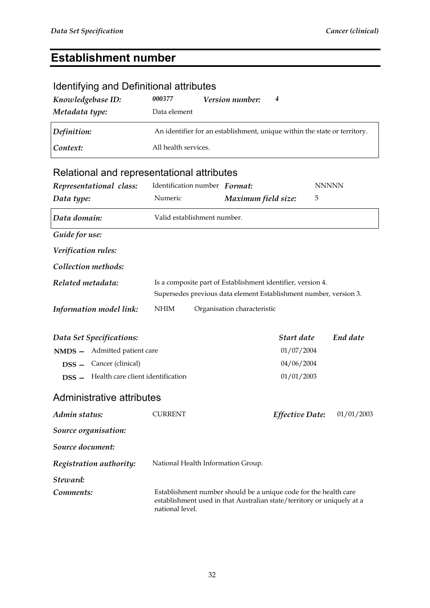### **Establishment number**

### Identifying and Definitional attributes

| Knowledgebase ID:<br>Metadata type: | 000377<br>Data element | <b>Version number:</b> | 4                                                                         |
|-------------------------------------|------------------------|------------------------|---------------------------------------------------------------------------|
| Definition:                         |                        |                        | An identifier for an establishment, unique within the state or territory. |
| Context:                            | All health services.   |                        |                                                                           |
|                                     |                        |                        |                                                                           |

| Representational class:                                         | Identification number Format:      |                                                                                                                                            | <b>NNNNN</b> |
|-----------------------------------------------------------------|------------------------------------|--------------------------------------------------------------------------------------------------------------------------------------------|--------------|
| Data type:                                                      | Numeric                            | Maximum field size:                                                                                                                        | 5            |
| Data domain:                                                    | Valid establishment number.        |                                                                                                                                            |              |
| Guide for use:                                                  |                                    |                                                                                                                                            |              |
| Verification rules:                                             |                                    |                                                                                                                                            |              |
| Collection methods:                                             |                                    |                                                                                                                                            |              |
| Related metadata:                                               |                                    | Is a composite part of Establishment identifier, version 4.<br>Supersedes previous data element Establishment number, version 3.           |              |
| Information model link:                                         | <b>NHIM</b>                        | Organisation characteristic                                                                                                                |              |
| Data Set Specifications:<br><b>NMDS</b> - Admitted patient care |                                    | Start date<br>01/07/2004                                                                                                                   | End date     |
| <b>DSS</b> - Cancer (clinical)                                  |                                    | 04/06/2004                                                                                                                                 |              |
| <b>DSS</b> - Health care client identification                  |                                    | 01/01/2003                                                                                                                                 |              |
| Administrative attributes                                       |                                    |                                                                                                                                            |              |
| Admin status:                                                   | <b>CURRENT</b>                     | Effective Date:                                                                                                                            | 01/01/2003   |
| Source organisation:                                            |                                    |                                                                                                                                            |              |
| Source document:                                                |                                    |                                                                                                                                            |              |
| Registration authority:                                         | National Health Information Group. |                                                                                                                                            |              |
| Steward:                                                        |                                    |                                                                                                                                            |              |
| Comments:                                                       | national level.                    | Establishment number should be a unique code for the health care<br>establishment used in that Australian state/territory or uniquely at a |              |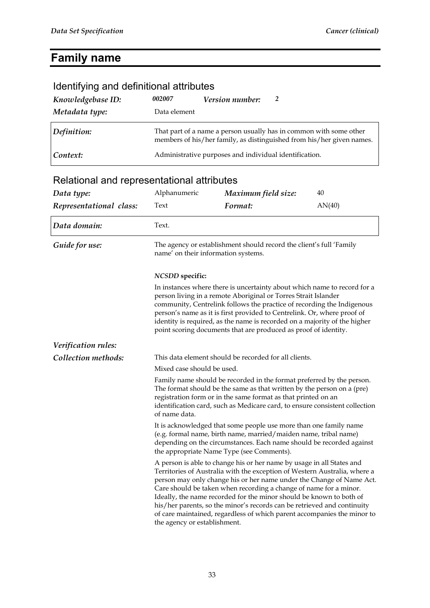# **Family name**

| Identifying and definitional attributes                                                                                                                                                                                                                                                                          |                                                                                                                                                                                                                                                                                                                                                                                                                                                 |                                                                                                                                                                                                                                                                                                                                                                                                                                                                                                                              |        |
|------------------------------------------------------------------------------------------------------------------------------------------------------------------------------------------------------------------------------------------------------------------------------------------------------------------|-------------------------------------------------------------------------------------------------------------------------------------------------------------------------------------------------------------------------------------------------------------------------------------------------------------------------------------------------------------------------------------------------------------------------------------------------|------------------------------------------------------------------------------------------------------------------------------------------------------------------------------------------------------------------------------------------------------------------------------------------------------------------------------------------------------------------------------------------------------------------------------------------------------------------------------------------------------------------------------|--------|
| Knowledgebase ID:                                                                                                                                                                                                                                                                                                | 002007                                                                                                                                                                                                                                                                                                                                                                                                                                          | 2<br>Version number:                                                                                                                                                                                                                                                                                                                                                                                                                                                                                                         |        |
| Metadata type:                                                                                                                                                                                                                                                                                                   | Data element                                                                                                                                                                                                                                                                                                                                                                                                                                    |                                                                                                                                                                                                                                                                                                                                                                                                                                                                                                                              |        |
| Definition:                                                                                                                                                                                                                                                                                                      | That part of a name a person usually has in common with some other<br>members of his/her family, as distinguished from his/her given names.                                                                                                                                                                                                                                                                                                     |                                                                                                                                                                                                                                                                                                                                                                                                                                                                                                                              |        |
| Context:                                                                                                                                                                                                                                                                                                         |                                                                                                                                                                                                                                                                                                                                                                                                                                                 | Administrative purposes and individual identification.                                                                                                                                                                                                                                                                                                                                                                                                                                                                       |        |
| Relational and representational attributes                                                                                                                                                                                                                                                                       |                                                                                                                                                                                                                                                                                                                                                                                                                                                 |                                                                                                                                                                                                                                                                                                                                                                                                                                                                                                                              |        |
| Data type:                                                                                                                                                                                                                                                                                                       | Alphanumeric                                                                                                                                                                                                                                                                                                                                                                                                                                    | Maximum field size:                                                                                                                                                                                                                                                                                                                                                                                                                                                                                                          | 40     |
| Representational class:                                                                                                                                                                                                                                                                                          | Text                                                                                                                                                                                                                                                                                                                                                                                                                                            | Format:                                                                                                                                                                                                                                                                                                                                                                                                                                                                                                                      | AN(40) |
| Data domain:                                                                                                                                                                                                                                                                                                     | Text.                                                                                                                                                                                                                                                                                                                                                                                                                                           |                                                                                                                                                                                                                                                                                                                                                                                                                                                                                                                              |        |
| Guide for use:                                                                                                                                                                                                                                                                                                   | The agency or establishment should record the client's full 'Family<br>name' on their information systems.                                                                                                                                                                                                                                                                                                                                      |                                                                                                                                                                                                                                                                                                                                                                                                                                                                                                                              |        |
|                                                                                                                                                                                                                                                                                                                  | <b>NCSDD</b> specific:                                                                                                                                                                                                                                                                                                                                                                                                                          |                                                                                                                                                                                                                                                                                                                                                                                                                                                                                                                              |        |
|                                                                                                                                                                                                                                                                                                                  | In instances where there is uncertainty about which name to record for a<br>person living in a remote Aboriginal or Torres Strait Islander<br>community, Centrelink follows the practice of recording the Indigenous<br>person's name as it is first provided to Centrelink. Or, where proof of<br>identity is required, as the name is recorded on a majority of the higher<br>point scoring documents that are produced as proof of identity. |                                                                                                                                                                                                                                                                                                                                                                                                                                                                                                                              |        |
| Verification rules:                                                                                                                                                                                                                                                                                              |                                                                                                                                                                                                                                                                                                                                                                                                                                                 |                                                                                                                                                                                                                                                                                                                                                                                                                                                                                                                              |        |
| Collection methods:                                                                                                                                                                                                                                                                                              |                                                                                                                                                                                                                                                                                                                                                                                                                                                 | This data element should be recorded for all clients.                                                                                                                                                                                                                                                                                                                                                                                                                                                                        |        |
|                                                                                                                                                                                                                                                                                                                  | Mixed case should be used.                                                                                                                                                                                                                                                                                                                                                                                                                      |                                                                                                                                                                                                                                                                                                                                                                                                                                                                                                                              |        |
| Family name should be recorded in the format preferred by the person.<br>The format should be the same as that written by the person on a (pre)<br>registration form or in the same format as that printed on an<br>identification card, such as Medicare card, to ensure consistent collection<br>of name data. |                                                                                                                                                                                                                                                                                                                                                                                                                                                 |                                                                                                                                                                                                                                                                                                                                                                                                                                                                                                                              |        |
|                                                                                                                                                                                                                                                                                                                  | It is acknowledged that some people use more than one family name<br>(e.g. formal name, birth name, married/maiden name, tribal name)<br>depending on the circumstances. Each name should be recorded against<br>the appropriate Name Type (see Comments).                                                                                                                                                                                      |                                                                                                                                                                                                                                                                                                                                                                                                                                                                                                                              |        |
|                                                                                                                                                                                                                                                                                                                  | the agency or establishment.                                                                                                                                                                                                                                                                                                                                                                                                                    | A person is able to change his or her name by usage in all States and<br>Territories of Australia with the exception of Western Australia, where a<br>person may only change his or her name under the Change of Name Act.<br>Care should be taken when recording a change of name for a minor.<br>Ideally, the name recorded for the minor should be known to both of<br>his/her parents, so the minor's records can be retrieved and continuity<br>of care maintained, regardless of which parent accompanies the minor to |        |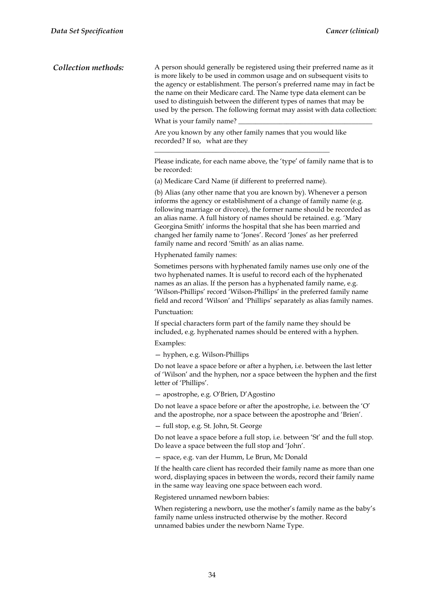*Collection methods:* A person should generally be registered using their preferred name as it is more likely to be used in common usage and on subsequent visits to the agency or establishment. The person's preferred name may in fact be the name on their Medicare card. The Name type data element can be used to distinguish between the different types of names that may be used by the person. The following format may assist with data collection: What is your family name? Are you known by any other family names that you would like recorded? If so, what are they \_\_\_\_\_\_\_\_\_\_\_\_\_\_\_\_\_\_\_\_\_\_\_\_\_\_\_\_\_\_\_\_\_\_\_\_\_\_\_\_\_\_\_\_\_\_\_\_\_\_\_ Please indicate, for each name above, the 'type' of family name that is to be recorded: (a) Medicare Card Name (if different to preferred name). (b) Alias (any other name that you are known by). Whenever a person informs the agency or establishment of a change of family name (e.g. following marriage or divorce), the former name should be recorded as an alias name. A full history of names should be retained. e.g. 'Mary Georgina Smith' informs the hospital that she has been married and changed her family name to 'Jones'. Record 'Jones' as her preferred family name and record 'Smith' as an alias name. Hyphenated family names: Sometimes persons with hyphenated family names use only one of the two hyphenated names. It is useful to record each of the hyphenated names as an alias. If the person has a hyphenated family name, e.g. 'Wilson-Phillips' record 'Wilson-Phillips' in the preferred family name field and record 'Wilson' and 'Phillips' separately as alias family names. Punctuation: If special characters form part of the family name they should be included, e.g. hyphenated names should be entered with a hyphen. Examples: — hyphen, e.g. Wilson-Phillips Do not leave a space before or after a hyphen, i.e. between the last letter of 'Wilson' and the hyphen, nor a space between the hyphen and the first letter of 'Phillips'. — apostrophe, e.g. O'Brien, D'Agostino Do not leave a space before or after the apostrophe, i.e. between the 'O' and the apostrophe, nor a space between the apostrophe and 'Brien'. — full stop, e.g. St. John, St. George Do not leave a space before a full stop, i.e. between 'St' and the full stop. Do leave a space between the full stop and 'John'. — space, e.g. van der Humm, Le Brun, Mc Donald If the health care client has recorded their family name as more than one word, displaying spaces in between the words, record their family name in the same way leaving one space between each word. Registered unnamed newborn babies: When registering a newborn, use the mother's family name as the baby's family name unless instructed otherwise by the mother. Record unnamed babies under the newborn Name Type.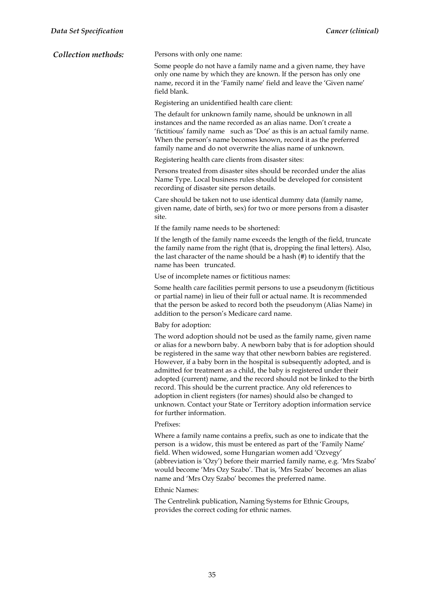*Collection methods:* Persons with only one name:

Some people do not have a family name and a given name, they have only one name by which they are known. If the person has only one name, record it in the 'Family name' field and leave the 'Given name' field blank.

Registering an unidentified health care client:

The default for unknown family name, should be unknown in all instances and the name recorded as an alias name. Don't create a 'fictitious' family name such as 'Doe' as this is an actual family name. When the person's name becomes known, record it as the preferred family name and do not overwrite the alias name of unknown.

Registering health care clients from disaster sites:

Persons treated from disaster sites should be recorded under the alias Name Type. Local business rules should be developed for consistent recording of disaster site person details.

Care should be taken not to use identical dummy data (family name, given name, date of birth, sex) for two or more persons from a disaster site.

If the family name needs to be shortened:

If the length of the family name exceeds the length of the field, truncate the family name from the right (that is, dropping the final letters). Also, the last character of the name should be a hash (#) to identify that the name has been truncated.

Use of incomplete names or fictitious names:

Some health care facilities permit persons to use a pseudonym (fictitious or partial name) in lieu of their full or actual name. It is recommended that the person be asked to record both the pseudonym (Alias Name) in addition to the person's Medicare card name.

Baby for adoption:

The word adoption should not be used as the family name, given name or alias for a newborn baby. A newborn baby that is for adoption should be registered in the same way that other newborn babies are registered. However, if a baby born in the hospital is subsequently adopted, and is admitted for treatment as a child, the baby is registered under their adopted (current) name, and the record should not be linked to the birth record. This should be the current practice. Any old references to adoption in client registers (for names) should also be changed to unknown. Contact your State or Territory adoption information service for further information.

#### Prefixes:

Where a family name contains a prefix, such as one to indicate that the person is a widow, this must be entered as part of the 'Family Name' field. When widowed, some Hungarian women add 'Ozvegy' (abbreviation is 'Ozy') before their married family name, e.g. 'Mrs Szabo' would become 'Mrs Ozy Szabo'. That is, 'Mrs Szabo' becomes an alias name and 'Mrs Ozy Szabo' becomes the preferred name.

#### Ethnic Names:

The Centrelink publication, Naming Systems for Ethnic Groups, provides the correct coding for ethnic names.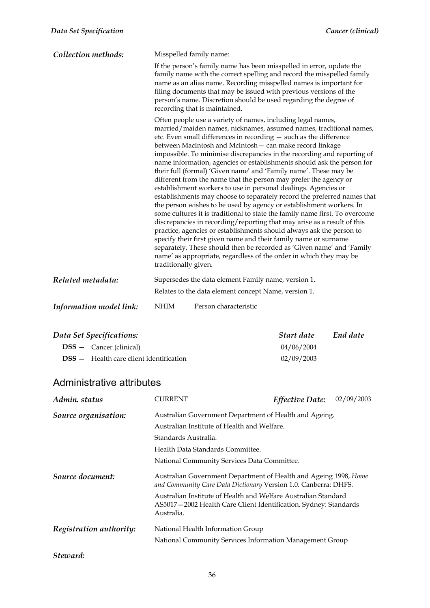| Collection methods:     | Misspelled family name: |                                                                                                                                                                                                                                                                                                                                                                                                                                                                                                                                                                                                                                                                                                                                                                                                                                                                                                                                                                                                                                                                                                                                                                                                                                         |
|-------------------------|-------------------------|-----------------------------------------------------------------------------------------------------------------------------------------------------------------------------------------------------------------------------------------------------------------------------------------------------------------------------------------------------------------------------------------------------------------------------------------------------------------------------------------------------------------------------------------------------------------------------------------------------------------------------------------------------------------------------------------------------------------------------------------------------------------------------------------------------------------------------------------------------------------------------------------------------------------------------------------------------------------------------------------------------------------------------------------------------------------------------------------------------------------------------------------------------------------------------------------------------------------------------------------|
|                         |                         | If the person's family name has been misspelled in error, update the<br>family name with the correct spelling and record the misspelled family<br>name as an alias name. Recording misspelled names is important for<br>filing documents that may be issued with previous versions of the<br>person's name. Discretion should be used regarding the degree of<br>recording that is maintained.                                                                                                                                                                                                                                                                                                                                                                                                                                                                                                                                                                                                                                                                                                                                                                                                                                          |
|                         | traditionally given.    | Often people use a variety of names, including legal names,<br>married/maiden names, nicknames, assumed names, traditional names,<br>etc. Even small differences in recording - such as the difference<br>between MacIntosh and McIntosh - can make record linkage<br>impossible. To minimise discrepancies in the recording and reporting of<br>name information, agencies or establishments should ask the person for<br>their full (formal) 'Given name' and 'Family name'. These may be<br>different from the name that the person may prefer the agency or<br>establishment workers to use in personal dealings. Agencies or<br>establishments may choose to separately record the preferred names that<br>the person wishes to be used by agency or establishment workers. In<br>some cultures it is traditional to state the family name first. To overcome<br>discrepancies in recording/reporting that may arise as a result of this<br>practice, agencies or establishments should always ask the person to<br>specify their first given name and their family name or surname<br>separately. These should then be recorded as 'Given name' and 'Family<br>name' as appropriate, regardless of the order in which they may be |
| Related metadata:       |                         | Supersedes the data element Family name, version 1.<br>Relates to the data element concept Name, version 1.                                                                                                                                                                                                                                                                                                                                                                                                                                                                                                                                                                                                                                                                                                                                                                                                                                                                                                                                                                                                                                                                                                                             |
| Information model link: | <b>NHIM</b>             | Person characteristic                                                                                                                                                                                                                                                                                                                                                                                                                                                                                                                                                                                                                                                                                                                                                                                                                                                                                                                                                                                                                                                                                                                                                                                                                   |

| Data Set Specifications:                       | Start date | End date |
|------------------------------------------------|------------|----------|
| $DSS - \text{ Cancer (clinical)}$              | 04/06/2004 |          |
| <b>DSS</b> - Health care client identification | 02/09/2003 |          |

| Admin, status           | <b>CURRENT</b>                                                                                                                                   | <b>Effective Date:</b> | 02/09/2003 |  |  |
|-------------------------|--------------------------------------------------------------------------------------------------------------------------------------------------|------------------------|------------|--|--|
| Source organisation:    | Australian Government Department of Health and Ageing.                                                                                           |                        |            |  |  |
|                         | Australian Institute of Health and Welfare.                                                                                                      |                        |            |  |  |
|                         | Standards Australia.                                                                                                                             |                        |            |  |  |
|                         | Health Data Standards Committee.                                                                                                                 |                        |            |  |  |
|                         | National Community Services Data Committee.                                                                                                      |                        |            |  |  |
| Source document:        | Australian Government Department of Health and Ageing 1998, Home<br>and Community Care Data Dictionary Version 1.0. Canberra: DHFS.              |                        |            |  |  |
|                         | Australian Institute of Health and Welfare Australian Standard<br>AS5017-2002 Health Care Client Identification. Sydney: Standards<br>Australia. |                        |            |  |  |
| Registration authority: | National Health Information Group                                                                                                                |                        |            |  |  |
|                         | National Community Services Information Management Group                                                                                         |                        |            |  |  |
| Steward:                |                                                                                                                                                  |                        |            |  |  |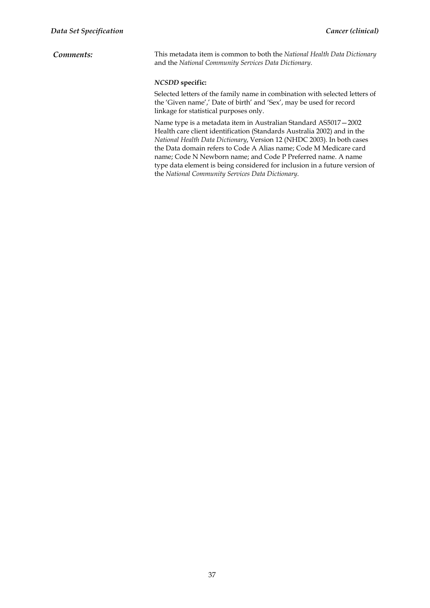*Comments:* This metadata item is common to both the *National Health Data Dictionary* and the *National Community Services Data Dictionary*.

#### *NCSDD* **specific:**

Selected letters of the family name in combination with selected letters of the 'Given name',' Date of birth' and 'Sex', may be used for record linkage for statistical purposes only.

Name type is a metadata item in Australian Standard AS5017—2002 Health care client identification (Standards Australia 2002) and in the *National Health Data Dictionary*, Version 12 (NHDC 2003). In both cases the Data domain refers to Code A Alias name; Code M Medicare card name; Code N Newborn name; and Code P Preferred name. A name type data element is being considered for inclusion in a future version of the *National Community Services Data Dictionary*.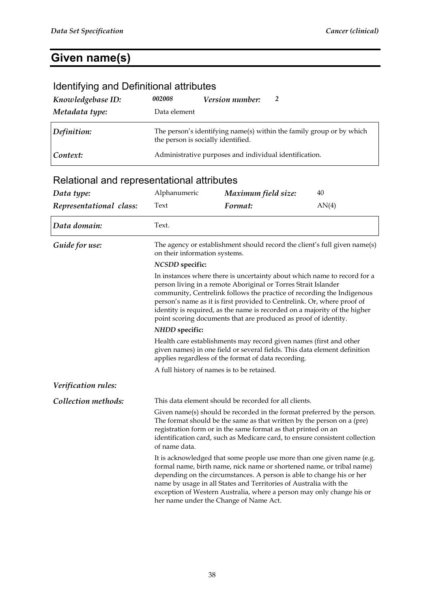# **Given name(s)**

| Identifying and Definitional attributes    |                                                                                                                                                                                                                                                                                                                                                                                                                                                 |                                                                                                                                                                                                                                                                                                                                                                                                                  |       |  |
|--------------------------------------------|-------------------------------------------------------------------------------------------------------------------------------------------------------------------------------------------------------------------------------------------------------------------------------------------------------------------------------------------------------------------------------------------------------------------------------------------------|------------------------------------------------------------------------------------------------------------------------------------------------------------------------------------------------------------------------------------------------------------------------------------------------------------------------------------------------------------------------------------------------------------------|-------|--|
| Knowledgebase ID:                          | 002008                                                                                                                                                                                                                                                                                                                                                                                                                                          | Version number:<br>2                                                                                                                                                                                                                                                                                                                                                                                             |       |  |
| Metadata type:                             | Data element                                                                                                                                                                                                                                                                                                                                                                                                                                    |                                                                                                                                                                                                                                                                                                                                                                                                                  |       |  |
| Definition:                                |                                                                                                                                                                                                                                                                                                                                                                                                                                                 | The person's identifying name(s) within the family group or by which<br>the person is socially identified.                                                                                                                                                                                                                                                                                                       |       |  |
| Context:                                   |                                                                                                                                                                                                                                                                                                                                                                                                                                                 | Administrative purposes and individual identification.                                                                                                                                                                                                                                                                                                                                                           |       |  |
| Relational and representational attributes |                                                                                                                                                                                                                                                                                                                                                                                                                                                 |                                                                                                                                                                                                                                                                                                                                                                                                                  |       |  |
| Data type:                                 | Alphanumeric                                                                                                                                                                                                                                                                                                                                                                                                                                    | Maximum field size:                                                                                                                                                                                                                                                                                                                                                                                              | 40    |  |
| Representational class:                    | Text                                                                                                                                                                                                                                                                                                                                                                                                                                            | Format:                                                                                                                                                                                                                                                                                                                                                                                                          | AN(4) |  |
| Data domain:                               | Text.                                                                                                                                                                                                                                                                                                                                                                                                                                           |                                                                                                                                                                                                                                                                                                                                                                                                                  |       |  |
| Guide for use:                             | on their information systems.                                                                                                                                                                                                                                                                                                                                                                                                                   | The agency or establishment should record the client's full given name(s)                                                                                                                                                                                                                                                                                                                                        |       |  |
|                                            | <b>NCSDD</b> specific:                                                                                                                                                                                                                                                                                                                                                                                                                          |                                                                                                                                                                                                                                                                                                                                                                                                                  |       |  |
|                                            | In instances where there is uncertainty about which name to record for a<br>person living in a remote Aboriginal or Torres Strait Islander<br>community, Centrelink follows the practice of recording the Indigenous<br>person's name as it is first provided to Centrelink. Or, where proof of<br>identity is required, as the name is recorded on a majority of the higher<br>point scoring documents that are produced as proof of identity. |                                                                                                                                                                                                                                                                                                                                                                                                                  |       |  |
| NHDD specific:                             |                                                                                                                                                                                                                                                                                                                                                                                                                                                 |                                                                                                                                                                                                                                                                                                                                                                                                                  |       |  |
|                                            | Health care establishments may record given names (first and other<br>given names) in one field or several fields. This data element definition<br>applies regardless of the format of data recording.                                                                                                                                                                                                                                          |                                                                                                                                                                                                                                                                                                                                                                                                                  |       |  |
|                                            |                                                                                                                                                                                                                                                                                                                                                                                                                                                 | A full history of names is to be retained.                                                                                                                                                                                                                                                                                                                                                                       |       |  |
| Verification rules:                        |                                                                                                                                                                                                                                                                                                                                                                                                                                                 |                                                                                                                                                                                                                                                                                                                                                                                                                  |       |  |
| Collection methods:                        |                                                                                                                                                                                                                                                                                                                                                                                                                                                 | This data element should be recorded for all clients.                                                                                                                                                                                                                                                                                                                                                            |       |  |
|                                            | Given name(s) should be recorded in the format preferred by the person.<br>The format should be the same as that written by the person on a (pre)<br>registration form or in the same format as that printed on an<br>identification card, such as Medicare card, to ensure consistent collection<br>of name data.                                                                                                                              |                                                                                                                                                                                                                                                                                                                                                                                                                  |       |  |
|                                            |                                                                                                                                                                                                                                                                                                                                                                                                                                                 | It is acknowledged that some people use more than one given name (e.g.<br>formal name, birth name, nick name or shortened name, or tribal name)<br>depending on the circumstances. A person is able to change his or her<br>name by usage in all States and Territories of Australia with the<br>exception of Western Australia, where a person may only change his or<br>her name under the Change of Name Act. |       |  |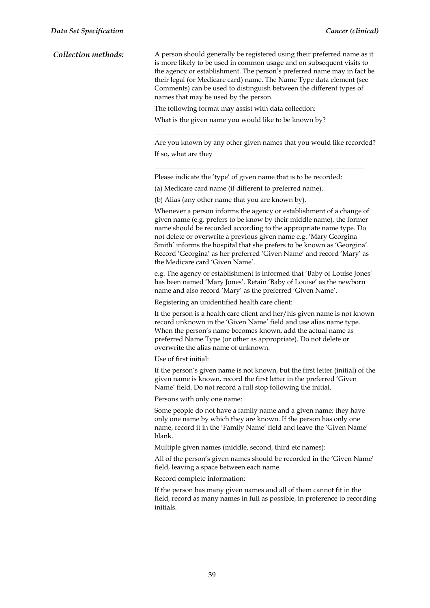| Collection methods: | A person should generally be registered using their preferred name as it |
|---------------------|--------------------------------------------------------------------------|
|                     | is more likely to be used in common usage and on subsequent visits to    |
|                     | the agency or establishment. The person's preferred name may in fact be  |
|                     | their legal (or Medicare card) name. The Name Type data element (see     |
|                     | Comments) can be used to distinguish between the different types of      |
|                     | names that may be used by the person.                                    |

 $\overline{\phantom{a}}$  , we can assume that the contract of  $\overline{\phantom{a}}$ 

The following format may assist with data collection:

What is the given name you would like to be known by?

Are you known by any other given names that you would like recorded? If so, what are they

\_\_\_\_\_\_\_\_\_\_\_\_\_\_\_\_\_\_\_\_\_\_\_\_\_\_\_\_\_\_\_\_\_\_\_\_\_\_\_\_\_\_\_\_\_\_\_\_\_\_\_\_\_\_\_\_\_\_\_\_\_

Please indicate the 'type' of given name that is to be recorded:

(a) Medicare card name (if different to preferred name).

(b) Alias (any other name that you are known by).

Whenever a person informs the agency or establishment of a change of given name (e.g. prefers to be know by their middle name), the former name should be recorded according to the appropriate name type. Do not delete or overwrite a previous given name e.g. 'Mary Georgina Smith' informs the hospital that she prefers to be known as 'Georgina'. Record 'Georgina' as her preferred 'Given Name' and record 'Mary' as the Medicare card 'Given Name'.

e.g. The agency or establishment is informed that 'Baby of Louise Jones' has been named 'Mary Jones'. Retain 'Baby of Louise' as the newborn name and also record 'Mary' as the preferred 'Given Name'.

Registering an unidentified health care client:

If the person is a health care client and her/his given name is not known record unknown in the 'Given Name' field and use alias name type. When the person's name becomes known, add the actual name as preferred Name Type (or other as appropriate). Do not delete or overwrite the alias name of unknown.

Use of first initial:

If the person's given name is not known, but the first letter (initial) of the given name is known, record the first letter in the preferred 'Given Name' field. Do not record a full stop following the initial.

Persons with only one name:

Some people do not have a family name and a given name: they have only one name by which they are known. If the person has only one name, record it in the 'Family Name' field and leave the 'Given Name' blank.

Multiple given names (middle, second, third etc names):

All of the person's given names should be recorded in the 'Given Name' field, leaving a space between each name.

Record complete information:

If the person has many given names and all of them cannot fit in the field, record as many names in full as possible, in preference to recording initials.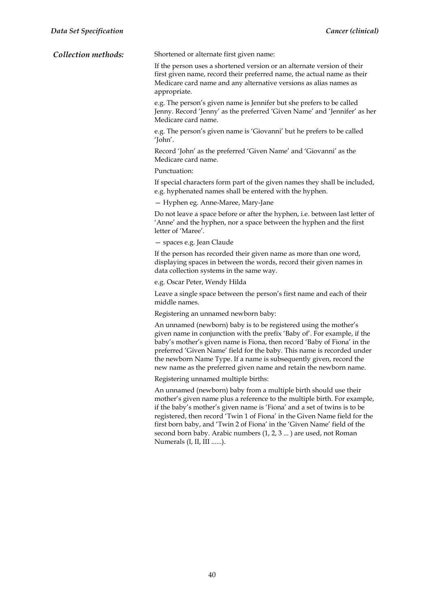| Collection methods: | Shortened or alternate first given name: |
|---------------------|------------------------------------------|
|---------------------|------------------------------------------|

If the person uses a shortened version or an alternate version of their first given name, record their preferred name, the actual name as their Medicare card name and any alternative versions as alias names as appropriate.

e.g. The person's given name is Jennifer but she prefers to be called Jenny. Record 'Jenny' as the preferred 'Given Name' and 'Jennifer' as her Medicare card name.

e.g. The person's given name is 'Giovanni' but he prefers to be called 'John'.

Record 'John' as the preferred 'Given Name' and 'Giovanni' as the Medicare card name.

#### Punctuation:

If special characters form part of the given names they shall be included, e.g. hyphenated names shall be entered with the hyphen.

— Hyphen eg. Anne-Maree, Mary-Jane

Do not leave a space before or after the hyphen, i.e. between last letter of 'Anne' and the hyphen, nor a space between the hyphen and the first letter of 'Maree'.

— spaces e.g. Jean Claude

If the person has recorded their given name as more than one word, displaying spaces in between the words, record their given names in data collection systems in the same way.

e.g. Oscar Peter, Wendy Hilda

Leave a single space between the person's first name and each of their middle names.

Registering an unnamed newborn baby:

An unnamed (newborn) baby is to be registered using the mother's given name in conjunction with the prefix 'Baby of'. For example, if the baby's mother's given name is Fiona, then record 'Baby of Fiona' in the preferred 'Given Name' field for the baby. This name is recorded under the newborn Name Type. If a name is subsequently given, record the new name as the preferred given name and retain the newborn name.

Registering unnamed multiple births:

An unnamed (newborn) baby from a multiple birth should use their mother's given name plus a reference to the multiple birth. For example, if the baby's mother's given name is 'Fiona' and a set of twins is to be registered, then record 'Twin 1 of Fiona' in the Given Name field for the first born baby, and 'Twin 2 of Fiona' in the 'Given Name' field of the second born baby. Arabic numbers (1, 2, 3 ... ) are used, not Roman Numerals (I, II, III ......).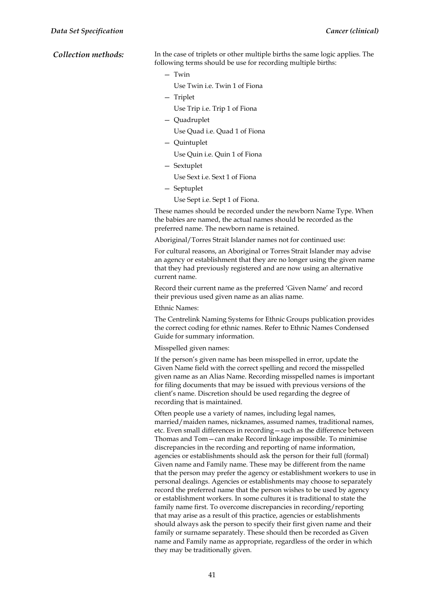*Collection methods:* In the case of triplets or other multiple births the same logic applies. The following terms should be use for recording multiple births:

- Twin
	- Use Twin i.e. Twin 1 of Fiona
- Triplet

Use Trip i.e. Trip 1 of Fiona

— Quadruplet

Use Quad i.e. Quad 1 of Fiona

— Quintuplet

Use Quin i.e. Quin 1 of Fiona

- Sextuplet
	- Use Sext i.e. Sext 1 of Fiona
- Septuplet
	- Use Sept i.e. Sept 1 of Fiona.

These names should be recorded under the newborn Name Type. When the babies are named, the actual names should be recorded as the preferred name. The newborn name is retained.

Aboriginal/Torres Strait Islander names not for continued use:

For cultural reasons, an Aboriginal or Torres Strait Islander may advise an agency or establishment that they are no longer using the given name that they had previously registered and are now using an alternative current name.

Record their current name as the preferred 'Given Name' and record their previous used given name as an alias name.

Ethnic Names:

The Centrelink Naming Systems for Ethnic Groups publication provides the correct coding for ethnic names. Refer to Ethnic Names Condensed Guide for summary information.

Misspelled given names:

If the person's given name has been misspelled in error, update the Given Name field with the correct spelling and record the misspelled given name as an Alias Name. Recording misspelled names is important for filing documents that may be issued with previous versions of the client's name. Discretion should be used regarding the degree of recording that is maintained.

Often people use a variety of names, including legal names, married/maiden names, nicknames, assumed names, traditional names, etc. Even small differences in recording—such as the difference between Thomas and Tom—can make Record linkage impossible. To minimise discrepancies in the recording and reporting of name information, agencies or establishments should ask the person for their full (formal) Given name and Family name. These may be different from the name that the person may prefer the agency or establishment workers to use in personal dealings. Agencies or establishments may choose to separately record the preferred name that the person wishes to be used by agency or establishment workers. In some cultures it is traditional to state the family name first. To overcome discrepancies in recording/reporting that may arise as a result of this practice, agencies or establishments should always ask the person to specify their first given name and their family or surname separately. These should then be recorded as Given name and Family name as appropriate, regardless of the order in which they may be traditionally given.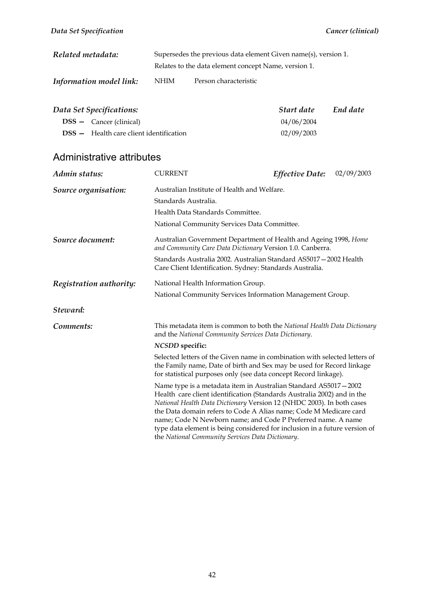| Related metadata:              | Supersedes the previous data element Given name(s), version 1. |                                                      |  |
|--------------------------------|----------------------------------------------------------------|------------------------------------------------------|--|
|                                |                                                                | Relates to the data element concept Name, version 1. |  |
| <b>Information model link:</b> | NHIM                                                           | Person characteristic                                |  |

| Data Set Specifications:                    | Start date | End date |
|---------------------------------------------|------------|----------|
| $DSS - \text{Cancer (clirical)}$            | 04/06/2004 |          |
| $DSS$ $-$ Health care client identification | 02/09/2003 |          |

| Admin status:           | <b>CURRENT</b>                                                                                                                                                                                                                                                                                                                                                                                                                                                                             | <b>Effective Date:</b> | 02/09/2003 |
|-------------------------|--------------------------------------------------------------------------------------------------------------------------------------------------------------------------------------------------------------------------------------------------------------------------------------------------------------------------------------------------------------------------------------------------------------------------------------------------------------------------------------------|------------------------|------------|
| Source organisation:    | Australian Institute of Health and Welfare.                                                                                                                                                                                                                                                                                                                                                                                                                                                |                        |            |
|                         | Standards Australia.                                                                                                                                                                                                                                                                                                                                                                                                                                                                       |                        |            |
|                         | Health Data Standards Committee.                                                                                                                                                                                                                                                                                                                                                                                                                                                           |                        |            |
|                         | National Community Services Data Committee.                                                                                                                                                                                                                                                                                                                                                                                                                                                |                        |            |
| Source document:        | Australian Government Department of Health and Ageing 1998, Home<br>and Community Care Data Dictionary Version 1.0. Canberra.                                                                                                                                                                                                                                                                                                                                                              |                        |            |
|                         | Standards Australia 2002. Australian Standard AS5017-2002 Health<br>Care Client Identification. Sydney: Standards Australia.                                                                                                                                                                                                                                                                                                                                                               |                        |            |
| Registration authority: | National Health Information Group.                                                                                                                                                                                                                                                                                                                                                                                                                                                         |                        |            |
|                         | National Community Services Information Management Group.                                                                                                                                                                                                                                                                                                                                                                                                                                  |                        |            |
| Steward:                |                                                                                                                                                                                                                                                                                                                                                                                                                                                                                            |                        |            |
| Comments:               | This metadata item is common to both the National Health Data Dictionary<br>and the National Community Services Data Dictionary.                                                                                                                                                                                                                                                                                                                                                           |                        |            |
|                         | <b>NCSDD</b> specific:                                                                                                                                                                                                                                                                                                                                                                                                                                                                     |                        |            |
|                         | Selected letters of the Given name in combination with selected letters of<br>the Family name, Date of birth and Sex may be used for Record linkage<br>for statistical purposes only (see data concept Record linkage).                                                                                                                                                                                                                                                                    |                        |            |
|                         | Name type is a metadata item in Australian Standard AS5017-2002<br>Health care client identification (Standards Australia 2002) and in the<br>National Health Data Dictionary Version 12 (NHDC 2003). In both cases<br>the Data domain refers to Code A Alias name; Code M Medicare card<br>name; Code N Newborn name; and Code P Preferred name. A name<br>type data element is being considered for inclusion in a future version of<br>the National Community Services Data Dictionary. |                        |            |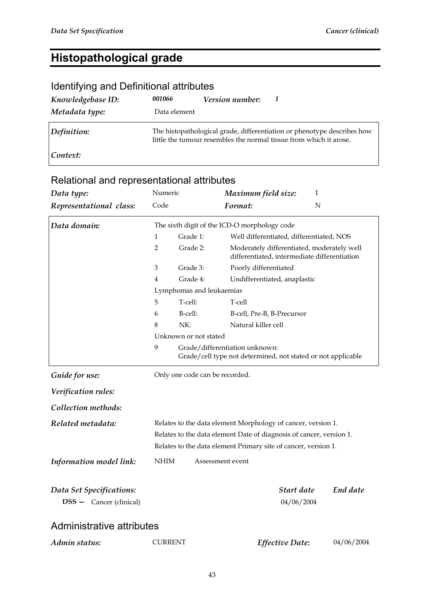# **Histopathological grade**

| Identifying and Definitional attributes |              |                 |                                                                                                                                               |
|-----------------------------------------|--------------|-----------------|-----------------------------------------------------------------------------------------------------------------------------------------------|
| Knowledgebase ID:                       | 001066       | Version number: |                                                                                                                                               |
| Metadata type:                          | Data element |                 |                                                                                                                                               |
| Definition:                             |              |                 | The histopathological grade, differentiation or phenotype describes how<br>little the tumour resembles the normal tissue from which it arose. |
| Context:                                |              |                 |                                                                                                                                               |

| Data type:                                                 | Numeric                                                                                                                                                                                               |                                              | 1<br>Maximum field size:                                                                       |                          |            |
|------------------------------------------------------------|-------------------------------------------------------------------------------------------------------------------------------------------------------------------------------------------------------|----------------------------------------------|------------------------------------------------------------------------------------------------|--------------------------|------------|
| Representational class:                                    | Code                                                                                                                                                                                                  |                                              | Format:                                                                                        | N                        |            |
| Data domain:                                               |                                                                                                                                                                                                       | The sixth digit of the ICD-O morphology code |                                                                                                |                          |            |
|                                                            | 1                                                                                                                                                                                                     | Grade 1:                                     | Well differentiated, differentiated, NOS                                                       |                          |            |
|                                                            | $\overline{2}$                                                                                                                                                                                        | Grade 2:                                     | Moderately differentiated, moderately well<br>differentiated, intermediate differentiation     |                          |            |
|                                                            | 3                                                                                                                                                                                                     | Grade 3:                                     | Poorly differentiated                                                                          |                          |            |
|                                                            | $\overline{4}$                                                                                                                                                                                        | Grade 4:                                     | Undifferentiated, anaplastic                                                                   |                          |            |
|                                                            |                                                                                                                                                                                                       | Lymphomas and leukaemias                     |                                                                                                |                          |            |
|                                                            | 5                                                                                                                                                                                                     | T-cell:                                      | T-cell                                                                                         |                          |            |
|                                                            | 6                                                                                                                                                                                                     | B-cell:                                      | B-cell, Pre-B, B-Precursor                                                                     |                          |            |
|                                                            | 8                                                                                                                                                                                                     | NK:                                          | Natural killer cell                                                                            |                          |            |
|                                                            |                                                                                                                                                                                                       | Unknown or not stated                        |                                                                                                |                          |            |
|                                                            | 9                                                                                                                                                                                                     |                                              | Grade/differentiation unknown:<br>Grade/cell type not determined, not stated or not applicable |                          |            |
| Guide for use:                                             |                                                                                                                                                                                                       | Only one code can be recorded.               |                                                                                                |                          |            |
| Verification rules:                                        |                                                                                                                                                                                                       |                                              |                                                                                                |                          |            |
| Collection methods:                                        |                                                                                                                                                                                                       |                                              |                                                                                                |                          |            |
| Related metadata:                                          | Relates to the data element Morphology of cancer, version 1.<br>Relates to the data element Date of diagnosis of cancer, version 1.<br>Relates to the data element Primary site of cancer, version 1. |                                              |                                                                                                |                          |            |
| Information model link:                                    | NHIM                                                                                                                                                                                                  | Assessment event                             |                                                                                                |                          |            |
| Data Set Specifications:<br><b>DSS</b> - Cancer (clinical) |                                                                                                                                                                                                       |                                              |                                                                                                | Start date<br>04/06/2004 | End date   |
| Administrative attributes                                  |                                                                                                                                                                                                       |                                              |                                                                                                |                          |            |
| Admin status:                                              | <b>CURRENT</b>                                                                                                                                                                                        |                                              | Effective Date:                                                                                |                          | 04/06/2004 |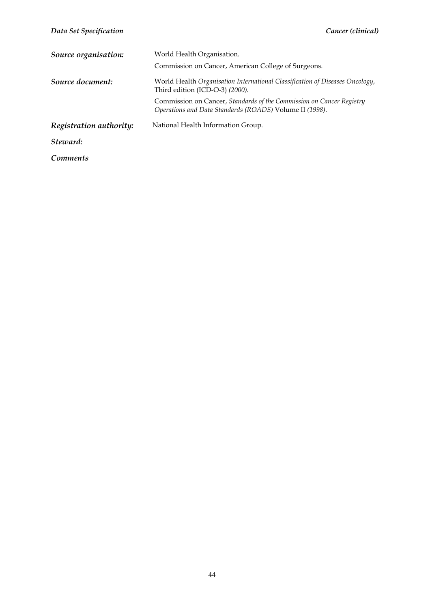| Source organisation:    | World Health Organisation.<br>Commission on Cancer, American College of Surgeons.                                               |
|-------------------------|---------------------------------------------------------------------------------------------------------------------------------|
| Source document:        | World Health Organisation International Classification of Diseases Oncology,<br>Third edition (ICD-O-3) (2000).                 |
|                         | Commission on Cancer, Standards of the Commission on Cancer Registry<br>Operations and Data Standards (ROADS) Volume II (1998). |
| Registration authority: | National Health Information Group.                                                                                              |
| Steward:                |                                                                                                                                 |
| <i>Comments</i>         |                                                                                                                                 |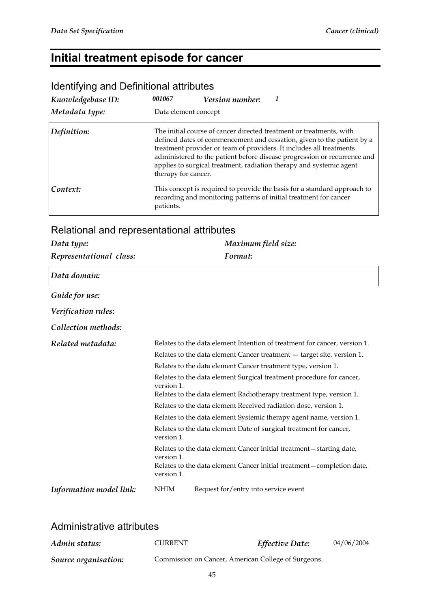## **Initial treatment episode for cancer**

| Knowledgebase ID:                          | 001067              | <b>Version number:</b>                                                                                                                                                                                                                                                                                                                                                  |
|--------------------------------------------|---------------------|-------------------------------------------------------------------------------------------------------------------------------------------------------------------------------------------------------------------------------------------------------------------------------------------------------------------------------------------------------------------------|
| Metadata type:                             |                     | Data element concept                                                                                                                                                                                                                                                                                                                                                    |
| Definition:                                | therapy for cancer. | The initial course of cancer directed treatment or treatments, with<br>defined dates of commencement and cessation, given to the patient by a<br>treatment provider or team of providers. It includes all treatments<br>administered to the patient before disease progression or recurrence and<br>applies to surgical treatment, radiation therapy and systemic agent |
| Context:                                   | patients.           | This concept is required to provide the basis for a standard approach to<br>recording and monitoring patterns of initial treatment for cancer                                                                                                                                                                                                                           |
| Relational and representational attributes |                     |                                                                                                                                                                                                                                                                                                                                                                         |

### Identifying and Definitional attributes

#### Relational and representational attributes

| Data type:              | Maximum field size:                                                                                                                                                                                                                                                                                                                                                                                                                                                                                                                                                                                                                                                                                                                                                             |  |  |
|-------------------------|---------------------------------------------------------------------------------------------------------------------------------------------------------------------------------------------------------------------------------------------------------------------------------------------------------------------------------------------------------------------------------------------------------------------------------------------------------------------------------------------------------------------------------------------------------------------------------------------------------------------------------------------------------------------------------------------------------------------------------------------------------------------------------|--|--|
| Representational class: | Format:                                                                                                                                                                                                                                                                                                                                                                                                                                                                                                                                                                                                                                                                                                                                                                         |  |  |
| Data domain:            |                                                                                                                                                                                                                                                                                                                                                                                                                                                                                                                                                                                                                                                                                                                                                                                 |  |  |
| Guide for use:          |                                                                                                                                                                                                                                                                                                                                                                                                                                                                                                                                                                                                                                                                                                                                                                                 |  |  |
| Verification rules:     |                                                                                                                                                                                                                                                                                                                                                                                                                                                                                                                                                                                                                                                                                                                                                                                 |  |  |
| Collection methods:     |                                                                                                                                                                                                                                                                                                                                                                                                                                                                                                                                                                                                                                                                                                                                                                                 |  |  |
| Related metadata:       | Relates to the data element Intention of treatment for cancer, version 1.<br>Relates to the data element Cancer treatment - target site, version 1.<br>Relates to the data element Cancer treatment type, version 1.<br>Relates to the data element Surgical treatment procedure for cancer,<br>version 1.<br>Relates to the data element Radiotherapy treatment type, version 1.<br>Relates to the data element Received radiation dose, version 1.<br>Relates to the data element Systemic therapy agent name, version 1.<br>Relates to the data element Date of surgical treatment for cancer,<br>version 1.<br>Relates to the data element Cancer initial treatment-starting date,<br>version 1.<br>Relates to the data element Cancer initial treatment - completion date, |  |  |
| Information model link: | version 1.<br>NHIM<br>Request for/entry into service event                                                                                                                                                                                                                                                                                                                                                                                                                                                                                                                                                                                                                                                                                                                      |  |  |

| Admin status:        | CURRENT                                             | <b>Effective Date:</b> | 04/06/2004 |
|----------------------|-----------------------------------------------------|------------------------|------------|
| Source organisation: | Commission on Cancer, American College of Surgeons. |                        |            |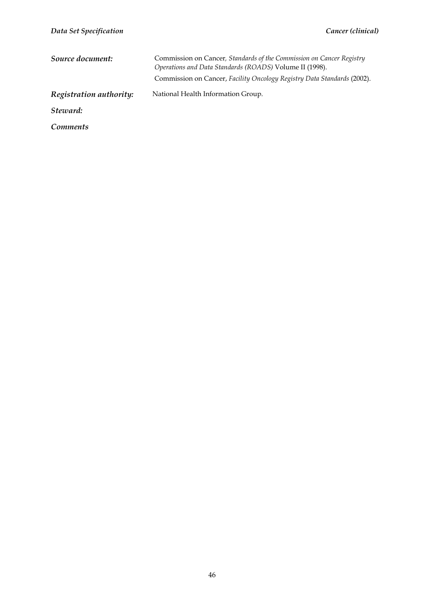| Source document:        | Commission on Cancer, Standards of the Commission on Cancer Registry<br>Operations and Data Standards (ROADS) Volume II (1998).<br>Commission on Cancer, Facility Oncology Registry Data Standards (2002). |
|-------------------------|------------------------------------------------------------------------------------------------------------------------------------------------------------------------------------------------------------|
| Registration authority: | National Health Information Group.                                                                                                                                                                         |
| Steward:                |                                                                                                                                                                                                            |
| <i>Comments</i>         |                                                                                                                                                                                                            |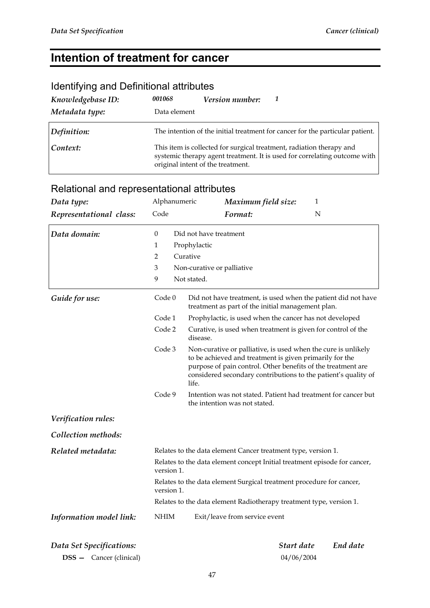## **Intention of treatment for cancer**

#### Identifying and Definitional attributes *Knowledgebase ID: 001068 Version number: 1 Metadata type:* Data element

| Definition: | The intention of the initial treatment for cancer for the particular patient.                                                                                                          |
|-------------|----------------------------------------------------------------------------------------------------------------------------------------------------------------------------------------|
| Context:    | This item is collected for surgical treatment, radiation therapy and<br>systemic therapy agent treatment. It is used for correlating outcome with<br>original intent of the treatment. |

### Relational and representational attributes

| Data type:               | Alphanumeric                                                                            | Maximum field size:                                                                                                                                                                                                                                                 | 1                      |  |  |  |  |
|--------------------------|-----------------------------------------------------------------------------------------|---------------------------------------------------------------------------------------------------------------------------------------------------------------------------------------------------------------------------------------------------------------------|------------------------|--|--|--|--|
| Representational class:  | Code                                                                                    | Format:                                                                                                                                                                                                                                                             | N                      |  |  |  |  |
| Data domain:             | $\theta$                                                                                | Did not have treatment                                                                                                                                                                                                                                              |                        |  |  |  |  |
|                          | 1                                                                                       | Prophylactic                                                                                                                                                                                                                                                        |                        |  |  |  |  |
|                          | 2                                                                                       | Curative                                                                                                                                                                                                                                                            |                        |  |  |  |  |
|                          | 3                                                                                       | Non-curative or palliative                                                                                                                                                                                                                                          |                        |  |  |  |  |
|                          | 9                                                                                       | Not stated.                                                                                                                                                                                                                                                         |                        |  |  |  |  |
| Guide for use:           | Code 0                                                                                  | Did not have treatment, is used when the patient did not have<br>treatment as part of the initial management plan.                                                                                                                                                  |                        |  |  |  |  |
|                          | Code 1                                                                                  | Prophylactic, is used when the cancer has not developed                                                                                                                                                                                                             |                        |  |  |  |  |
|                          | Code 2                                                                                  | Curative, is used when treatment is given for control of the<br>disease.                                                                                                                                                                                            |                        |  |  |  |  |
|                          | Code 3                                                                                  | Non-curative or palliative, is used when the cure is unlikely<br>to be achieved and treatment is given primarily for the<br>purpose of pain control. Other benefits of the treatment are<br>considered secondary contributions to the patient's quality of<br>life. |                        |  |  |  |  |
|                          | Code 9                                                                                  | Intention was not stated. Patient had treatment for cancer but<br>the intention was not stated.                                                                                                                                                                     |                        |  |  |  |  |
| Verification rules:      |                                                                                         |                                                                                                                                                                                                                                                                     |                        |  |  |  |  |
| Collection methods:      |                                                                                         |                                                                                                                                                                                                                                                                     |                        |  |  |  |  |
| Related metadata:        |                                                                                         | Relates to the data element Cancer treatment type, version 1.                                                                                                                                                                                                       |                        |  |  |  |  |
|                          | Relates to the data element concept Initial treatment episode for cancer,<br>version 1. |                                                                                                                                                                                                                                                                     |                        |  |  |  |  |
|                          | Relates to the data element Surgical treatment procedure for cancer,<br>version 1.      |                                                                                                                                                                                                                                                                     |                        |  |  |  |  |
|                          | Relates to the data element Radiotherapy treatment type, version 1.                     |                                                                                                                                                                                                                                                                     |                        |  |  |  |  |
| Information model link:  | $\mathbf{N}\mathbf{H}\mathbf{I}\mathbf{M}$                                              | Exit/leave from service event                                                                                                                                                                                                                                       |                        |  |  |  |  |
|                          |                                                                                         |                                                                                                                                                                                                                                                                     | Start date<br>End date |  |  |  |  |
| Data Set Specifications: |                                                                                         |                                                                                                                                                                                                                                                                     |                        |  |  |  |  |

**DSS —** Cancer (clinical) 04/06/2004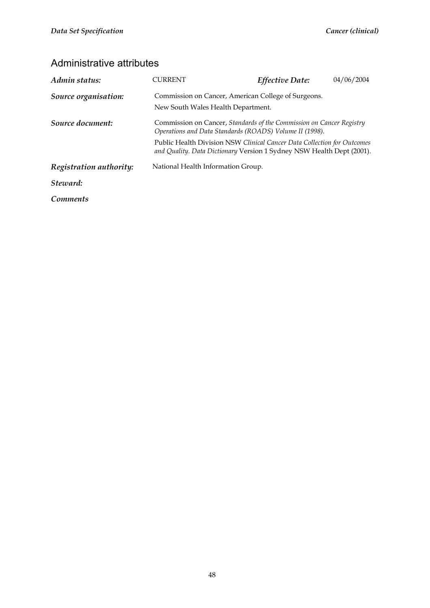| Admin status:           | CURRENT                                                                                                                                          | <b>Effective Date:</b>                              | 04/06/2004 |  |
|-------------------------|--------------------------------------------------------------------------------------------------------------------------------------------------|-----------------------------------------------------|------------|--|
| Source organisation:    | New South Wales Health Department.                                                                                                               | Commission on Cancer, American College of Surgeons. |            |  |
| Source document:        | Commission on Cancer, Standards of the Commission on Cancer Registry<br>Operations and Data Standards (ROADS) Volume II (1998).                  |                                                     |            |  |
|                         | Public Health Division NSW Clinical Cancer Data Collection for Outcomes<br>and Quality. Data Dictionary Version 1 Sydney NSW Health Dept (2001). |                                                     |            |  |
| Registration authority: | National Health Information Group.                                                                                                               |                                                     |            |  |
| Steward:                |                                                                                                                                                  |                                                     |            |  |
| Comments                |                                                                                                                                                  |                                                     |            |  |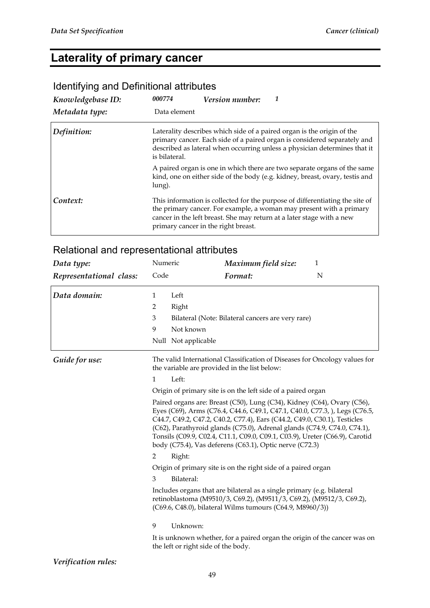### **Laterality of primary cancer**

#### *Knowledgebase ID: 000774 Version number: 1 Metadata type:* Data element *Definition:* Laterality describes which side of a paired organ is the origin of the primary cancer. Each side of a paired organ is considered separately and described as lateral when occurring unless a physician determines that it is bilateral. A paired organ is one in which there are two separate organs of the same kind, one on either side of the body (e.g. kidney, breast, ovary, testis and lung). **Context:** This information is collected for the purpose of differentiating the site of the primary cancer. For example, a woman may present with a primary cancer in the left breast. She may return at a later stage with a new primary cancer in the right breast.

#### Identifying and Definitional attributes

#### Relational and representational attributes

| Data type:              | Numeric      |                                     | Maximum field size:                                                                                                                                                                                                                                                                                                                                                                                                                                       | $\mathbf{1}$ |
|-------------------------|--------------|-------------------------------------|-----------------------------------------------------------------------------------------------------------------------------------------------------------------------------------------------------------------------------------------------------------------------------------------------------------------------------------------------------------------------------------------------------------------------------------------------------------|--------------|
| Representational class: | Code         |                                     | Format:                                                                                                                                                                                                                                                                                                                                                                                                                                                   | N            |
| Data domain:            | $\mathbf{1}$ | Left                                |                                                                                                                                                                                                                                                                                                                                                                                                                                                           |              |
|                         | 2            | Right                               |                                                                                                                                                                                                                                                                                                                                                                                                                                                           |              |
|                         | 3            |                                     | Bilateral (Note: Bilateral cancers are very rare)                                                                                                                                                                                                                                                                                                                                                                                                         |              |
|                         | 9            | Not known                           |                                                                                                                                                                                                                                                                                                                                                                                                                                                           |              |
|                         |              | Null Not applicable                 |                                                                                                                                                                                                                                                                                                                                                                                                                                                           |              |
| Guide for use:          |              |                                     | The valid International Classification of Diseases for Oncology values for<br>the variable are provided in the list below:                                                                                                                                                                                                                                                                                                                                |              |
|                         | $\mathbf{1}$ | Left:                               |                                                                                                                                                                                                                                                                                                                                                                                                                                                           |              |
|                         |              |                                     | Origin of primary site is on the left side of a paired organ                                                                                                                                                                                                                                                                                                                                                                                              |              |
|                         |              |                                     | Paired organs are: Breast (C50), Lung (C34), Kidney (C64), Ovary (C56),<br>Eyes (C69), Arms (C76.4, C44.6, C49.1, C47.1, C40.0, C77.3, ), Legs (C76.5,<br>C44.7, C49.2, C47.2, C40.2, C77.4), Ears (C44.2, C49.0, C30.1), Testicles<br>(C62), Parathyroid glands (C75.0), Adrenal glands (C74.9, C74.0, C74.1),<br>Tonsils (C09.9, C02.4, C11.1, C09.0, C09.1, C03.9), Ureter (C66.9), Carotid<br>body (C75.4), Vas deferens (C63.1), Optic nerve (C72.3) |              |
|                         | 2            | Right:                              |                                                                                                                                                                                                                                                                                                                                                                                                                                                           |              |
|                         |              |                                     | Origin of primary site is on the right side of a paired organ                                                                                                                                                                                                                                                                                                                                                                                             |              |
|                         | 3            | Bilateral:                          |                                                                                                                                                                                                                                                                                                                                                                                                                                                           |              |
|                         |              |                                     | Includes organs that are bilateral as a single primary (e.g. bilateral<br>retinoblastoma (M9510/3, C69.2), (M9511/3, C69.2), (M9512/3, C69.2),<br>(C69.6, C48.0), bilateral Wilms tumours (C64.9, M8960/3))                                                                                                                                                                                                                                               |              |
|                         | 9            | Unknown:                            |                                                                                                                                                                                                                                                                                                                                                                                                                                                           |              |
|                         |              | the left or right side of the body. | It is unknown whether, for a paired organ the origin of the cancer was on                                                                                                                                                                                                                                                                                                                                                                                 |              |

#### *Verification rules:*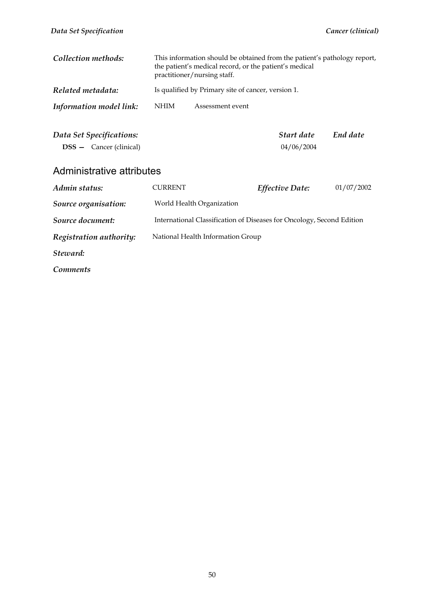| Collection methods:                                        | This information should be obtained from the patient's pathology report,<br>the patient's medical record, or the patient's medical<br>practitioner/nursing staff. |                           |                                                                       |            |
|------------------------------------------------------------|-------------------------------------------------------------------------------------------------------------------------------------------------------------------|---------------------------|-----------------------------------------------------------------------|------------|
| Related metadata:                                          | Is qualified by Primary site of cancer, version 1.                                                                                                                |                           |                                                                       |            |
| Information model link:                                    | <b>NHIM</b>                                                                                                                                                       | Assessment event          |                                                                       |            |
| Data Set Specifications:<br><b>DSS</b> – Cancer (clinical) |                                                                                                                                                                   |                           | Start date<br>04/06/2004                                              | End date   |
| Administrative attributes                                  |                                                                                                                                                                   |                           |                                                                       |            |
| Admin status:                                              | <b>CURRENT</b>                                                                                                                                                    |                           | <i>Effective Date:</i>                                                | 01/07/2002 |
| Source organisation:                                       |                                                                                                                                                                   | World Health Organization |                                                                       |            |
| Source document:                                           |                                                                                                                                                                   |                           | International Classification of Diseases for Oncology, Second Edition |            |

*Registration authority:* National Health Information Group

*Steward:* 

*Comments*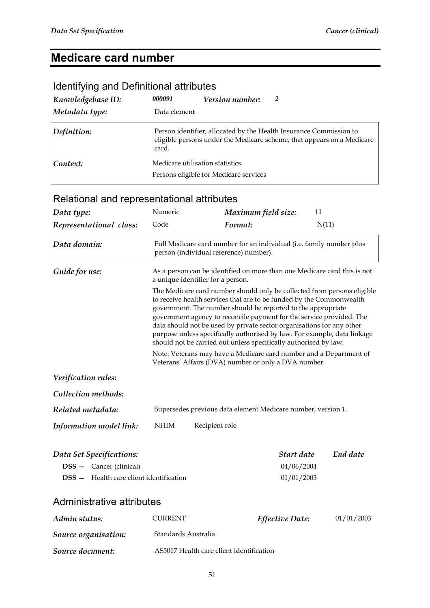## **Medicare card number**

| Knowledgebase ID:<br>Metadata type: | 000091<br>Data element           | Version number:                        | 2                                                                                                                                            |
|-------------------------------------|----------------------------------|----------------------------------------|----------------------------------------------------------------------------------------------------------------------------------------------|
| Definition:                         | card.                            |                                        | Person identifier, allocated by the Health Insurance Commission to<br>eligible persons under the Medicare scheme, that appears on a Medicare |
| Context:                            | Medicare utilisation statistics. | Persons eligible for Medicare services |                                                                                                                                              |

#### Identifying and Definitional attributes

| Relational and representational attributes                                                                   |                                        |                                                                                                                                                                                                                                                                                                                                                                                                                                                                                                                  |                                        |            |
|--------------------------------------------------------------------------------------------------------------|----------------------------------------|------------------------------------------------------------------------------------------------------------------------------------------------------------------------------------------------------------------------------------------------------------------------------------------------------------------------------------------------------------------------------------------------------------------------------------------------------------------------------------------------------------------|----------------------------------------|------------|
| Data type:                                                                                                   | Numeric                                | Maximum field size:                                                                                                                                                                                                                                                                                                                                                                                                                                                                                              | 11                                     |            |
| Representational class:                                                                                      | Code                                   | Format:                                                                                                                                                                                                                                                                                                                                                                                                                                                                                                          | N(11)                                  |            |
| Data domain:                                                                                                 | person (individual reference) number). | Full Medicare card number for an individual (i.e. family number plus                                                                                                                                                                                                                                                                                                                                                                                                                                             |                                        |            |
| Guide for use:                                                                                               | a unique identifier for a person.      | As a person can be identified on more than one Medicare card this is not                                                                                                                                                                                                                                                                                                                                                                                                                                         |                                        |            |
|                                                                                                              |                                        | The Medicare card number should only be collected from persons eligible<br>to receive health services that are to be funded by the Commonwealth<br>government. The number should be reported to the appropriate<br>government agency to reconcile payment for the service provided. The<br>data should not be used by private sector organisations for any other<br>purpose unless specifically authorised by law. For example, data linkage<br>should not be carried out unless specifically authorised by law. |                                        |            |
|                                                                                                              |                                        | Note: Veterans may have a Medicare card number and a Department of<br>Veterans' Affairs (DVA) number or only a DVA number.                                                                                                                                                                                                                                                                                                                                                                                       |                                        |            |
| Verification rules:                                                                                          |                                        |                                                                                                                                                                                                                                                                                                                                                                                                                                                                                                                  |                                        |            |
| Collection methods:                                                                                          |                                        |                                                                                                                                                                                                                                                                                                                                                                                                                                                                                                                  |                                        |            |
| Related metadata:                                                                                            |                                        | Supersedes previous data element Medicare number, version 1.                                                                                                                                                                                                                                                                                                                                                                                                                                                     |                                        |            |
| Information model link:                                                                                      | NHIM<br>Recipient role                 |                                                                                                                                                                                                                                                                                                                                                                                                                                                                                                                  |                                        |            |
| Data Set Specifications:<br><b>DSS</b> - Cancer (clinical)<br><b>DSS</b> - Health care client identification |                                        |                                                                                                                                                                                                                                                                                                                                                                                                                                                                                                                  | Start date<br>04/06/2004<br>01/01/2003 | End date   |
| Administrative attributes                                                                                    |                                        |                                                                                                                                                                                                                                                                                                                                                                                                                                                                                                                  |                                        |            |
| Admin status:                                                                                                | CURRENT                                | Effective Date:                                                                                                                                                                                                                                                                                                                                                                                                                                                                                                  |                                        | 01/01/2003 |
| Source organisation:                                                                                         | Standards Australia                    |                                                                                                                                                                                                                                                                                                                                                                                                                                                                                                                  |                                        |            |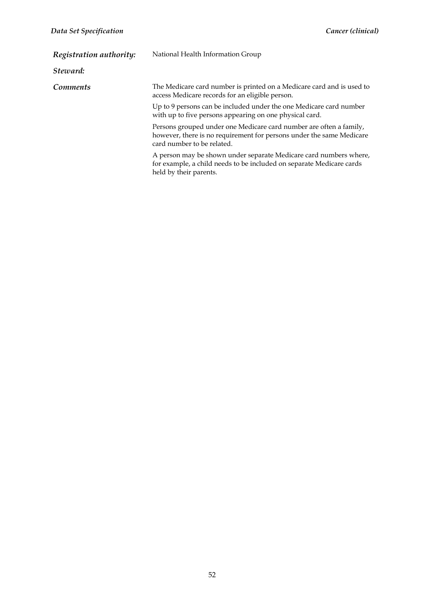| Registration authority: | National Health Information Group                                                                                                                                        |  |  |
|-------------------------|--------------------------------------------------------------------------------------------------------------------------------------------------------------------------|--|--|
| Steward:                |                                                                                                                                                                          |  |  |
| <b>Comments</b>         | The Medicare card number is printed on a Medicare card and is used to<br>access Medicare records for an eligible person.                                                 |  |  |
|                         | Up to 9 persons can be included under the one Medicare card number<br>with up to five persons appearing on one physical card.                                            |  |  |
|                         | Persons grouped under one Medicare card number are often a family,<br>however, there is no requirement for persons under the same Medicare<br>card number to be related. |  |  |
|                         | A person may be shown under separate Medicare card numbers where,<br>for example, a child needs to be included on separate Medicare cards<br>held by their parents.      |  |  |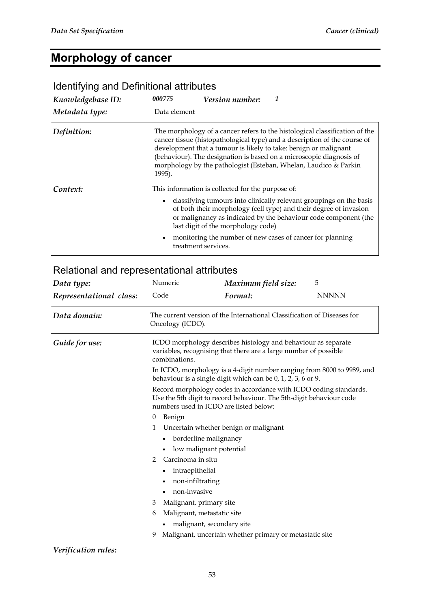#### **Morphology of cancer**

#### *Knowledgebase ID: 000775 Version number: 1 Metadata type:* Data element **Definition:** The morphology of a cancer refers to the histological classification of the cancer tissue (histopathological type) and a description of the course of development that a tumour is likely to take: benign or malignant (behaviour). The designation is based on a microscopic diagnosis of morphology by the pathologist (Esteban, Whelan, Laudico & Parkin 1995). **Context:** This information is collected for the purpose of: • classifying tumours into clinically relevant groupings on the basis of both their morphology (cell type) and their degree of invasion or malignancy as indicated by the behaviour code component (the last digit of the morphology code) • monitoring the number of new cases of cancer for planning treatment services.

#### Identifying and Definitional attributes

| Data type:              | 5<br>Maximum field size:                                                                                                                                                           |                                                                                                                                                                                                   |                                                                        |  |  |  |  |
|-------------------------|------------------------------------------------------------------------------------------------------------------------------------------------------------------------------------|---------------------------------------------------------------------------------------------------------------------------------------------------------------------------------------------------|------------------------------------------------------------------------|--|--|--|--|
| Representational class: | Code                                                                                                                                                                               | Format:                                                                                                                                                                                           | <b>NNNNN</b>                                                           |  |  |  |  |
| Data domain:            | The current version of the International Classification of Diseases for<br>Oncology (ICDO).                                                                                        |                                                                                                                                                                                                   |                                                                        |  |  |  |  |
| Guide for use:          | combinations.                                                                                                                                                                      | ICDO morphology describes histology and behaviour as separate<br>variables, recognising that there are a large number of possible<br>behaviour is a single digit which can be 0, 1, 2, 3, 6 or 9. | In ICDO, morphology is a 4-digit number ranging from 8000 to 9989, and |  |  |  |  |
|                         | Record morphology codes in accordance with ICDO coding standards.<br>Use the 5th digit to record behaviour. The 5th-digit behaviour code<br>numbers used in ICDO are listed below: |                                                                                                                                                                                                   |                                                                        |  |  |  |  |
|                         | 0<br>Benign                                                                                                                                                                        |                                                                                                                                                                                                   |                                                                        |  |  |  |  |
|                         | 1                                                                                                                                                                                  | Uncertain whether benign or malignant                                                                                                                                                             |                                                                        |  |  |  |  |
|                         |                                                                                                                                                                                    | borderline malignancy                                                                                                                                                                             |                                                                        |  |  |  |  |
|                         |                                                                                                                                                                                    | low malignant potential                                                                                                                                                                           |                                                                        |  |  |  |  |
|                         | Carcinoma in situ<br>2                                                                                                                                                             |                                                                                                                                                                                                   |                                                                        |  |  |  |  |
|                         |                                                                                                                                                                                    | intraepithelial                                                                                                                                                                                   |                                                                        |  |  |  |  |
|                         |                                                                                                                                                                                    | non-infiltrating                                                                                                                                                                                  |                                                                        |  |  |  |  |
|                         |                                                                                                                                                                                    | non-invasive                                                                                                                                                                                      |                                                                        |  |  |  |  |
|                         | 3                                                                                                                                                                                  | Malignant, primary site                                                                                                                                                                           |                                                                        |  |  |  |  |
|                         | Malignant, metastatic site<br>6                                                                                                                                                    |                                                                                                                                                                                                   |                                                                        |  |  |  |  |
|                         | malignant, secondary site                                                                                                                                                          |                                                                                                                                                                                                   |                                                                        |  |  |  |  |
|                         | 9                                                                                                                                                                                  | Malignant, uncertain whether primary or metastatic site                                                                                                                                           |                                                                        |  |  |  |  |
| Verification rules:     |                                                                                                                                                                                    |                                                                                                                                                                                                   |                                                                        |  |  |  |  |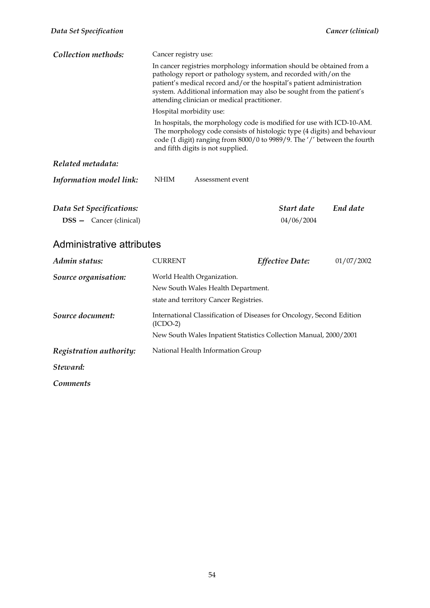*Steward:* 

*Comments* 

| Data Set Specification                                     |                      |                                                                                                                                                                                                                                                                                                                                          |                          | Cancer (clinical) |
|------------------------------------------------------------|----------------------|------------------------------------------------------------------------------------------------------------------------------------------------------------------------------------------------------------------------------------------------------------------------------------------------------------------------------------------|--------------------------|-------------------|
| Collection methods:                                        | Cancer registry use: |                                                                                                                                                                                                                                                                                                                                          |                          |                   |
|                                                            |                      | In cancer registries morphology information should be obtained from a<br>pathology report or pathology system, and recorded with/on the<br>patient's medical record and/or the hospital's patient administration<br>system. Additional information may also be sought from the patient's<br>attending clinician or medical practitioner. |                          |                   |
|                                                            |                      | Hospital morbidity use:                                                                                                                                                                                                                                                                                                                  |                          |                   |
|                                                            |                      | In hospitals, the morphology code is modified for use with ICD-10-AM.<br>The morphology code consists of histologic type (4 digits) and behaviour<br>code (1 digit) ranging from 8000/0 to 9989/9. The '/' between the fourth<br>and fifth digits is not supplied.                                                                       |                          |                   |
| Related metadata:                                          |                      |                                                                                                                                                                                                                                                                                                                                          |                          |                   |
| Information model link:                                    | <b>NHIM</b>          | Assessment event                                                                                                                                                                                                                                                                                                                         |                          |                   |
| Data Set Specifications:<br><b>DSS</b> - Cancer (clinical) |                      |                                                                                                                                                                                                                                                                                                                                          | Start date<br>04/06/2004 | End date          |
| Administrative attributes                                  |                      |                                                                                                                                                                                                                                                                                                                                          |                          |                   |
| Admin status:                                              | <b>CURRENT</b>       |                                                                                                                                                                                                                                                                                                                                          | Effective Date:          | 01/07/2002        |
| Source organisation:                                       |                      | World Health Organization.<br>New South Wales Health Department.<br>state and territory Cancer Registries.                                                                                                                                                                                                                               |                          |                   |
| Source document:                                           |                      | International Classification of Diseases for Oncology, Second Edition                                                                                                                                                                                                                                                                    |                          |                   |

New South Wales Inpatient Statistics Collection Manual, 2000/2001

(ICDO-2)

*Registration authority:* National Health Information Group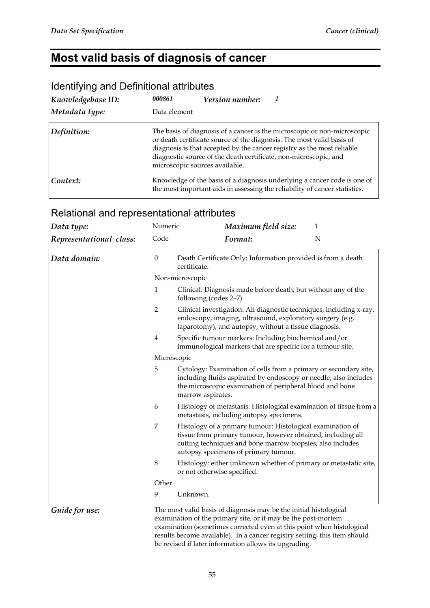# **Most valid basis of diagnosis of cancer**

#### Identifying and Definitional attributes

| Knowledgebase ID: | 000861<br>Version number:                                                                                                                                                                                                                                                                                                         |
|-------------------|-----------------------------------------------------------------------------------------------------------------------------------------------------------------------------------------------------------------------------------------------------------------------------------------------------------------------------------|
| Metadata type:    | Data element                                                                                                                                                                                                                                                                                                                      |
| Definition:       | The basis of diagnosis of a cancer is the microscopic or non-microscopic<br>or death certificate source of the diagnosis. The most valid basis of<br>diagnosis is that accepted by the cancer registry as the most reliable<br>diagnostic source of the death certificate, non-microscopic, and<br>microscopic sources available. |
| Context:          | Knowledge of the basis of a diagnosis underlying a cancer code is one of<br>the most important aids in assessing the reliability of cancer statistics.                                                                                                                                                                            |

### Relational and representational attributes

| Data type:              | Numeric          | Maximum field size:<br>1                                                                                                                                                                                                        |  |  |  |  |
|-------------------------|------------------|---------------------------------------------------------------------------------------------------------------------------------------------------------------------------------------------------------------------------------|--|--|--|--|
| Representational class: | Code             | N<br>Format:                                                                                                                                                                                                                    |  |  |  |  |
| Data domain:            | $\boldsymbol{0}$ | Death Certificate Only: Information provided is from a death<br>certificate.                                                                                                                                                    |  |  |  |  |
|                         | Non-microscopic  |                                                                                                                                                                                                                                 |  |  |  |  |
|                         | $\mathbf{1}$     | Clinical: Diagnosis made before death, but without any of the<br>following (codes 2-7)                                                                                                                                          |  |  |  |  |
|                         | $\overline{2}$   | Clinical investigation: All diagnostic techniques, including x-ray,<br>endoscopy, imaging, ultrasound, exploratory surgery (e.g.<br>laparotomy), and autopsy, without a tissue diagnosis.                                       |  |  |  |  |
|                         | $\overline{4}$   | Specific tumour markers: Including biochemical and/or<br>immunological markers that are specific for a tumour site.                                                                                                             |  |  |  |  |
|                         | Microscopic      |                                                                                                                                                                                                                                 |  |  |  |  |
|                         | 5                | Cytology: Examination of cells from a primary or secondary site,<br>including fluids aspirated by endoscopy or needle; also includes<br>the microscopic examination of peripheral blood and bone<br>marrow aspirates.           |  |  |  |  |
|                         | 6                | Histology of metastasis: Histological examination of tissue from a<br>metastasis, including autopsy specimens.                                                                                                                  |  |  |  |  |
|                         | 7                | Histology of a primary tumour: Histological examination of<br>tissue from primary tumour, however obtained, including all<br>cutting techniques and bone marrow biopsies; also includes<br>autopsy specimens of primary tumour. |  |  |  |  |
|                         | $\,8\,$          | Histology: either unknown whether of primary or metastatic site,<br>or not otherwise specified.                                                                                                                                 |  |  |  |  |
|                         | Other            |                                                                                                                                                                                                                                 |  |  |  |  |
|                         | 9                | Unknown.                                                                                                                                                                                                                        |  |  |  |  |
| Guide for use:          |                  | The most valid basis of diagnosis may be the initial histological<br>examination of the primary site, or it may be the post-mortem<br>examination (cometimes corrected even at this noint when histological                     |  |  |  |  |

examination (sometimes corrected even at this point when histological results become available). In a cancer registry setting, this item should be revised if later information allows its upgrading.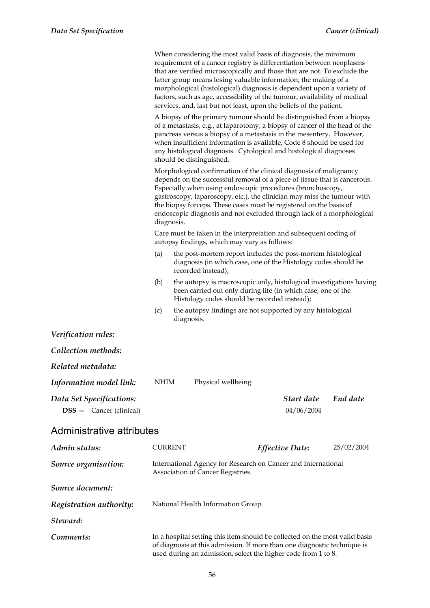|                                                            |                |            | When considering the most valid basis of diagnosis, the minimum<br>requirement of a cancer registry is differentiation between neoplasms<br>that are verified microscopically and those that are not. To exclude the<br>latter group means losing valuable information; the making of a<br>morphological (histological) diagnosis is dependent upon a variety of<br>factors, such as age, accessibility of the tumour, availability of medical<br>services, and, last but not least, upon the beliefs of the patient. |                          |            |
|------------------------------------------------------------|----------------|------------|-----------------------------------------------------------------------------------------------------------------------------------------------------------------------------------------------------------------------------------------------------------------------------------------------------------------------------------------------------------------------------------------------------------------------------------------------------------------------------------------------------------------------|--------------------------|------------|
|                                                            |                |            | A biopsy of the primary tumour should be distinguished from a biopsy<br>of a metastasis, e.g., at laparotomy; a biopsy of cancer of the head of the<br>pancreas versus a biopsy of a metastasis in the mesentery. However,<br>when insufficient information is available, Code 8 should be used for<br>any histological diagnosis. Cytological and histological diagnoses<br>should be distinguished.                                                                                                                 |                          |            |
|                                                            | diagnosis.     |            | Morphological confirmation of the clinical diagnosis of malignancy<br>depends on the successful removal of a piece of tissue that is cancerous.<br>Especially when using endoscopic procedures (bronchoscopy,<br>gastroscopy, laparoscopy, etc.), the clinician may miss the tumour with<br>the biopsy forceps. These cases must be registered on the basis of<br>endoscopic diagnosis and not excluded through lack of a morphological                                                                               |                          |            |
|                                                            |                |            | Care must be taken in the interpretation and subsequent coding of<br>autopsy findings, which may vary as follows:                                                                                                                                                                                                                                                                                                                                                                                                     |                          |            |
|                                                            | (a)            |            | the post-mortem report includes the post-mortem histological<br>diagnosis (in which case, one of the Histology codes should be<br>recorded instead);                                                                                                                                                                                                                                                                                                                                                                  |                          |            |
|                                                            | (b)            |            | the autopsy is macroscopic only, histological investigations having<br>been carried out only during life (in which case, one of the<br>Histology codes should be recorded instead);                                                                                                                                                                                                                                                                                                                                   |                          |            |
|                                                            | (c)            | diagnosis. | the autopsy findings are not supported by any histological                                                                                                                                                                                                                                                                                                                                                                                                                                                            |                          |            |
| Verification rules:                                        |                |            |                                                                                                                                                                                                                                                                                                                                                                                                                                                                                                                       |                          |            |
| Collection methods:                                        |                |            |                                                                                                                                                                                                                                                                                                                                                                                                                                                                                                                       |                          |            |
| Related metadata:                                          |                |            |                                                                                                                                                                                                                                                                                                                                                                                                                                                                                                                       |                          |            |
| Information model link:                                    | <b>NHIM</b>    |            | Physical wellbeing                                                                                                                                                                                                                                                                                                                                                                                                                                                                                                    |                          |            |
| Data Set Specifications:<br><b>DSS</b> - Cancer (clinical) |                |            |                                                                                                                                                                                                                                                                                                                                                                                                                                                                                                                       | Start date<br>04/06/2004 | End date   |
| Administrative attributes                                  |                |            |                                                                                                                                                                                                                                                                                                                                                                                                                                                                                                                       |                          |            |
| Admin status:                                              | <b>CURRENT</b> |            |                                                                                                                                                                                                                                                                                                                                                                                                                                                                                                                       | Effective Date:          | 25/02/2004 |
| Source organisation:                                       |                |            | International Agency for Research on Cancer and International<br>Association of Cancer Registries.                                                                                                                                                                                                                                                                                                                                                                                                                    |                          |            |
| Source document:                                           |                |            |                                                                                                                                                                                                                                                                                                                                                                                                                                                                                                                       |                          |            |
| Registration authority:                                    |                |            | National Health Information Group.                                                                                                                                                                                                                                                                                                                                                                                                                                                                                    |                          |            |
| Steward:                                                   |                |            |                                                                                                                                                                                                                                                                                                                                                                                                                                                                                                                       |                          |            |
| Comments:                                                  |                |            | In a hospital setting this item should be collected on the most valid basis<br>of diagnosis at this admission. If more than one diagnostic technique is<br>used during an admission, select the higher code from 1 to 8.                                                                                                                                                                                                                                                                                              |                          |            |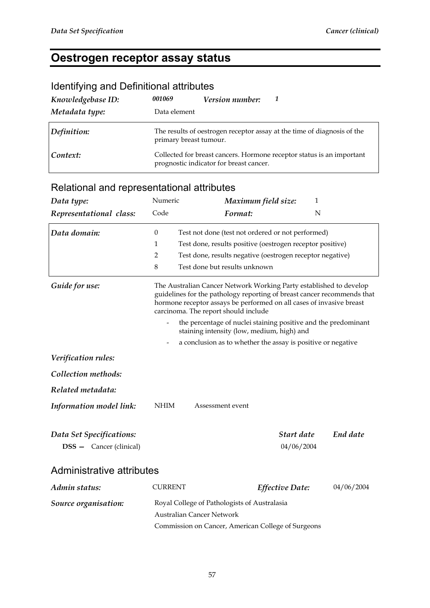## **Oestrogen receptor assay status**

| Knowledgebase ID: | 001069                 | <b>Version number:</b>                  | -7                                                                      |  |  |  |
|-------------------|------------------------|-----------------------------------------|-------------------------------------------------------------------------|--|--|--|
| Metadata type:    | Data element           |                                         |                                                                         |  |  |  |
| Definition:       | primary breast tumour. |                                         | The results of oestrogen receptor assay at the time of diagnosis of the |  |  |  |
| Context:          |                        | prognostic indicator for breast cancer. | Collected for breast cancers. Hormone receptor status is an important   |  |  |  |

#### Identifying and Definitional attributes

| Data type:                                                 | Numeric                                                                                                                                                                                                                                                       | Maximum field size:                                          | 1                        |            |  |  |  |
|------------------------------------------------------------|---------------------------------------------------------------------------------------------------------------------------------------------------------------------------------------------------------------------------------------------------------------|--------------------------------------------------------------|--------------------------|------------|--|--|--|
| Representational class:                                    | Code                                                                                                                                                                                                                                                          | Format:                                                      | $\mathbf N$              |            |  |  |  |
| Data domain:                                               | $\boldsymbol{0}$                                                                                                                                                                                                                                              | Test not done (test not ordered or not performed)            |                          |            |  |  |  |
|                                                            | Test done, results positive (oestrogen receptor positive)<br>1                                                                                                                                                                                                |                                                              |                          |            |  |  |  |
|                                                            | 2                                                                                                                                                                                                                                                             | Test done, results negative (oestrogen receptor negative)    |                          |            |  |  |  |
|                                                            | $\,8\,$                                                                                                                                                                                                                                                       | Test done but results unknown                                |                          |            |  |  |  |
| Guide for use:                                             | The Australian Cancer Network Working Party established to develop<br>guidelines for the pathology reporting of breast cancer recommends that<br>hormone receptor assays be performed on all cases of invasive breast<br>carcinoma. The report should include |                                                              |                          |            |  |  |  |
|                                                            | the percentage of nuclei staining positive and the predominant<br>staining intensity (low, medium, high) and                                                                                                                                                  |                                                              |                          |            |  |  |  |
|                                                            | $\overline{\phantom{a}}$                                                                                                                                                                                                                                      | a conclusion as to whether the assay is positive or negative |                          |            |  |  |  |
| Verification rules:                                        |                                                                                                                                                                                                                                                               |                                                              |                          |            |  |  |  |
| Collection methods:                                        |                                                                                                                                                                                                                                                               |                                                              |                          |            |  |  |  |
| Related metadata:                                          |                                                                                                                                                                                                                                                               |                                                              |                          |            |  |  |  |
| Information model link:                                    | NHIM                                                                                                                                                                                                                                                          | Assessment event                                             |                          |            |  |  |  |
| Data Set Specifications:<br><b>DSS</b> - Cancer (clinical) |                                                                                                                                                                                                                                                               |                                                              | Start date<br>04/06/2004 | End date   |  |  |  |
| Administrative attributes                                  |                                                                                                                                                                                                                                                               |                                                              |                          |            |  |  |  |
| Admin status:                                              | <b>CURRENT</b>                                                                                                                                                                                                                                                | <b>Effective Date:</b>                                       |                          | 04/06/2004 |  |  |  |
| Source organisation:                                       | Royal College of Pathologists of Australasia<br>Australian Cancer Network                                                                                                                                                                                     |                                                              |                          |            |  |  |  |
|                                                            | Commission on Cancer, American College of Surgeons                                                                                                                                                                                                            |                                                              |                          |            |  |  |  |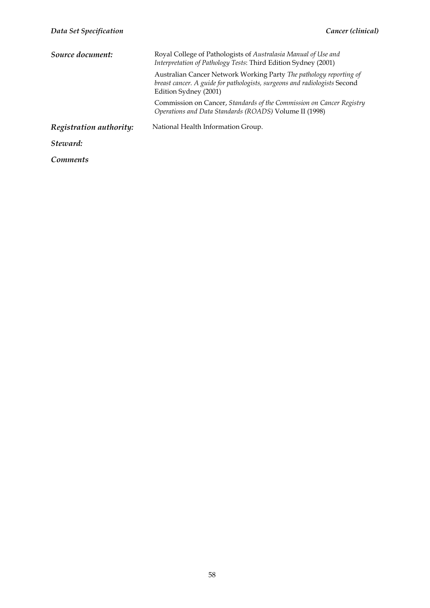| Source document:        | Royal College of Pathologists of Australasia Manual of Use and<br>Interpretation of Pathology Tests: Third Edition Sydney (2001)                                         |  |  |  |  |
|-------------------------|--------------------------------------------------------------------------------------------------------------------------------------------------------------------------|--|--|--|--|
|                         | Australian Cancer Network Working Party The pathology reporting of<br>breast cancer. A guide for pathologists, surgeons and radiologists Second<br>Edition Sydney (2001) |  |  |  |  |
|                         | Commission on Cancer, Standards of the Commission on Cancer Registry<br>Operations and Data Standards (ROADS) Volume II (1998)                                           |  |  |  |  |
| Registration authority: | National Health Information Group.                                                                                                                                       |  |  |  |  |
| Steward:                |                                                                                                                                                                          |  |  |  |  |
| <i>Comments</i>         |                                                                                                                                                                          |  |  |  |  |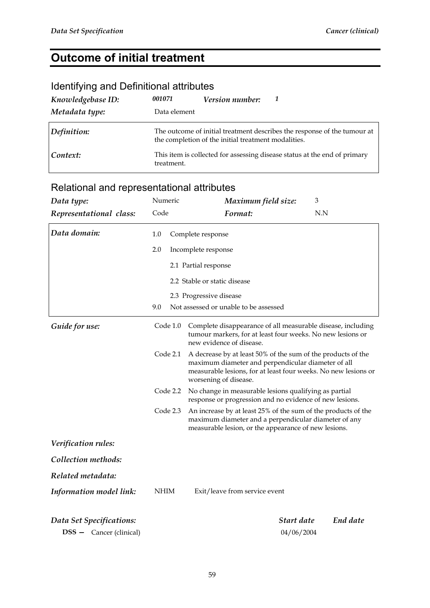## **Outcome of initial treatment**

### Identifying and Definitional attributes

| Knowledgebase ID: | 001071       | <b>Version number:</b>                              |                                                                           |
|-------------------|--------------|-----------------------------------------------------|---------------------------------------------------------------------------|
| Metadata type:    | Data element |                                                     |                                                                           |
| Definition:       |              | the completion of the initial treatment modalities. | The outcome of initial treatment describes the response of the tumour at  |
| Context:          | treatment.   |                                                     | This item is collected for assessing disease status at the end of primary |

| Data type:                     | Numeric     | Maximum field size:                                                                                                                                                                                           | 3        |  |  |  |
|--------------------------------|-------------|---------------------------------------------------------------------------------------------------------------------------------------------------------------------------------------------------------------|----------|--|--|--|
| Representational class:        | Code        | Format:                                                                                                                                                                                                       | N.N      |  |  |  |
| Data domain:                   | 1.0         | Complete response                                                                                                                                                                                             |          |  |  |  |
|                                | 2.0         | Incomplete response                                                                                                                                                                                           |          |  |  |  |
|                                |             | 2.1 Partial response                                                                                                                                                                                          |          |  |  |  |
|                                |             | 2.2 Stable or static disease                                                                                                                                                                                  |          |  |  |  |
|                                |             | 2.3 Progressive disease                                                                                                                                                                                       |          |  |  |  |
|                                | 9.0         | Not assessed or unable to be assessed                                                                                                                                                                         |          |  |  |  |
| Guide for use:                 | Code 1.0    | Complete disappearance of all measurable disease, including<br>tumour markers, for at least four weeks. No new lesions or<br>new evidence of disease.                                                         |          |  |  |  |
|                                | Code 2.1    | A decrease by at least 50% of the sum of the products of the<br>maximum diameter and perpendicular diameter of all<br>measurable lesions, for at least four weeks. No new lesions or<br>worsening of disease. |          |  |  |  |
|                                | Code 2.2    | No change in measurable lesions qualifying as partial<br>response or progression and no evidence of new lesions.                                                                                              |          |  |  |  |
|                                | Code 2.3    | An increase by at least 25% of the sum of the products of the<br>maximum diameter and a perpendicular diameter of any<br>measurable lesion, or the appearance of new lesions.                                 |          |  |  |  |
| Verification rules:            |             |                                                                                                                                                                                                               |          |  |  |  |
| Collection methods:            |             |                                                                                                                                                                                                               |          |  |  |  |
| Related metadata:              |             |                                                                                                                                                                                                               |          |  |  |  |
| Information model link:        | <b>NHIM</b> | Exit/leave from service event                                                                                                                                                                                 |          |  |  |  |
| Data Set Specifications:       |             | Start date                                                                                                                                                                                                    | End date |  |  |  |
| <b>DSS</b> - Cancer (clinical) |             | 04/06/2004                                                                                                                                                                                                    |          |  |  |  |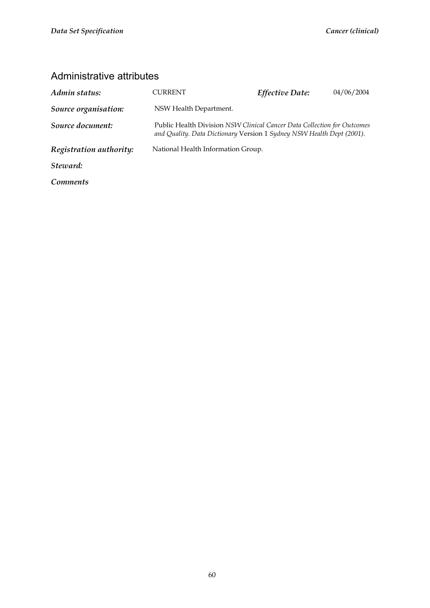| Admin status:           | CURRENT                                                                                                                                          | Effective Date: | 04/06/2004 |
|-------------------------|--------------------------------------------------------------------------------------------------------------------------------------------------|-----------------|------------|
| Source organisation:    | NSW Health Department.                                                                                                                           |                 |            |
| Source document:        | Public Health Division NSW Clinical Cancer Data Collection for Outcomes<br>and Quality. Data Dictionary Version 1 Sydney NSW Health Dept (2001). |                 |            |
| Registration authority: | National Health Information Group.                                                                                                               |                 |            |
| Steward:                |                                                                                                                                                  |                 |            |
| <i>Comments</i>         |                                                                                                                                                  |                 |            |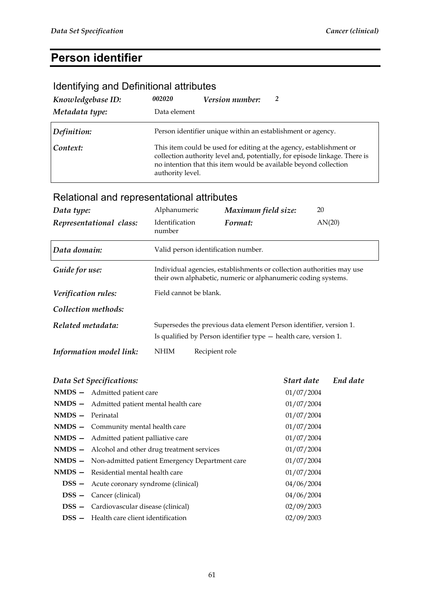# **Person identifier**

## Identifying and Definitional attributes

| Knowledgebase ID: | 002020           | Version number:                                             |                                                                                                                                                                                                                       |
|-------------------|------------------|-------------------------------------------------------------|-----------------------------------------------------------------------------------------------------------------------------------------------------------------------------------------------------------------------|
| Metadata type:    | Data element     |                                                             |                                                                                                                                                                                                                       |
| Definition:       |                  | Person identifier unique within an establishment or agency. |                                                                                                                                                                                                                       |
| Context:          | authority level. |                                                             | This item could be used for editing at the agency, establishment or<br>collection authority level and, potentially, for episode linkage. There is<br>no intention that this item would be available beyond collection |

| Data type:<br>Representational class: | Alphanumeric<br><b>Identification</b><br>number                                                                                        |                | Maximum field size:<br>Format:      | 20<br>AN(20) |  |
|---------------------------------------|----------------------------------------------------------------------------------------------------------------------------------------|----------------|-------------------------------------|--------------|--|
| Data domain:                          |                                                                                                                                        |                | Valid person identification number. |              |  |
| Guide for use:                        | Individual agencies, establishments or collection authorities may use<br>their own alphabetic, numeric or alphanumeric coding systems. |                |                                     |              |  |
| Verification rules:                   | Field cannot be blank.                                                                                                                 |                |                                     |              |  |
| Collection methods:                   |                                                                                                                                        |                |                                     |              |  |
| Related metadata:                     | Supersedes the previous data element Person identifier, version 1.<br>Is qualified by Person identifier type - health care, version 1. |                |                                     |              |  |
| Information model link:               | <b>NHIM</b>                                                                                                                            | Recipient role |                                     |              |  |

|                    | Data Set Specifications:                              | Start date End date |  |
|--------------------|-------------------------------------------------------|---------------------|--|
|                    | NMDS - Admitted patient care                          | 01/07/2004          |  |
|                    | NMDS - Admitted patient mental health care            | 01/07/2004          |  |
| $NMDS - Perinatal$ |                                                       | 01/07/2004          |  |
|                    | $NMDS -$ Community mental health care                 | 01/07/2004          |  |
|                    | <b>NMDS</b> - Admitted patient palliative care        | 01/07/2004          |  |
|                    | NMDS - Alcohol and other drug treatment services      | 01/07/2004          |  |
|                    | NMDS - Non-admitted patient Emergency Department care | 01/07/2004          |  |
|                    | $NMDS - Residental mental health care$                | 01/07/2004          |  |
|                    | <b>DSS</b> – Acute coronary syndrome (clinical)       | 04/06/2004          |  |
|                    | <b>DSS</b> – Cancer (clinical)                        | 04/06/2004          |  |
|                    | <b>DSS</b> – Cardiovascular disease (clinical)        | 02/09/2003          |  |
|                    | <b>DSS</b> - Health care client identification        | 02/09/2003          |  |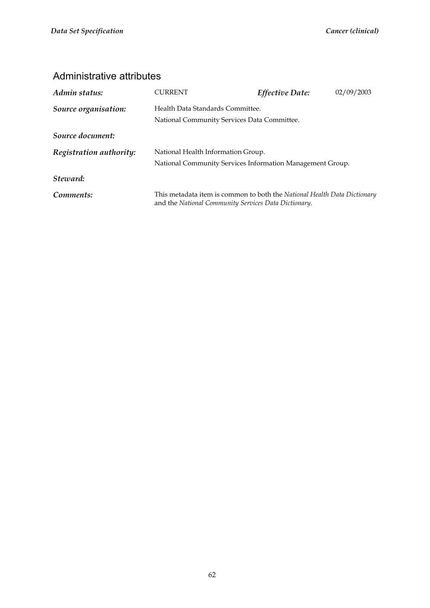| Admin status:           | CURRENT                                                                                                                          | Effective Date: | 02/09/2003 |  |  |
|-------------------------|----------------------------------------------------------------------------------------------------------------------------------|-----------------|------------|--|--|
| Source organisation:    | Health Data Standards Committee.<br>National Community Services Data Committee.                                                  |                 |            |  |  |
| Source document:        |                                                                                                                                  |                 |            |  |  |
| Registration authority: | National Health Information Group.<br>National Community Services Information Management Group.                                  |                 |            |  |  |
| Steward:                |                                                                                                                                  |                 |            |  |  |
| Comments:               | This metadata item is common to both the National Health Data Dictionary<br>and the National Community Services Data Dictionary. |                 |            |  |  |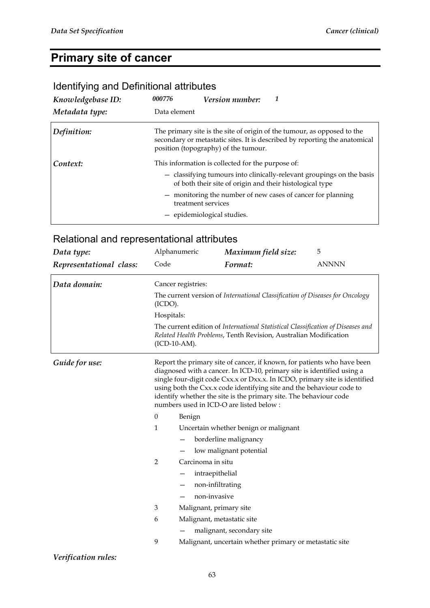## **Primary site of cancer**

### Identifying and Definitional attributes

| Knowledgebase ID: | 000776                                                                                                                                                                                        | <i>Version number:</i>                                                                                                            |  |  |
|-------------------|-----------------------------------------------------------------------------------------------------------------------------------------------------------------------------------------------|-----------------------------------------------------------------------------------------------------------------------------------|--|--|
| Metadata type:    | Data element                                                                                                                                                                                  |                                                                                                                                   |  |  |
| Definition:       | The primary site is the site of origin of the tumour, as opposed to the<br>secondary or metastatic sites. It is described by reporting the anatomical<br>position (topography) of the tumour. |                                                                                                                                   |  |  |
| Context:          |                                                                                                                                                                                               | This information is collected for the purpose of:                                                                                 |  |  |
|                   |                                                                                                                                                                                               | - classifying tumours into clinically-relevant groupings on the basis<br>of both their site of origin and their histological type |  |  |
|                   | treatment services                                                                                                                                                                            | - monitoring the number of new cases of cancer for planning                                                                       |  |  |
|                   |                                                                                                                                                                                               | - epidemiological studies.                                                                                                        |  |  |

### Relational and representational attributes

| Data type:              |                                                                                                                                                                                                                                                                                                                                                                                                                         | Alphanumeric                                                                                                                                        | Maximum field size:                                     | 5            |  |  |
|-------------------------|-------------------------------------------------------------------------------------------------------------------------------------------------------------------------------------------------------------------------------------------------------------------------------------------------------------------------------------------------------------------------------------------------------------------------|-----------------------------------------------------------------------------------------------------------------------------------------------------|---------------------------------------------------------|--------------|--|--|
| Representational class: | Code                                                                                                                                                                                                                                                                                                                                                                                                                    |                                                                                                                                                     | Format:                                                 | <b>ANNNN</b> |  |  |
| Data domain:            |                                                                                                                                                                                                                                                                                                                                                                                                                         | Cancer registries:                                                                                                                                  |                                                         |              |  |  |
|                         | (ICDO).                                                                                                                                                                                                                                                                                                                                                                                                                 | The current version of International Classification of Diseases for Oncology                                                                        |                                                         |              |  |  |
|                         | Hospitals:                                                                                                                                                                                                                                                                                                                                                                                                              |                                                                                                                                                     |                                                         |              |  |  |
|                         | $(ICD-10-AM).$                                                                                                                                                                                                                                                                                                                                                                                                          | The current edition of International Statistical Classification of Diseases and<br>Related Health Problems, Tenth Revision, Australian Modification |                                                         |              |  |  |
| Guide for use:          | Report the primary site of cancer, if known, for patients who have been<br>diagnosed with a cancer. In ICD-10, primary site is identified using a<br>single four-digit code Cxx.x or Dxx.x. In ICDO, primary site is identified<br>using both the Cxx.x code identifying site and the behaviour code to<br>identify whether the site is the primary site. The behaviour code<br>numbers used in ICD-O are listed below: |                                                                                                                                                     |                                                         |              |  |  |
|                         | $\mathbf{0}$                                                                                                                                                                                                                                                                                                                                                                                                            | Benign                                                                                                                                              |                                                         |              |  |  |
|                         | $\mathbf{1}$                                                                                                                                                                                                                                                                                                                                                                                                            |                                                                                                                                                     | Uncertain whether benign or malignant                   |              |  |  |
|                         |                                                                                                                                                                                                                                                                                                                                                                                                                         |                                                                                                                                                     | borderline malignancy                                   |              |  |  |
|                         |                                                                                                                                                                                                                                                                                                                                                                                                                         |                                                                                                                                                     | low malignant potential                                 |              |  |  |
|                         | 2                                                                                                                                                                                                                                                                                                                                                                                                                       | Carcinoma in situ                                                                                                                                   |                                                         |              |  |  |
|                         |                                                                                                                                                                                                                                                                                                                                                                                                                         | intraepithelial                                                                                                                                     |                                                         |              |  |  |
|                         |                                                                                                                                                                                                                                                                                                                                                                                                                         | non-infiltrating<br>—                                                                                                                               |                                                         |              |  |  |
|                         | non-invasive                                                                                                                                                                                                                                                                                                                                                                                                            |                                                                                                                                                     |                                                         |              |  |  |
|                         | 3                                                                                                                                                                                                                                                                                                                                                                                                                       | Malignant, primary site                                                                                                                             |                                                         |              |  |  |
|                         | 6<br>Malignant, metastatic site                                                                                                                                                                                                                                                                                                                                                                                         |                                                                                                                                                     |                                                         |              |  |  |
|                         |                                                                                                                                                                                                                                                                                                                                                                                                                         |                                                                                                                                                     | malignant, secondary site                               |              |  |  |
|                         | 9                                                                                                                                                                                                                                                                                                                                                                                                                       |                                                                                                                                                     | Malignant, uncertain whether primary or metastatic site |              |  |  |

*Verification rules:*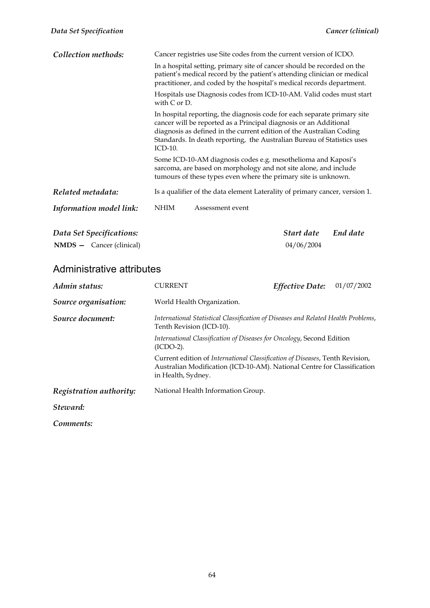| Collection methods:               | Cancer registries use Site codes from the current version of ICDO.                                                                                                                                                                                                                                                 |                                                                             |            |          |  |
|-----------------------------------|--------------------------------------------------------------------------------------------------------------------------------------------------------------------------------------------------------------------------------------------------------------------------------------------------------------------|-----------------------------------------------------------------------------|------------|----------|--|
|                                   | In a hospital setting, primary site of cancer should be recorded on the<br>patient's medical record by the patient's attending clinician or medical<br>practitioner, and coded by the hospital's medical records department.                                                                                       |                                                                             |            |          |  |
|                                   | Hospitals use Diagnosis codes from ICD-10-AM. Valid codes must start<br>with $C$ or $D$ .                                                                                                                                                                                                                          |                                                                             |            |          |  |
|                                   | In hospital reporting, the diagnosis code for each separate primary site<br>cancer will be reported as a Principal diagnosis or an Additional<br>diagnosis as defined in the current edition of the Australian Coding<br>Standards. In death reporting, the Australian Bureau of Statistics uses<br><b>ICD-10.</b> |                                                                             |            |          |  |
|                                   | Some ICD-10-AM diagnosis codes e.g. mesothelioma and Kaposi's<br>sarcoma, are based on morphology and not site alone, and include<br>tumours of these types even where the primary site is unknown.                                                                                                                |                                                                             |            |          |  |
| Related metadata:                 |                                                                                                                                                                                                                                                                                                                    | Is a qualifier of the data element Laterality of primary cancer, version 1. |            |          |  |
| Information model link:           | NHIM                                                                                                                                                                                                                                                                                                               | Assessment event                                                            |            |          |  |
| Data Set Specifications:          |                                                                                                                                                                                                                                                                                                                    |                                                                             | Start date | End date |  |
| $NMDS - \text{Cancer (clirical)}$ |                                                                                                                                                                                                                                                                                                                    |                                                                             | 04/06/2004 |          |  |

| Admin status:           | <b>CURRENT</b>                                                                                                                                                                | <b>Effective Date:</b> | 01/07/2002 |  |  |
|-------------------------|-------------------------------------------------------------------------------------------------------------------------------------------------------------------------------|------------------------|------------|--|--|
| Source organisation:    | World Health Organization.                                                                                                                                                    |                        |            |  |  |
| Source document:        | International Statistical Classification of Diseases and Related Health Problems,<br>Tenth Revision (ICD-10).                                                                 |                        |            |  |  |
|                         | International Classification of Diseases for Oncology, Second Edition<br>$(ICDO-2).$                                                                                          |                        |            |  |  |
|                         | Current edition of International Classification of Diseases, Tenth Revision,<br>Australian Modification (ICD-10-AM). National Centre for Classification<br>in Health, Sydney. |                        |            |  |  |
| Registration authority: | National Health Information Group.                                                                                                                                            |                        |            |  |  |
| Steward:                |                                                                                                                                                                               |                        |            |  |  |
| Comments:               |                                                                                                                                                                               |                        |            |  |  |

64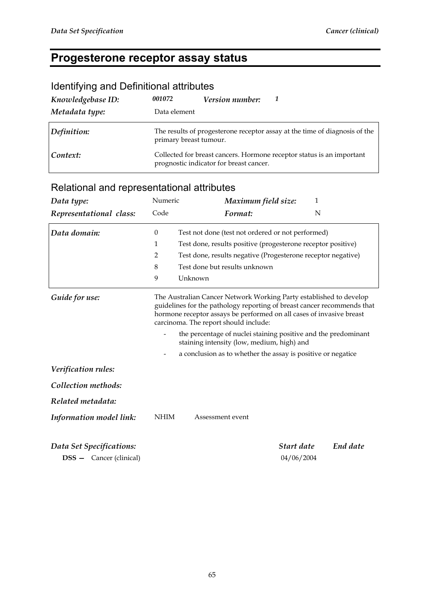## **Progesterone receptor assay status**

| Knowledgebase ID:<br>Metadata type: | 001072<br>Data element | Version number:                         | 7                                                                          |
|-------------------------------------|------------------------|-----------------------------------------|----------------------------------------------------------------------------|
| Definition:                         | primary breast tumour. |                                         | The results of progesterone receptor assay at the time of diagnosis of the |
| Context:                            |                        | prognostic indicator for breast cancer. | Collected for breast cancers. Hormone receptor status is an important      |

#### Identifying and Definitional attributes

| Data type:                     | Numeric          | Maximum field size:                                                                                                                                                                                                                                            | 1        |  |  |  |
|--------------------------------|------------------|----------------------------------------------------------------------------------------------------------------------------------------------------------------------------------------------------------------------------------------------------------------|----------|--|--|--|
| Representational class:        | Code             | Format:                                                                                                                                                                                                                                                        | N        |  |  |  |
| Data domain:                   | $\boldsymbol{0}$ | Test not done (test not ordered or not performed)                                                                                                                                                                                                              |          |  |  |  |
|                                | 1                | Test done, results positive (progesterone receptor positive)                                                                                                                                                                                                   |          |  |  |  |
|                                | $\overline{2}$   | Test done, results negative (Progesterone receptor negative)                                                                                                                                                                                                   |          |  |  |  |
|                                | 8                | Test done but results unknown                                                                                                                                                                                                                                  |          |  |  |  |
|                                | 9                | Unknown                                                                                                                                                                                                                                                        |          |  |  |  |
| Guide for use:                 |                  | The Australian Cancer Network Working Party established to develop<br>guidelines for the pathology reporting of breast cancer recommends that<br>hormone receptor assays be performed on all cases of invasive breast<br>carcinoma. The report should include: |          |  |  |  |
|                                |                  | the percentage of nuclei staining positive and the predominant<br>staining intensity (low, medium, high) and                                                                                                                                                   |          |  |  |  |
|                                | -                | a conclusion as to whether the assay is positive or negatice                                                                                                                                                                                                   |          |  |  |  |
| Verification rules:            |                  |                                                                                                                                                                                                                                                                |          |  |  |  |
| Collection methods:            |                  |                                                                                                                                                                                                                                                                |          |  |  |  |
| Related metadata:              |                  |                                                                                                                                                                                                                                                                |          |  |  |  |
| Information model link:        | <b>NHIM</b>      | Assessment event                                                                                                                                                                                                                                               |          |  |  |  |
| Data Set Specifications:       |                  | Start date                                                                                                                                                                                                                                                     | End date |  |  |  |
| <b>DSS</b> - Cancer (clinical) |                  | 04/06/2004                                                                                                                                                                                                                                                     |          |  |  |  |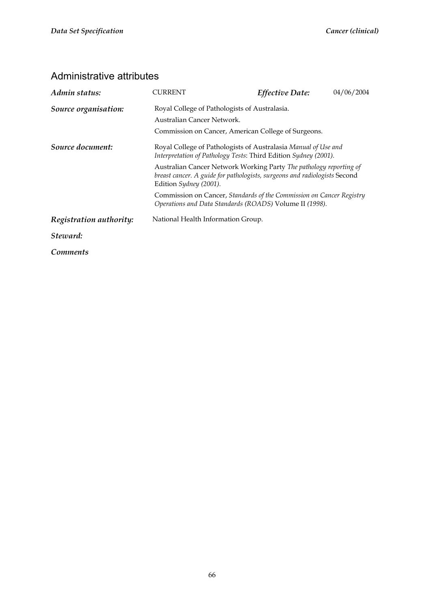| Admin status:           | CURRENT                                                                                                                                                                   | <b>Effective Date:</b> | 04/06/2004 |  |  |  |
|-------------------------|---------------------------------------------------------------------------------------------------------------------------------------------------------------------------|------------------------|------------|--|--|--|
| Source organisation:    | Royal College of Pathologists of Australasia.                                                                                                                             |                        |            |  |  |  |
|                         | Australian Cancer Network.                                                                                                                                                |                        |            |  |  |  |
|                         | Commission on Cancer, American College of Surgeons.                                                                                                                       |                        |            |  |  |  |
| Source document:        | Royal College of Pathologists of Australasia Manual of Use and<br>Interpretation of Pathology Tests: Third Edition Sydney (2001).                                         |                        |            |  |  |  |
|                         | Australian Cancer Network Working Party The pathology reporting of<br>breast cancer. A guide for pathologists, surgeons and radiologists Second<br>Edition Sydney (2001). |                        |            |  |  |  |
|                         | Commission on Cancer, Standards of the Commission on Cancer Registry<br>Operations and Data Standards (ROADS) Volume II (1998).                                           |                        |            |  |  |  |
| Registration authority: | National Health Information Group.                                                                                                                                        |                        |            |  |  |  |
| Steward:                |                                                                                                                                                                           |                        |            |  |  |  |
| Comments                |                                                                                                                                                                           |                        |            |  |  |  |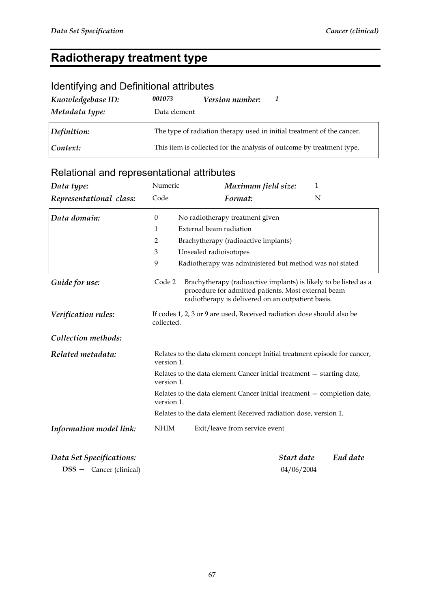## **Radiotherapy treatment type**

### Identifying and Definitional attributes

| Knowledgebase ID: | 001073                                                                 | Version number: |                                                                       |  |  |
|-------------------|------------------------------------------------------------------------|-----------------|-----------------------------------------------------------------------|--|--|
| Metadata type:    | Data element                                                           |                 |                                                                       |  |  |
| Definition:       | The type of radiation therapy used in initial treatment of the cancer. |                 |                                                                       |  |  |
| Context:          |                                                                        |                 | This item is collected for the analysis of outcome by treatment type. |  |  |

## Relational and representational attributes

| Data type:               | Numeric                                                                              | Maximum field size:                                                                                                                                                          | $\mathbf{1}$ |  |
|--------------------------|--------------------------------------------------------------------------------------|------------------------------------------------------------------------------------------------------------------------------------------------------------------------------|--------------|--|
| Representational class:  | Code                                                                                 | Format:                                                                                                                                                                      | N            |  |
| Data domain:             | $\mathbf{0}$                                                                         | No radiotherapy treatment given                                                                                                                                              |              |  |
|                          | 1                                                                                    | External beam radiation                                                                                                                                                      |              |  |
|                          | 2                                                                                    | Brachytherapy (radioactive implants)                                                                                                                                         |              |  |
|                          | 3                                                                                    | Unsealed radioisotopes                                                                                                                                                       |              |  |
|                          | 9                                                                                    | Radiotherapy was administered but method was not stated                                                                                                                      |              |  |
| Guide for use:           | Code 2                                                                               | Brachytherapy (radioactive implants) is likely to be listed as a<br>procedure for admitted patients. Most external beam<br>radiotherapy is delivered on an outpatient basis. |              |  |
| Verification rules:      | If codes 1, 2, 3 or 9 are used, Received radiation dose should also be<br>collected. |                                                                                                                                                                              |              |  |
| Collection methods:      |                                                                                      |                                                                                                                                                                              |              |  |
| Related metadata:        | version 1.                                                                           | Relates to the data element concept Initial treatment episode for cancer,                                                                                                    |              |  |
|                          | version 1.                                                                           | Relates to the data element Cancer initial treatment - starting date,                                                                                                        |              |  |
|                          | version 1.                                                                           | Relates to the data element Cancer initial treatment - completion date,                                                                                                      |              |  |
|                          |                                                                                      | Relates to the data element Received radiation dose, version 1.                                                                                                              |              |  |
| Information model link:  | <b>NHIM</b>                                                                          | Exit/leave from service event                                                                                                                                                |              |  |
| Data Set Specifications: |                                                                                      | Start date                                                                                                                                                                   | End date     |  |

**DSS —** Cancer (clinical) 04/06/2004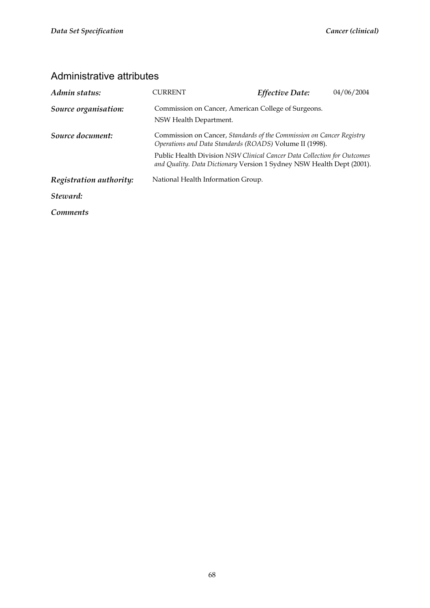| Admin status:           | CURRENT                                                                                                                                                                                                                                                                             | Effective Date:                                     | 04/06/2004 |
|-------------------------|-------------------------------------------------------------------------------------------------------------------------------------------------------------------------------------------------------------------------------------------------------------------------------------|-----------------------------------------------------|------------|
| Source organisation:    | NSW Health Department.                                                                                                                                                                                                                                                              | Commission on Cancer, American College of Surgeons. |            |
| Source document:        | Commission on Cancer, Standards of the Commission on Cancer Registry<br>Operations and Data Standards (ROADS) Volume II (1998).<br>Public Health Division NSW Clinical Cancer Data Collection for Outcomes<br>and Quality. Data Dictionary Version 1 Sydney NSW Health Dept (2001). |                                                     |            |
|                         |                                                                                                                                                                                                                                                                                     |                                                     |            |
| Registration authority: | National Health Information Group.                                                                                                                                                                                                                                                  |                                                     |            |
| Steward:                |                                                                                                                                                                                                                                                                                     |                                                     |            |
| <i>Comments</i>         |                                                                                                                                                                                                                                                                                     |                                                     |            |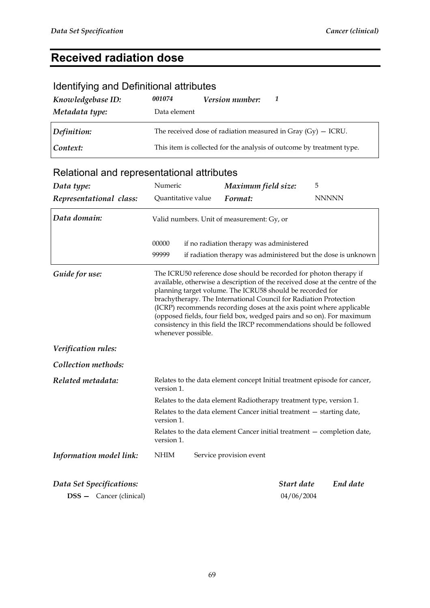# **Received radiation dose**

## Identifying and Definitional attributes

| Knowledgebase ID: | 001074                                                         | <b>Version number:</b> |                                                                       |
|-------------------|----------------------------------------------------------------|------------------------|-----------------------------------------------------------------------|
| Metadata type:    | Data element                                                   |                        |                                                                       |
| Definition:       | The received dose of radiation measured in Gray $(Gy)$ – ICRU. |                        |                                                                       |
| Context:          |                                                                |                        | This item is collected for the analysis of outcome by treatment type. |

| Data type:                     | Numeric                                                                                                                                                                                                                                                                                                                                                                                                                                                                                                                              | Maximum field size:                                                                                       | 5          |              |
|--------------------------------|--------------------------------------------------------------------------------------------------------------------------------------------------------------------------------------------------------------------------------------------------------------------------------------------------------------------------------------------------------------------------------------------------------------------------------------------------------------------------------------------------------------------------------------|-----------------------------------------------------------------------------------------------------------|------------|--------------|
| Representational class:        | Quantitative value                                                                                                                                                                                                                                                                                                                                                                                                                                                                                                                   | Format:                                                                                                   |            | <b>NNNNN</b> |
| Data domain:                   | Valid numbers. Unit of measurement: Gy, or                                                                                                                                                                                                                                                                                                                                                                                                                                                                                           |                                                                                                           |            |              |
|                                | 00000<br>99999                                                                                                                                                                                                                                                                                                                                                                                                                                                                                                                       | if no radiation therapy was administered<br>if radiation therapy was administered but the dose is unknown |            |              |
| Guide for use:                 | The ICRU50 reference dose should be recorded for photon therapy if<br>available, otherwise a description of the received dose at the centre of the<br>planning target volume. The ICRU58 should be recorded for<br>brachytherapy. The International Council for Radiation Protection<br>(ICRP) recommends recording doses at the axis point where applicable<br>(opposed fields, four field box, wedged pairs and so on). For maximum<br>consistency in this field the IRCP recommendations should be followed<br>whenever possible. |                                                                                                           |            |              |
| Verification rules:            |                                                                                                                                                                                                                                                                                                                                                                                                                                                                                                                                      |                                                                                                           |            |              |
| Collection methods:            |                                                                                                                                                                                                                                                                                                                                                                                                                                                                                                                                      |                                                                                                           |            |              |
| Related metadata:              | version 1.                                                                                                                                                                                                                                                                                                                                                                                                                                                                                                                           | Relates to the data element concept Initial treatment episode for cancer,                                 |            |              |
|                                |                                                                                                                                                                                                                                                                                                                                                                                                                                                                                                                                      | Relates to the data element Radiotherapy treatment type, version 1.                                       |            |              |
|                                | version 1.                                                                                                                                                                                                                                                                                                                                                                                                                                                                                                                           | Relates to the data element Cancer initial treatment - starting date,                                     |            |              |
|                                | version 1.                                                                                                                                                                                                                                                                                                                                                                                                                                                                                                                           | Relates to the data element Cancer initial treatment - completion date,                                   |            |              |
| Information model link:        | <b>NHIM</b>                                                                                                                                                                                                                                                                                                                                                                                                                                                                                                                          | Service provision event                                                                                   |            |              |
| Data Set Specifications:       |                                                                                                                                                                                                                                                                                                                                                                                                                                                                                                                                      |                                                                                                           | Start date | End date     |
| <b>DSS</b> - Cancer (clinical) |                                                                                                                                                                                                                                                                                                                                                                                                                                                                                                                                      |                                                                                                           | 04/06/2004 |              |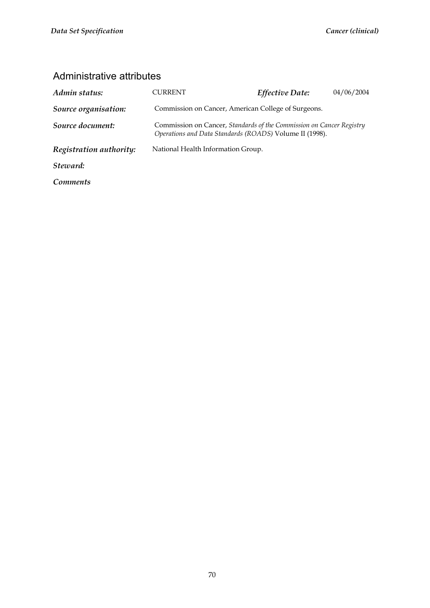| Admin status:           | CURRENT                                                                                                                         | Effective Date: | 04/06/2004 |
|-------------------------|---------------------------------------------------------------------------------------------------------------------------------|-----------------|------------|
| Source organisation:    | Commission on Cancer, American College of Surgeons.                                                                             |                 |            |
| Source document:        | Commission on Cancer, Standards of the Commission on Cancer Registry<br>Operations and Data Standards (ROADS) Volume II (1998). |                 |            |
| Registration authority: | National Health Information Group.                                                                                              |                 |            |
| Steward:                |                                                                                                                                 |                 |            |
| Comments                |                                                                                                                                 |                 |            |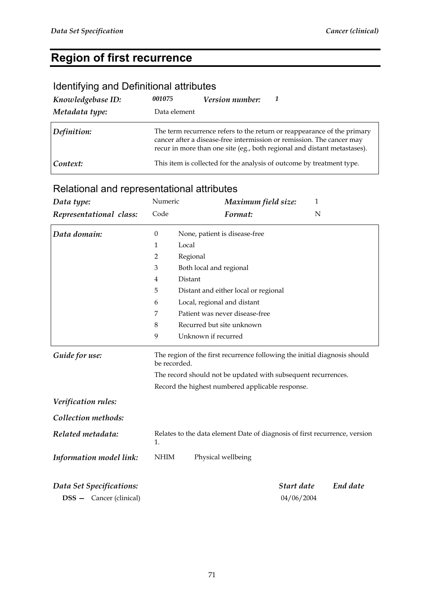## **Region of first recurrence**

#### Identifying and Definitional attributes

| Knowledgebase ID: | 001075       | Version number: |                                                                                                                                                                                                                              |
|-------------------|--------------|-----------------|------------------------------------------------------------------------------------------------------------------------------------------------------------------------------------------------------------------------------|
| Metadata type:    | Data element |                 |                                                                                                                                                                                                                              |
| Definition:       |              |                 | The term recurrence refers to the return or reappearance of the primary<br>cancer after a disease-free intermission or remission. The cancer may<br>recur in more than one site (eg., both regional and distant metastases). |
| Context:          |              |                 | This item is collected for the analysis of outcome by treatment type.                                                                                                                                                        |

| Data type:               | Numeric          | Maximum field size:                                                                       | $\mathbf{1}$ |  |
|--------------------------|------------------|-------------------------------------------------------------------------------------------|--------------|--|
| Representational class:  | Code             | Format:<br>N                                                                              |              |  |
| Data domain:             | $\boldsymbol{0}$ | None, patient is disease-free                                                             |              |  |
|                          | 1                | Local                                                                                     |              |  |
|                          | $\overline{2}$   | Regional                                                                                  |              |  |
|                          | 3                | Both local and regional                                                                   |              |  |
|                          | $\overline{4}$   | Distant                                                                                   |              |  |
|                          | 5                | Distant and either local or regional                                                      |              |  |
|                          | 6                | Local, regional and distant                                                               |              |  |
|                          | 7                | Patient was never disease-free                                                            |              |  |
|                          | 8                | Recurred but site unknown                                                                 |              |  |
|                          | 9                | Unknown if recurred                                                                       |              |  |
| Guide for use:           |                  | The region of the first recurrence following the initial diagnosis should<br>be recorded. |              |  |
|                          |                  | The record should not be updated with subsequent recurrences.                             |              |  |
|                          |                  | Record the highest numbered applicable response.                                          |              |  |
| Verification rules:      |                  |                                                                                           |              |  |
| Collection methods:      |                  |                                                                                           |              |  |
| Related metadata:        | 1.               | Relates to the data element Date of diagnosis of first recurrence, version                |              |  |
| Information model link:  | <b>NHIM</b>      | Physical wellbeing                                                                        |              |  |
| Data Set Specifications: |                  | Start date                                                                                | End date     |  |
| DSS - Cancer (clinical)  |                  | 04/06/2004                                                                                |              |  |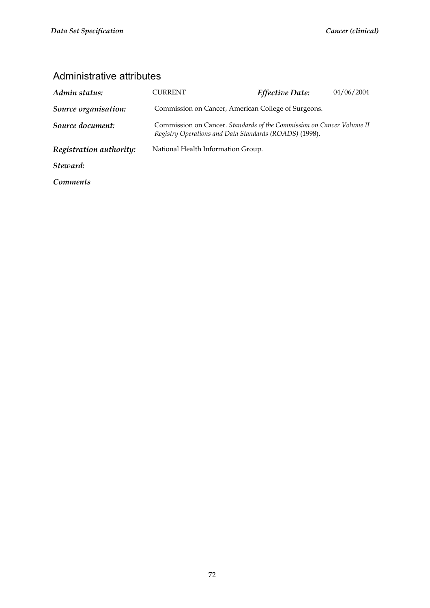| Admin status:           | CURRENT                                                                                                                         | <b>Effective Date:</b>                              | 04/06/2004 |
|-------------------------|---------------------------------------------------------------------------------------------------------------------------------|-----------------------------------------------------|------------|
| Source organisation:    |                                                                                                                                 | Commission on Cancer, American College of Surgeons. |            |
| Source document:        | Commission on Cancer. Standards of the Commission on Cancer Volume II<br>Registry Operations and Data Standards (ROADS) (1998). |                                                     |            |
| Registration authority: | National Health Information Group.                                                                                              |                                                     |            |
| Steward:                |                                                                                                                                 |                                                     |            |
| <i>Comments</i>         |                                                                                                                                 |                                                     |            |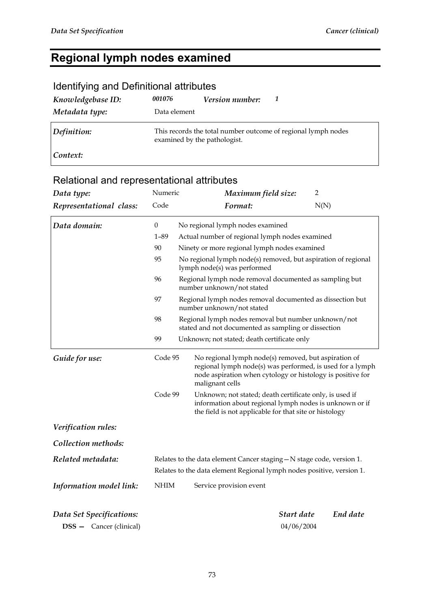## **Regional lymph nodes examined**

| identifying and Definitional attributes |                              |                 |                                                               |
|-----------------------------------------|------------------------------|-----------------|---------------------------------------------------------------|
| Knowledgebase ID:                       | 001076                       | Version number: | 1                                                             |
| Metadata type:                          | Data element                 |                 |                                                               |
| Definition:                             | examined by the pathologist. |                 | This records the total number outcome of regional lymph nodes |
| Context:                                |                              |                 |                                                               |

#### Identifying and Definitional attributes

| Data type:                     | Numeric          | Maximum field size:                                                                                                                                                                                | $\overline{2}$ |  |
|--------------------------------|------------------|----------------------------------------------------------------------------------------------------------------------------------------------------------------------------------------------------|----------------|--|
| Representational class:        | Code             | Format:                                                                                                                                                                                            | N(N)           |  |
| Data domain:                   | $\boldsymbol{0}$ | No regional lymph nodes examined                                                                                                                                                                   |                |  |
|                                | $1 - 89$         | Actual number of regional lymph nodes examined                                                                                                                                                     |                |  |
|                                | 90               | Ninety or more regional lymph nodes examined                                                                                                                                                       |                |  |
|                                | 95               | No regional lymph node(s) removed, but aspiration of regional<br>lymph node(s) was performed                                                                                                       |                |  |
|                                | 96               | Regional lymph node removal documented as sampling but<br>number unknown/not stated                                                                                                                |                |  |
|                                | 97               | Regional lymph nodes removal documented as dissection but<br>number unknown/not stated                                                                                                             |                |  |
|                                | 98               | Regional lymph nodes removal but number unknown/not<br>stated and not documented as sampling or dissection                                                                                         |                |  |
|                                | 99               | Unknown; not stated; death certificate only                                                                                                                                                        |                |  |
| Guide for use:                 | Code 95          | No regional lymph node(s) removed, but aspiration of<br>regional lymph node(s) was performed, is used for a lymph<br>node aspiration when cytology or histology is positive for<br>malignant cells |                |  |
|                                | Code 99          | Unknown; not stated; death certificate only, is used if<br>information about regional lymph nodes is unknown or if<br>the field is not applicable for that site or histology                       |                |  |
| Verification rules:            |                  |                                                                                                                                                                                                    |                |  |
| Collection methods:            |                  |                                                                                                                                                                                                    |                |  |
| Related metadata:              |                  | Relates to the data element Cancer staging $-N$ stage code, version 1.<br>Relates to the data element Regional lymph nodes positive, version 1.                                                    |                |  |
| Information model link:        | <b>NHIM</b>      | Service provision event                                                                                                                                                                            |                |  |
| Data Set Specifications:       |                  | Start date                                                                                                                                                                                         | End date       |  |
| <b>DSS</b> - Cancer (clinical) |                  | 04/06/2004                                                                                                                                                                                         |                |  |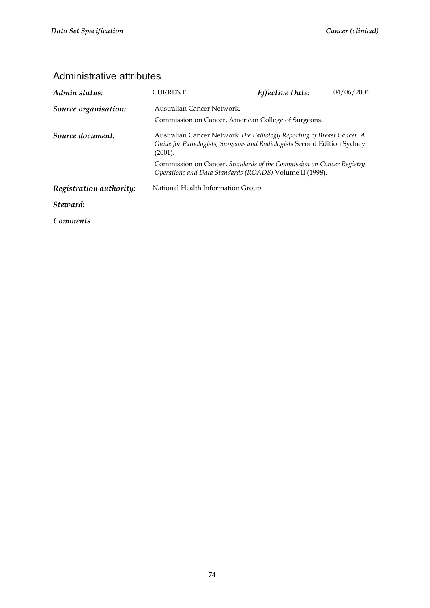| Admin status:           | CURRENT                                                                                                                                                     | Effective Date:                                     | 04/06/2004 |  |
|-------------------------|-------------------------------------------------------------------------------------------------------------------------------------------------------------|-----------------------------------------------------|------------|--|
| Source organisation:    | Australian Cancer Network.                                                                                                                                  |                                                     |            |  |
|                         |                                                                                                                                                             | Commission on Cancer, American College of Surgeons. |            |  |
| Source document:        | Australian Cancer Network The Pathology Reporting of Breast Cancer. A<br>Guide for Pathologists, Surgeons and Radiologists Second Edition Sydney<br>(2001). |                                                     |            |  |
|                         | Commission on Cancer, Standards of the Commission on Cancer Registry<br>Operations and Data Standards (ROADS) Volume II (1998).                             |                                                     |            |  |
| Registration authority: | National Health Information Group.                                                                                                                          |                                                     |            |  |
| Steward:                |                                                                                                                                                             |                                                     |            |  |
| <b>Comments</b>         |                                                                                                                                                             |                                                     |            |  |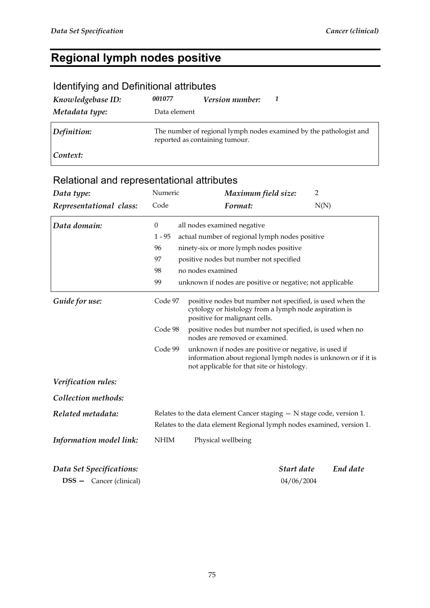### **Regional lymph nodes positive**

#### Identifying and Definitional attributes *Knowledgebase ID: 001077 Version number: 1 Metadata type:* Data element *Definition:* The number of regional lymph nodes examined by the pathologist and reported as containing tumour. *Context:*

#### *Data type:* **Numeric** *Maximum field size:* 2 *Representational class:* Code *Format:*  $N(N)$ *Data domain:* 0 all nodes examined negative 1 - 95 actual number of regional lymph nodes positive 96 ninety-six or more lymph nodes positive 97 positive nodes but number not specified 98 no nodes examined 99 unknown if nodes are positive or negative; not applicable *Guide for use:* Code 97 positive nodes but number not specified, is used when the cytology or histology from a lymph node aspiration is positive for malignant cells. Code 98 positive nodes but number not specified, is used when no nodes are removed or examined. Code 99 unknown if nodes are positive or negative, is used if information about regional lymph nodes is unknown or if it is not applicable for that site or histology. *Verification rules: Collection methods: Related metadata:* Relates to the data element Cancer staging – N stage code, version 1. Relates to the data element Regional lymph nodes examined, version 1. *Information model link:* NHIM Physical wellbeing *Data Set Specifications: Start date End date*  **DSS —** Cancer (clinical) 04/06/2004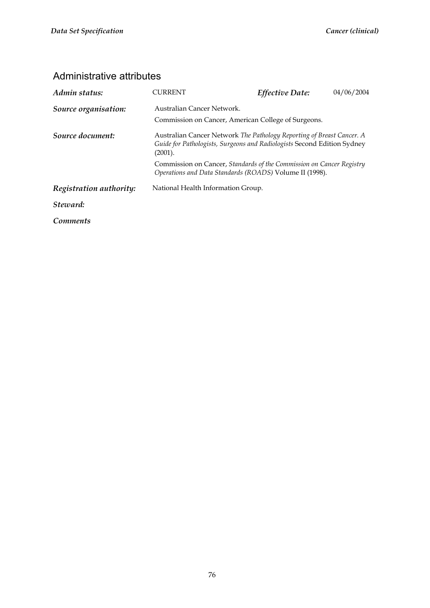| Admin status:           | CURRENT                                                                                                                                                     | <b>Effective Date:</b>                                                                                                          | 04/06/2004 |  |  |
|-------------------------|-------------------------------------------------------------------------------------------------------------------------------------------------------------|---------------------------------------------------------------------------------------------------------------------------------|------------|--|--|
| Source organisation:    | Australian Cancer Network.                                                                                                                                  |                                                                                                                                 |            |  |  |
|                         |                                                                                                                                                             | Commission on Cancer, American College of Surgeons.                                                                             |            |  |  |
| Source document:        | Australian Cancer Network The Pathology Reporting of Breast Cancer. A<br>Guide for Pathologists, Surgeons and Radiologists Second Edition Sydney<br>(2001). |                                                                                                                                 |            |  |  |
|                         |                                                                                                                                                             | Commission on Cancer, Standards of the Commission on Cancer Registry<br>Operations and Data Standards (ROADS) Volume II (1998). |            |  |  |
| Registration authority: | National Health Information Group.                                                                                                                          |                                                                                                                                 |            |  |  |
| Steward:                |                                                                                                                                                             |                                                                                                                                 |            |  |  |
| <i>Comments</i>         |                                                                                                                                                             |                                                                                                                                 |            |  |  |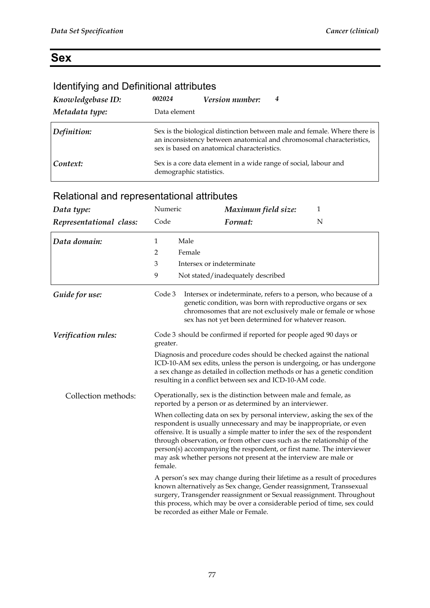## **Sex**

### Identifying and Definitional attributes

| Knowledgebase ID: | 002024                  | <i>Version number:</i>                      | 4                                                                                                                                                 |
|-------------------|-------------------------|---------------------------------------------|---------------------------------------------------------------------------------------------------------------------------------------------------|
| Metadata type:    | Data element            |                                             |                                                                                                                                                   |
| Definition:       |                         | sex is based on anatomical characteristics. | Sex is the biological distinction between male and female. Where there is<br>an inconsistency between anatomical and chromosomal characteristics, |
| Context:          | demographic statistics. |                                             | Sex is a core data element in a wide range of social, labour and                                                                                  |

| Data type:                      | Numeric                                                                                                                                                                                                                                                                                                                                                                                                                                                           | Maximum field size:                                                                                                                                                                    | $\mathbf{1}$                                                                                                                                                                                                                  |
|---------------------------------|-------------------------------------------------------------------------------------------------------------------------------------------------------------------------------------------------------------------------------------------------------------------------------------------------------------------------------------------------------------------------------------------------------------------------------------------------------------------|----------------------------------------------------------------------------------------------------------------------------------------------------------------------------------------|-------------------------------------------------------------------------------------------------------------------------------------------------------------------------------------------------------------------------------|
| Representational class:         | Code                                                                                                                                                                                                                                                                                                                                                                                                                                                              | Format:                                                                                                                                                                                | N                                                                                                                                                                                                                             |
| Data domain:                    | Male<br>1                                                                                                                                                                                                                                                                                                                                                                                                                                                         |                                                                                                                                                                                        |                                                                                                                                                                                                                               |
|                                 | Female<br>2                                                                                                                                                                                                                                                                                                                                                                                                                                                       |                                                                                                                                                                                        |                                                                                                                                                                                                                               |
|                                 | 3                                                                                                                                                                                                                                                                                                                                                                                                                                                                 | Intersex or indeterminate                                                                                                                                                              |                                                                                                                                                                                                                               |
|                                 | 9                                                                                                                                                                                                                                                                                                                                                                                                                                                                 | Not stated/inadequately described                                                                                                                                                      |                                                                                                                                                                                                                               |
| Guide for use:                  | Code 3                                                                                                                                                                                                                                                                                                                                                                                                                                                            | Intersex or indeterminate, refers to a person, who because of a<br>genetic condition, was born with reproductive organs or sex<br>sex has not yet been determined for whatever reason. | chromosomes that are not exclusively male or female or whose                                                                                                                                                                  |
| Verification rules:<br>greater. |                                                                                                                                                                                                                                                                                                                                                                                                                                                                   | Code 3 should be confirmed if reported for people aged 90 days or                                                                                                                      |                                                                                                                                                                                                                               |
|                                 |                                                                                                                                                                                                                                                                                                                                                                                                                                                                   | Diagnosis and procedure codes should be checked against the national<br>resulting in a conflict between sex and ICD-10-AM code.                                                        | ICD-10-AM sex edits, unless the person is undergoing, or has undergone<br>a sex change as detailed in collection methods or has a genetic condition                                                                           |
| Collection methods:             |                                                                                                                                                                                                                                                                                                                                                                                                                                                                   | Operationally, sex is the distinction between male and female, as<br>reported by a person or as determined by an interviewer.                                                          |                                                                                                                                                                                                                               |
|                                 | When collecting data on sex by personal interview, asking the sex of the<br>respondent is usually unnecessary and may be inappropriate, or even<br>offensive. It is usually a simple matter to infer the sex of the respondent<br>through observation, or from other cues such as the relationship of the<br>person(s) accompanying the respondent, or first name. The interviewer<br>may ask whether persons not present at the interview are male or<br>female. |                                                                                                                                                                                        |                                                                                                                                                                                                                               |
|                                 |                                                                                                                                                                                                                                                                                                                                                                                                                                                                   | known alternatively as Sex change, Gender reassignment, Transsexual<br>be recorded as either Male or Female.                                                                           | A person's sex may change during their lifetime as a result of procedures<br>surgery, Transgender reassignment or Sexual reassignment. Throughout<br>this process, which may be over a considerable period of time, sex could |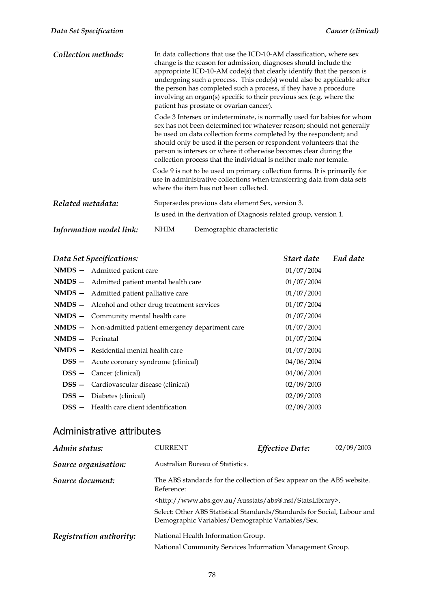| Collection methods:     | In data collections that use the ICD-10-AM classification, where sex<br>change is the reason for admission, diagnoses should include the<br>appropriate ICD-10-AM code(s) that clearly identify that the person is<br>undergoing such a process. This code(s) would also be applicable after<br>the person has completed such a process, if they have a procedure<br>involving an organ(s) specific to their previous sex (e.g. where the<br>patient has prostate or ovarian cancer). |  |  |
|-------------------------|---------------------------------------------------------------------------------------------------------------------------------------------------------------------------------------------------------------------------------------------------------------------------------------------------------------------------------------------------------------------------------------------------------------------------------------------------------------------------------------|--|--|
|                         | Code 3 Intersex or indeterminate, is normally used for babies for whom<br>sex has not been determined for whatever reason; should not generally<br>be used on data collection forms completed by the respondent; and<br>should only be used if the person or respondent volunteers that the<br>person is intersex or where it otherwise becomes clear during the<br>collection process that the individual is neither male nor female.                                                |  |  |
|                         | Code 9 is not to be used on primary collection forms. It is primarily for<br>use in administrative collections when transferring data from data sets<br>where the item has not been collected.                                                                                                                                                                                                                                                                                        |  |  |
| Related metadata:       | Supersedes previous data element Sex, version 3.<br>Is used in the derivation of Diagnosis related group, version 1.                                                                                                                                                                                                                                                                                                                                                                  |  |  |
| Information model link: | NHIM<br>Demographic characteristic                                                                                                                                                                                                                                                                                                                                                                                                                                                    |  |  |

|          | Data Set Specifications:                              | Start date | End date |
|----------|-------------------------------------------------------|------------|----------|
|          | NMDS - Admitted patient care                          | 01/07/2004 |          |
|          | NMDS - Admitted patient mental health care            | 01/07/2004 |          |
|          | <b>NMDS</b> - Admitted patient palliative care        | 01/07/2004 |          |
|          | NMDS - Alcohol and other drug treatment services      | 01/07/2004 |          |
|          | <b>NMDS</b> - Community mental health care            | 01/07/2004 |          |
|          | NMDS - Non-admitted patient emergency department care | 01/07/2004 |          |
| $NMDS -$ | Perinatal                                             | 01/07/2004 |          |
|          | NMDS - Residential mental health care                 | 01/07/2004 |          |
|          | <b>DSS</b> - Acute coronary syndrome (clinical)       | 04/06/2004 |          |
|          | <b>DSS</b> - Cancer (clinical)                        | 04/06/2004 |          |
|          | <b>DSS</b> - Cardiovascular disease (clinical)        | 02/09/2003 |          |
|          | <b>DSS</b> - Diabetes (clinical)                      | 02/09/2003 |          |
|          | $DSS$ $-$ Health care client identification           | 02/09/2003 |          |

| Admin status:           | CURRENT                                                                                                                      | <b>Effective Date:</b> | 02/09/2003 |  |
|-------------------------|------------------------------------------------------------------------------------------------------------------------------|------------------------|------------|--|
| Source organisation:    | Australian Bureau of Statistics.                                                                                             |                        |            |  |
| Source document:        | The ABS standards for the collection of Sex appear on the ABS website.<br>Reference:                                         |                        |            |  |
|                         | <http: abs@.nsf="" ausstats="" statslibrary="" www.abs.gov.au="">.</http:>                                                   |                        |            |  |
|                         | Select: Other ABS Statistical Standards/Standards for Social, Labour and<br>Demographic Variables/Demographic Variables/Sex. |                        |            |  |
| Registration authority: | National Health Information Group.<br>National Community Services Information Management Group.                              |                        |            |  |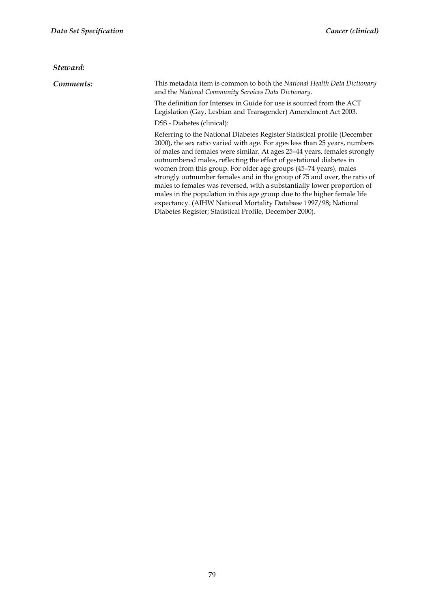#### *Steward:*

*Comments:* This metadata item is common to both the *National Health Data Dictionary*  and the *National Community Services Data Dictionary*.

> The definition for Intersex in Guide for use is sourced from the ACT Legislation (Gay, Lesbian and Transgender) Amendment Act 2003.

DSS - Diabetes (clinical):

Referring to the National Diabetes Register Statistical profile (December 2000), the sex ratio varied with age. For ages less than 25 years, numbers of males and females were similar. At ages 25–44 years, females strongly outnumbered males, reflecting the effect of gestational diabetes in women from this group. For older age groups (45–74 years), males strongly outnumber females and in the group of 75 and over, the ratio of males to females was reversed, with a substantially lower proportion of males in the population in this age group due to the higher female life expectancy. (AIHW National Mortality Database 1997/98; National Diabetes Register; Statistical Profile, December 2000).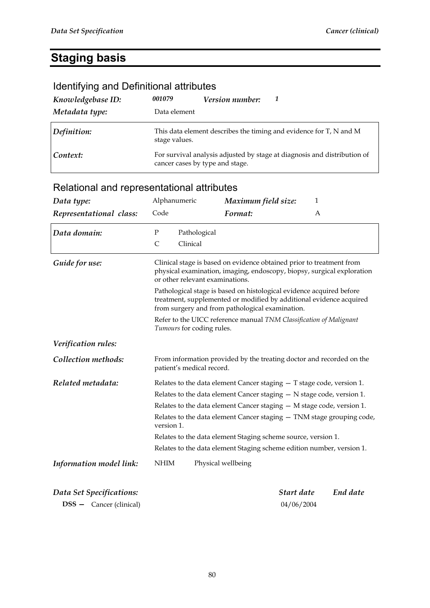## **Staging basis**

| Identifying and Definitional attributes |                                                                                                             |                 |    |  |  |  |  |
|-----------------------------------------|-------------------------------------------------------------------------------------------------------------|-----------------|----|--|--|--|--|
| Knowledgebase ID:                       | 001079                                                                                                      | Version number: | -1 |  |  |  |  |
| Metadata type:                          | Data element                                                                                                |                 |    |  |  |  |  |
| Definition:                             | This data element describes the timing and evidence for T, N and M<br>stage values.                         |                 |    |  |  |  |  |
| Context:                                | For survival analysis adjusted by stage at diagnosis and distribution of<br>cancer cases by type and stage. |                 |    |  |  |  |  |

| Relational and representational attributes |
|--------------------------------------------|
|--------------------------------------------|

| Data type:               | Alphanumeric                                                            | Maximum field size:                                                                                                                                                                            | $\mathbf{1}$ |          |
|--------------------------|-------------------------------------------------------------------------|------------------------------------------------------------------------------------------------------------------------------------------------------------------------------------------------|--------------|----------|
| Representational class:  | Code                                                                    | Format:                                                                                                                                                                                        | A            |          |
| Data domain:             | ${\bf P}$                                                               | Pathological                                                                                                                                                                                   |              |          |
|                          | C                                                                       | Clinical                                                                                                                                                                                       |              |          |
| Guide for use:           |                                                                         | Clinical stage is based on evidence obtained prior to treatment from<br>physical examination, imaging, endoscopy, biopsy, surgical exploration<br>or other relevant examinations.              |              |          |
|                          |                                                                         | Pathological stage is based on histological evidence acquired before<br>treatment, supplemented or modified by additional evidence acquired<br>from surgery and from pathological examination. |              |          |
|                          |                                                                         | Refer to the UICC reference manual TNM Classification of Malignant<br>Tumours for coding rules.                                                                                                |              |          |
| Verification rules:      |                                                                         |                                                                                                                                                                                                |              |          |
| Collection methods:      |                                                                         | From information provided by the treating doctor and recorded on the<br>patient's medical record.                                                                                              |              |          |
| Related metadata:        |                                                                         | Relates to the data element Cancer staging $-$ T stage code, version 1.                                                                                                                        |              |          |
|                          |                                                                         | Relates to the data element Cancer staging $-$ N stage code, version 1.                                                                                                                        |              |          |
|                          | Relates to the data element Cancer staging $-$ M stage code, version 1. |                                                                                                                                                                                                |              |          |
|                          | version 1.                                                              | Relates to the data element Cancer staging - TNM stage grouping code,                                                                                                                          |              |          |
|                          |                                                                         | Relates to the data element Staging scheme source, version 1.                                                                                                                                  |              |          |
|                          |                                                                         | Relates to the data element Staging scheme edition number, version 1.                                                                                                                          |              |          |
| Information model link:  | <b>NHIM</b>                                                             | Physical wellbeing                                                                                                                                                                             |              |          |
| Data Set Specifications: |                                                                         |                                                                                                                                                                                                | Start date   | End date |
| DSS - Cancer (clinical)  |                                                                         |                                                                                                                                                                                                | 04/06/2004   |          |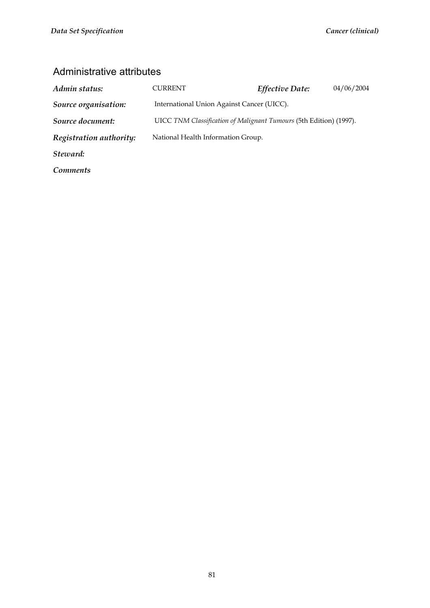| Admin status:           | CURRENT                                                            | Effective Date: | 04/06/2004 |  |  |
|-------------------------|--------------------------------------------------------------------|-----------------|------------|--|--|
| Source organisation:    | International Union Against Cancer (UICC).                         |                 |            |  |  |
| Source document:        | UICC TNM Classification of Malignant Tumours (5th Edition) (1997). |                 |            |  |  |
| Registration authority: | National Health Information Group.                                 |                 |            |  |  |
| Steward:                |                                                                    |                 |            |  |  |
| <b>Comments</b>         |                                                                    |                 |            |  |  |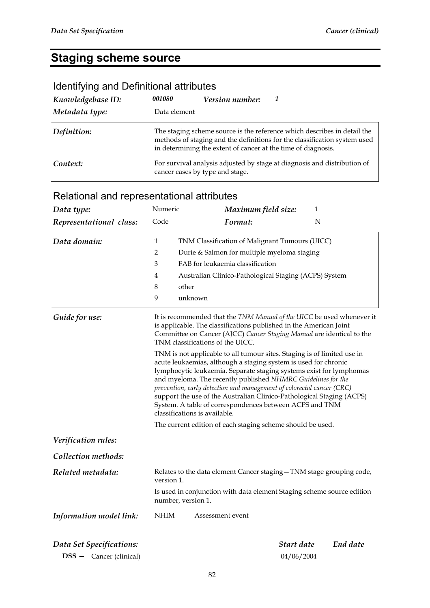## **Staging scheme source**

### Identifying and Definitional attributes

| Knowledgebase ID: | 001080                          | <b>Version number:</b>                                        |                                                                                                                                                       |
|-------------------|---------------------------------|---------------------------------------------------------------|-------------------------------------------------------------------------------------------------------------------------------------------------------|
| Metadata type:    | Data element                    |                                                               |                                                                                                                                                       |
| Definition:       |                                 | in determining the extent of cancer at the time of diagnosis. | The staging scheme source is the reference which describes in detail the<br>methods of staging and the definitions for the classification system used |
| Context:          | cancer cases by type and stage. |                                                               | For survival analysis adjusted by stage at diagnosis and distribution of                                                                              |

| Data type:                     | Numeric | Maximum field size:                                                                                                                                                                                                                                                                                                                                                                                                                                                                                                             | $\mathbf{1}$ |          |  |  |
|--------------------------------|---------|---------------------------------------------------------------------------------------------------------------------------------------------------------------------------------------------------------------------------------------------------------------------------------------------------------------------------------------------------------------------------------------------------------------------------------------------------------------------------------------------------------------------------------|--------------|----------|--|--|
| Representational class:        | Code    | Format:                                                                                                                                                                                                                                                                                                                                                                                                                                                                                                                         | N            |          |  |  |
| Data domain:                   | 1       | TNM Classification of Malignant Tumours (UICC)                                                                                                                                                                                                                                                                                                                                                                                                                                                                                  |              |          |  |  |
|                                | 2       | Durie & Salmon for multiple myeloma staging                                                                                                                                                                                                                                                                                                                                                                                                                                                                                     |              |          |  |  |
|                                | 3       | FAB for leukaemia classification                                                                                                                                                                                                                                                                                                                                                                                                                                                                                                |              |          |  |  |
|                                | 4       | Australian Clinico-Pathological Staging (ACPS) System                                                                                                                                                                                                                                                                                                                                                                                                                                                                           |              |          |  |  |
|                                | 8       | other                                                                                                                                                                                                                                                                                                                                                                                                                                                                                                                           |              |          |  |  |
|                                | 9       | unknown                                                                                                                                                                                                                                                                                                                                                                                                                                                                                                                         |              |          |  |  |
| Guide for use:                 |         | It is recommended that the TNM Manual of the UICC be used whenever it<br>is applicable. The classifications published in the American Joint<br>Committee on Cancer (AJCC) Cancer Staging Manual are identical to the<br>TNM classifications of the UICC.                                                                                                                                                                                                                                                                        |              |          |  |  |
|                                |         | TNM is not applicable to all tumour sites. Staging is of limited use in<br>acute leukaemias, although a staging system is used for chronic<br>lymphocytic leukaemia. Separate staging systems exist for lymphomas<br>and myeloma. The recently published NHMRC Guidelines for the<br>prevention, early detection and management of colorectal cancer (CRC)<br>support the use of the Australian Clinico-Pathological Staging (ACPS)<br>System. A table of correspondences between ACPS and TNM<br>classifications is available. |              |          |  |  |
|                                |         | The current edition of each staging scheme should be used.                                                                                                                                                                                                                                                                                                                                                                                                                                                                      |              |          |  |  |
| Verification rules:            |         |                                                                                                                                                                                                                                                                                                                                                                                                                                                                                                                                 |              |          |  |  |
| <b>Collection methods:</b>     |         |                                                                                                                                                                                                                                                                                                                                                                                                                                                                                                                                 |              |          |  |  |
| Related metadata:              |         | Relates to the data element Cancer staging - TNM stage grouping code,<br>version 1.                                                                                                                                                                                                                                                                                                                                                                                                                                             |              |          |  |  |
|                                |         | Is used in conjunction with data element Staging scheme source edition<br>number, version 1.                                                                                                                                                                                                                                                                                                                                                                                                                                    |              |          |  |  |
| Information model link:        | NHIM    | Assessment event                                                                                                                                                                                                                                                                                                                                                                                                                                                                                                                |              |          |  |  |
| Data Set Specifications:       |         |                                                                                                                                                                                                                                                                                                                                                                                                                                                                                                                                 | Start date   | End date |  |  |
| <b>DSS</b> - Cancer (clinical) |         |                                                                                                                                                                                                                                                                                                                                                                                                                                                                                                                                 | 04/06/2004   |          |  |  |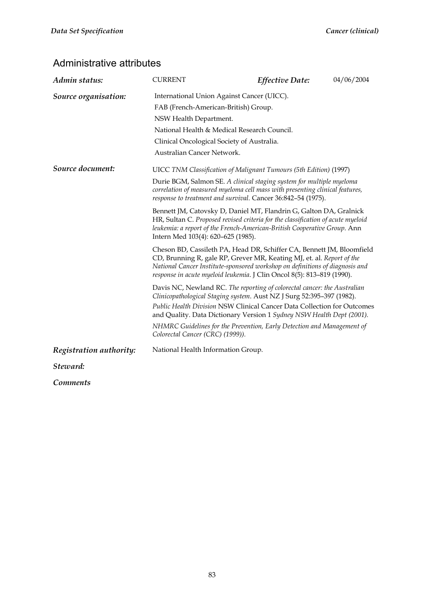| Admin status:           | <b>CURRENT</b>                                                                                                                                                                                                                                                          | Effective Date:                                                                                                                                                                                                                                                                                          | 04/06/2004 |  |  |
|-------------------------|-------------------------------------------------------------------------------------------------------------------------------------------------------------------------------------------------------------------------------------------------------------------------|----------------------------------------------------------------------------------------------------------------------------------------------------------------------------------------------------------------------------------------------------------------------------------------------------------|------------|--|--|
| Source organisation:    | International Union Against Cancer (UICC).                                                                                                                                                                                                                              |                                                                                                                                                                                                                                                                                                          |            |  |  |
|                         | FAB (French-American-British) Group.                                                                                                                                                                                                                                    |                                                                                                                                                                                                                                                                                                          |            |  |  |
|                         | NSW Health Department.                                                                                                                                                                                                                                                  |                                                                                                                                                                                                                                                                                                          |            |  |  |
|                         | National Health & Medical Research Council.                                                                                                                                                                                                                             |                                                                                                                                                                                                                                                                                                          |            |  |  |
|                         | Clinical Oncological Society of Australia.                                                                                                                                                                                                                              |                                                                                                                                                                                                                                                                                                          |            |  |  |
|                         | Australian Cancer Network.                                                                                                                                                                                                                                              |                                                                                                                                                                                                                                                                                                          |            |  |  |
| Source document:        |                                                                                                                                                                                                                                                                         | UICC TNM Classification of Malignant Tumours (5th Edition) (1997)                                                                                                                                                                                                                                        |            |  |  |
|                         | Durie BGM, Salmon SE. A clinical staging system for multiple myeloma<br>correlation of measured myeloma cell mass with presenting clinical features,<br>response to treatment and survival. Cancer 36:842-54 (1975).                                                    |                                                                                                                                                                                                                                                                                                          |            |  |  |
|                         | Bennett JM, Catovsky D, Daniel MT, Flandrin G, Galton DA, Gralnick<br>HR, Sultan C. Proposed revised criteria for the classification of acute myeloid<br>leukemia: a report of the French-American-British Cooperative Group. Ann<br>Intern Med 103(4): 620-625 (1985). |                                                                                                                                                                                                                                                                                                          |            |  |  |
|                         |                                                                                                                                                                                                                                                                         | Cheson BD, Cassileth PA, Head DR, Schiffer CA, Bennett JM, Bloomfield<br>CD, Brunning R, gale RP, Grever MR, Keating MJ, et. al. Report of the<br>National Cancer Institute-sponsored workshop on definitions of diagnosis and<br>response in acute myeloid leukemia. J Clin Oncol 8(5): 813-819 (1990). |            |  |  |
|                         |                                                                                                                                                                                                                                                                         | Davis NC, Newland RC. The reporting of colorectal cancer: the Australian<br>Clinicopathological Staging system. Aust NZ J Surg 52:395-397 (1982).<br>Public Health Division NSW Clinical Cancer Data Collection for Outcomes<br>and Quality. Data Dictionary Version 1 Sydney NSW Health Dept (2001).    |            |  |  |
|                         | NHMRC Guidelines for the Prevention, Early Detection and Management of                                                                                                                                                                                                  |                                                                                                                                                                                                                                                                                                          |            |  |  |
| Registration authority: | National Health Information Group.                                                                                                                                                                                                                                      |                                                                                                                                                                                                                                                                                                          |            |  |  |
| Steward:                |                                                                                                                                                                                                                                                                         |                                                                                                                                                                                                                                                                                                          |            |  |  |
| <i>Comments</i>         |                                                                                                                                                                                                                                                                         |                                                                                                                                                                                                                                                                                                          |            |  |  |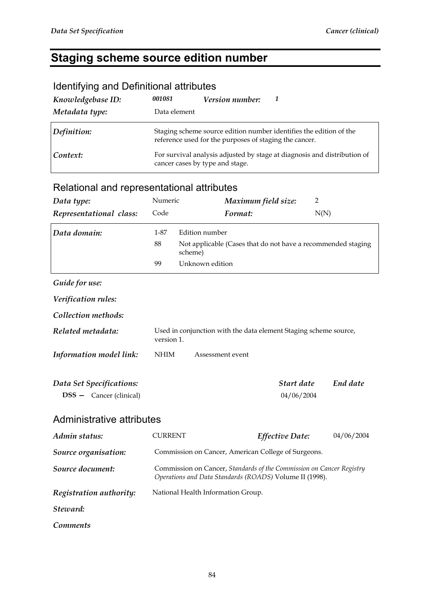## **Staging scheme source edition number**

| identifying and Definitional attributes |                                 |                                                        |                                                                          |
|-----------------------------------------|---------------------------------|--------------------------------------------------------|--------------------------------------------------------------------------|
| Knowledgebase ID:                       | 001081                          | Version number:                                        | 1                                                                        |
| Metadata type:                          | Data element                    |                                                        |                                                                          |
| Definition:                             |                                 | reference used for the purposes of staging the cancer. | Staging scheme source edition number identifies the edition of the       |
| Context:                                | cancer cases by type and stage. |                                                        | For survival analysis adjusted by stage at diagnosis and distribution of |
|                                         |                                 |                                                        |                                                                          |

#### Identifying and Definitional attributes

| Data type:                                                 | Numeric        |                 | Maximum field size:                                                                                                             | 2                        |            |
|------------------------------------------------------------|----------------|-----------------|---------------------------------------------------------------------------------------------------------------------------------|--------------------------|------------|
| Representational class:                                    | Code           |                 | Format:                                                                                                                         |                          | N(N)       |
| Data domain:                                               | 1-87           | Edition number  |                                                                                                                                 |                          |            |
|                                                            | 88             | scheme)         | Not applicable (Cases that do not have a recommended staging                                                                    |                          |            |
|                                                            | 99             | Unknown edition |                                                                                                                                 |                          |            |
| Guide for use:                                             |                |                 |                                                                                                                                 |                          |            |
| Verification rules:                                        |                |                 |                                                                                                                                 |                          |            |
| Collection methods:                                        |                |                 |                                                                                                                                 |                          |            |
| Related metadata:                                          | version 1.     |                 | Used in conjunction with the data element Staging scheme source,                                                                |                          |            |
| Information model link:                                    | <b>NHIM</b>    |                 | Assessment event                                                                                                                |                          |            |
| Data Set Specifications:<br><b>DSS</b> - Cancer (clinical) |                |                 |                                                                                                                                 | Start date<br>04/06/2004 | End date   |
| Administrative attributes                                  |                |                 |                                                                                                                                 |                          |            |
| Admin status:                                              | <b>CURRENT</b> |                 |                                                                                                                                 | <b>Effective Date:</b>   | 04/06/2004 |
| Source organisation:                                       |                |                 | Commission on Cancer, American College of Surgeons.                                                                             |                          |            |
| Source document:                                           |                |                 | Commission on Cancer, Standards of the Commission on Cancer Registry<br>Operations and Data Standards (ROADS) Volume II (1998). |                          |            |
| Registration authority:                                    |                |                 | National Health Information Group.                                                                                              |                          |            |
| Steward:                                                   |                |                 |                                                                                                                                 |                          |            |
| <b>Comments</b>                                            |                |                 |                                                                                                                                 |                          |            |
|                                                            |                |                 |                                                                                                                                 |                          |            |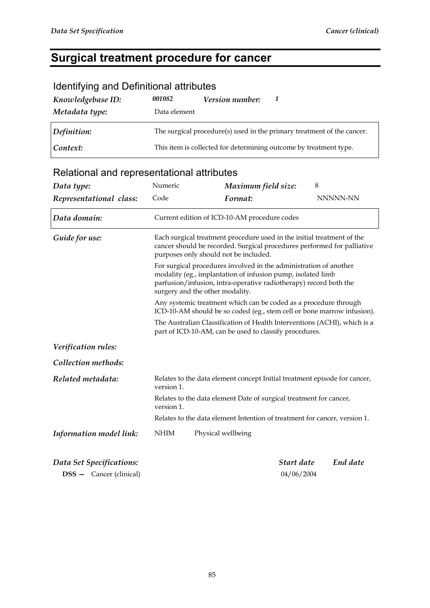## **Surgical treatment procedure for cancer**

| Knowledgebase ID:<br>Metadata type:        | 001082<br>Data element                                                                                                                                                                                                                   | <i>Version number:</i>                                                                                                                                                                     | 1          |   |          |
|--------------------------------------------|------------------------------------------------------------------------------------------------------------------------------------------------------------------------------------------------------------------------------------------|--------------------------------------------------------------------------------------------------------------------------------------------------------------------------------------------|------------|---|----------|
| Definition:                                |                                                                                                                                                                                                                                          | The surgical procedure(s) used in the primary treatment of the cancer.                                                                                                                     |            |   |          |
| Context:                                   |                                                                                                                                                                                                                                          | This item is collected for determining outcome by treatment type.                                                                                                                          |            |   |          |
| Relational and representational attributes |                                                                                                                                                                                                                                          |                                                                                                                                                                                            |            |   |          |
| Data type:                                 | Numeric                                                                                                                                                                                                                                  | Maximum field size:                                                                                                                                                                        |            | 8 |          |
| Representational class:                    | Code                                                                                                                                                                                                                                     | Format:                                                                                                                                                                                    |            |   | NNNNN-NN |
| Data domain:                               |                                                                                                                                                                                                                                          | Current edition of ICD-10-AM procedure codes                                                                                                                                               |            |   |          |
| Guide for use:                             |                                                                                                                                                                                                                                          | Each surgical treatment procedure used in the initial treatment of the<br>cancer should be recorded. Surgical procedures performed for palliative<br>purposes only should not be included. |            |   |          |
|                                            | For surgical procedures involved in the administration of another<br>modality (eg., implantation of infusion pump, isolated limb<br>parfusion/infusion, intra-operative radiotherapy) record both the<br>surgery and the other modality. |                                                                                                                                                                                            |            |   |          |
|                                            | Any systemic treatment which can be coded as a procedure through<br>ICD-10-AM should be so coded (eg., stem cell or bone marrow infusion).                                                                                               |                                                                                                                                                                                            |            |   |          |
|                                            | The Australian Classification of Health Interventions (ACHI), which is a<br>part of ICD-10-AM, can be used to classify procedures.                                                                                                       |                                                                                                                                                                                            |            |   |          |
| Verification rules:                        |                                                                                                                                                                                                                                          |                                                                                                                                                                                            |            |   |          |
| Collection methods:                        |                                                                                                                                                                                                                                          |                                                                                                                                                                                            |            |   |          |
| Related metadata:                          | version 1.                                                                                                                                                                                                                               | Relates to the data element concept Initial treatment episode for cancer,                                                                                                                  |            |   |          |
|                                            | version 1.                                                                                                                                                                                                                               | Relates to the data element Date of surgical treatment for cancer,                                                                                                                         |            |   |          |
|                                            |                                                                                                                                                                                                                                          | Relates to the data element Intention of treatment for cancer, version 1.                                                                                                                  |            |   |          |
| Information model link:                    | NHIM                                                                                                                                                                                                                                     | Physical wellbeing                                                                                                                                                                         |            |   |          |
| Data Set Specifications:                   |                                                                                                                                                                                                                                          |                                                                                                                                                                                            | Start date |   | End date |

#### Identifying and Definitional attributes

**DSS —** Cancer (clinical) 04/06/2004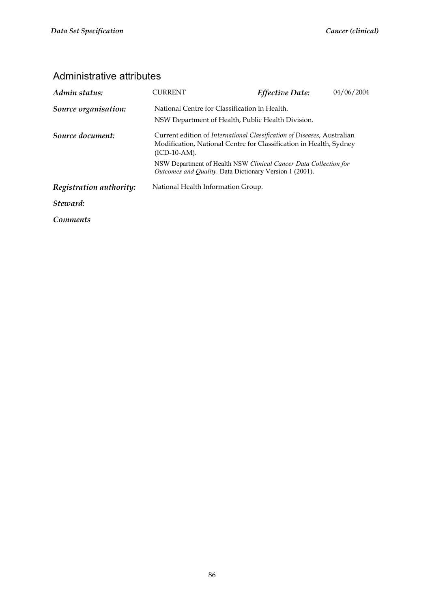| Admin status:           | CURRENT                                                                                                                                                                  | <b>Effective Date:</b>                            | 04/06/2004 |  |  |
|-------------------------|--------------------------------------------------------------------------------------------------------------------------------------------------------------------------|---------------------------------------------------|------------|--|--|
| Source organisation:    |                                                                                                                                                                          | National Centre for Classification in Health.     |            |  |  |
|                         |                                                                                                                                                                          | NSW Department of Health, Public Health Division. |            |  |  |
| Source document:        | Current edition of <i>International Classification of Diseases</i> , Australian<br>Modification, National Centre for Classification in Health, Sydney<br>$(ICD-10-AM)$ . |                                                   |            |  |  |
|                         | NSW Department of Health NSW Clinical Cancer Data Collection for<br><i>Outcomes and Quality.</i> Data Dictionary Version 1 (2001).                                       |                                                   |            |  |  |
| Registration authority: | National Health Information Group.                                                                                                                                       |                                                   |            |  |  |
| Steward:                |                                                                                                                                                                          |                                                   |            |  |  |
| <i>Comments</i>         |                                                                                                                                                                          |                                                   |            |  |  |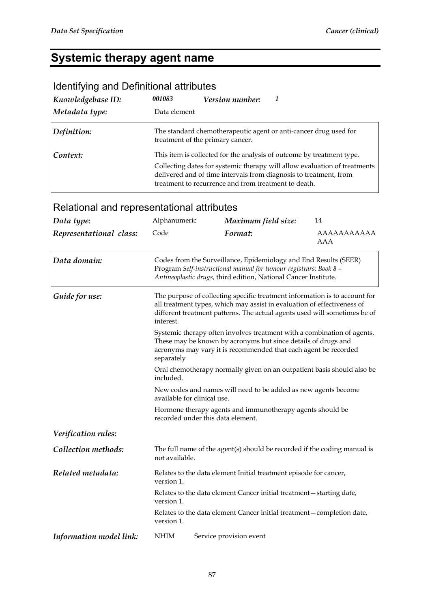## **Systemic therapy agent name**

### Identifying and Definitional attributes

| Knowledgebase ID: | 001083       | Version number:                                      |                                                                                                                                                                                                                         |
|-------------------|--------------|------------------------------------------------------|-------------------------------------------------------------------------------------------------------------------------------------------------------------------------------------------------------------------------|
| Metadata type:    | Data element |                                                      |                                                                                                                                                                                                                         |
| Definition:       |              | treatment of the primary cancer.                     | The standard chemotherapeutic agent or anti-cancer drug used for                                                                                                                                                        |
| Context:          |              | treatment to recurrence and from treatment to death. | This item is collected for the analysis of outcome by treatment type.<br>Collecting dates for systemic therapy will allow evaluation of treatments<br>delivered and of time intervals from diagnosis to treatment, from |

| Data type:              | Alphanumeric                                                                                                                                                                                                                                                                                                                                                                                                                                                                                                                                                                                                                                                                                                                                                           | Maximum field size:                                               | 14                 |  |  |  |
|-------------------------|------------------------------------------------------------------------------------------------------------------------------------------------------------------------------------------------------------------------------------------------------------------------------------------------------------------------------------------------------------------------------------------------------------------------------------------------------------------------------------------------------------------------------------------------------------------------------------------------------------------------------------------------------------------------------------------------------------------------------------------------------------------------|-------------------------------------------------------------------|--------------------|--|--|--|
| Representational class: | Code                                                                                                                                                                                                                                                                                                                                                                                                                                                                                                                                                                                                                                                                                                                                                                   | Format:                                                           | AAAAAAAAAAA<br>AAA |  |  |  |
| Data domain:            | Codes from the Surveillance, Epidemiology and End Results (SEER)<br>Program Self-instructional manual for tumour registrars: Book 8 -<br>Antineoplastic drugs, third edition, National Cancer Institute.                                                                                                                                                                                                                                                                                                                                                                                                                                                                                                                                                               |                                                                   |                    |  |  |  |
| Guide for use:          | The purpose of collecting specific treatment information is to account for<br>all treatment types, which may assist in evaluation of effectiveness of<br>different treatment patterns. The actual agents used will sometimes be of<br>interest.<br>Systemic therapy often involves treatment with a combination of agents.<br>These may be known by acronyms but since details of drugs and<br>acronyms may vary it is recommended that each agent be recorded<br>separately<br>Oral chemotherapy normally given on an outpatient basis should also be<br>included.<br>New codes and names will need to be added as new agents become<br>available for clinical use.<br>Hormone therapy agents and immunotherapy agents should be<br>recorded under this data element. |                                                                   |                    |  |  |  |
|                         |                                                                                                                                                                                                                                                                                                                                                                                                                                                                                                                                                                                                                                                                                                                                                                        |                                                                   |                    |  |  |  |
|                         |                                                                                                                                                                                                                                                                                                                                                                                                                                                                                                                                                                                                                                                                                                                                                                        |                                                                   |                    |  |  |  |
|                         |                                                                                                                                                                                                                                                                                                                                                                                                                                                                                                                                                                                                                                                                                                                                                                        |                                                                   |                    |  |  |  |
|                         |                                                                                                                                                                                                                                                                                                                                                                                                                                                                                                                                                                                                                                                                                                                                                                        |                                                                   |                    |  |  |  |
| Verification rules:     |                                                                                                                                                                                                                                                                                                                                                                                                                                                                                                                                                                                                                                                                                                                                                                        |                                                                   |                    |  |  |  |
| Collection methods:     | The full name of the agent(s) should be recorded if the coding manual is<br>not available.                                                                                                                                                                                                                                                                                                                                                                                                                                                                                                                                                                                                                                                                             |                                                                   |                    |  |  |  |
| Related metadata:       | version 1.                                                                                                                                                                                                                                                                                                                                                                                                                                                                                                                                                                                                                                                                                                                                                             | Relates to the data element Initial treatment episode for cancer, |                    |  |  |  |
|                         | Relates to the data element Cancer initial treatment-starting date,<br>version 1.                                                                                                                                                                                                                                                                                                                                                                                                                                                                                                                                                                                                                                                                                      |                                                                   |                    |  |  |  |
|                         | Relates to the data element Cancer initial treatment - completion date,<br>version 1.                                                                                                                                                                                                                                                                                                                                                                                                                                                                                                                                                                                                                                                                                  |                                                                   |                    |  |  |  |
| Information model link: | <b>NHIM</b>                                                                                                                                                                                                                                                                                                                                                                                                                                                                                                                                                                                                                                                                                                                                                            | Service provision event                                           |                    |  |  |  |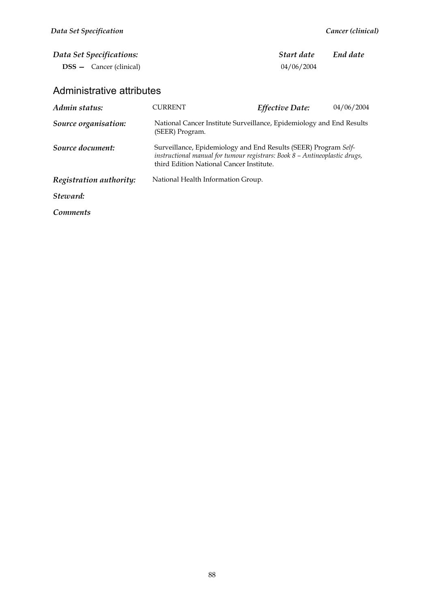| Data Set Specifications:<br><b>DSS</b> – Cancer (clinical) |                                                                                                                                                                                           | Start date<br>04/06/2004 | End date   |  |  |
|------------------------------------------------------------|-------------------------------------------------------------------------------------------------------------------------------------------------------------------------------------------|--------------------------|------------|--|--|
| Administrative attributes                                  |                                                                                                                                                                                           |                          |            |  |  |
| Admin status:                                              | <b>CURRENT</b>                                                                                                                                                                            | <b>Effective Date:</b>   | 04/06/2004 |  |  |
| Source organisation:                                       | National Cancer Institute Surveillance, Epidemiology and End Results<br>(SEER) Program.                                                                                                   |                          |            |  |  |
| Source document:                                           | Surveillance, Epidemiology and End Results (SEER) Program Self-<br>instructional manual for tumour registrars: Book 8 - Antineoplastic drugs,<br>third Edition National Cancer Institute. |                          |            |  |  |
| Registration authority:                                    | National Health Information Group.                                                                                                                                                        |                          |            |  |  |
| Steward:                                                   |                                                                                                                                                                                           |                          |            |  |  |
| Comments                                                   |                                                                                                                                                                                           |                          |            |  |  |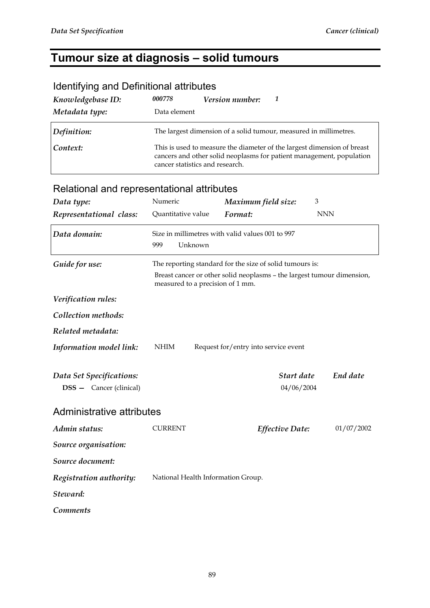#### **Tumour size at diagnosis – solid tumours**

## *Knowledgebase ID: 000778 Version number: 1 Metadata type:* Data element *Definition:* The largest dimension of a solid tumour, measured in millimetres. **Context:** This is used to measure the diameter of the largest dimension of breast cancers and other solid neoplasms for patient management, population cancer statistics and research. Relational and representational attributes **Data type: Numeric** *Maximum field size:* **3** *Representational class:* Quantitative value *Format:* NNN *Data domain:* Size in millimetres with valid values 001 to 997 999 Unknown *Guide for use:* The reporting standard for the size of solid tumours is: Breast cancer or other solid neoplasms – the largest tumour dimension, measured to a precision of 1 mm. *Verification rules: Collection methods: Related metadata: Information model link*: NHIM Request for/entry into service event *Data Set Specifications: Start date End date*  **DSS —** Cancer (clinical) 04/06/2004 Administrative attributes *Admin status:* CURRENT *Effective Date:* 01/07/2002 *Source organisation: Source document: Registration authority:* National Health Information Group. *Steward: Comments*